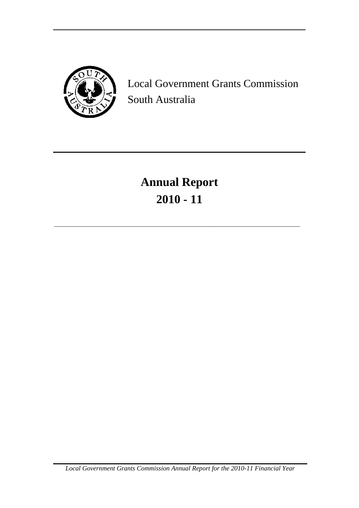

Local Government Grants Commission South Australia

# **Annual Report 2010 - 11**

\_\_\_\_\_\_\_\_\_\_\_\_\_\_\_\_\_\_\_\_\_\_\_\_\_\_\_\_\_\_\_\_\_\_\_\_\_\_\_\_\_\_\_\_\_\_\_\_\_\_\_\_\_\_\_\_\_\_\_\_\_\_\_\_\_\_\_\_\_\_\_\_\_\_\_\_\_\_\_\_\_

*Local Government Grants Commission Annual Report for the 2010-11 Financial Year*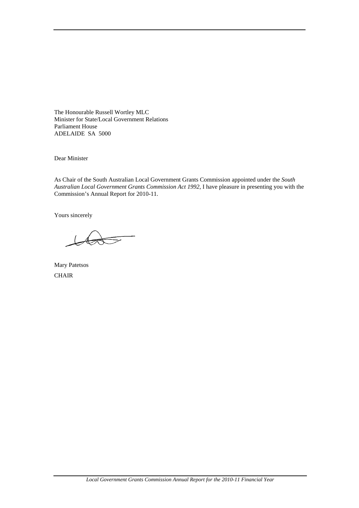The Honourable Russell Wortley MLC Minister for State/Local Government Relations Parliament House ADELAIDE SA 5000

Dear Minister

As Chair of the South Australian Local Government Grants Commission appointed under the *South Australian Local Government Grants Commission Act 1992*, I have pleasure in presenting you with the Commission's Annual Report for 2010-11.

Yours sincerely

Mary Patetsos **CHAIR**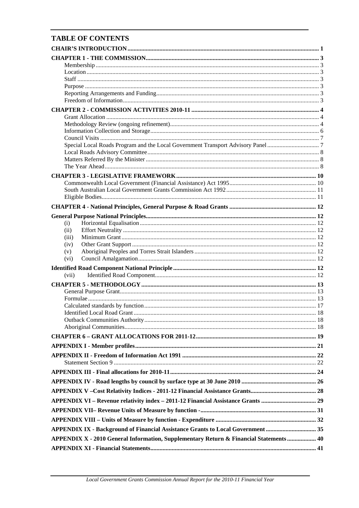# **TABLE OF CONTENTS**

| (i)                                                                                    |  |
|----------------------------------------------------------------------------------------|--|
| (ii)                                                                                   |  |
| (iii)                                                                                  |  |
| (iv)                                                                                   |  |
| (v)                                                                                    |  |
| (vi)                                                                                   |  |
|                                                                                        |  |
| (vii)                                                                                  |  |
|                                                                                        |  |
|                                                                                        |  |
|                                                                                        |  |
|                                                                                        |  |
|                                                                                        |  |
|                                                                                        |  |
|                                                                                        |  |
|                                                                                        |  |
|                                                                                        |  |
|                                                                                        |  |
|                                                                                        |  |
|                                                                                        |  |
|                                                                                        |  |
|                                                                                        |  |
|                                                                                        |  |
| APPENDIX VI - Revenue relativity index - 2011-12 Financial Assistance Grants  29       |  |
|                                                                                        |  |
|                                                                                        |  |
|                                                                                        |  |
| APPENDIX IX - Background of Financial Assistance Grants to Local Government  35        |  |
| APPENDIX X - 2010 General Information, Supplementary Return & Financial Statements  40 |  |
|                                                                                        |  |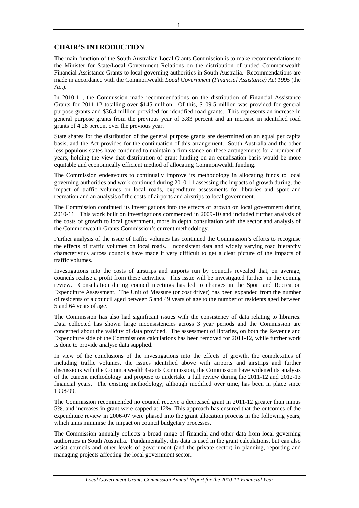# **CHAIR'S INTRODUCTION**

The main function of the South Australian Local Grants Commission is to make recommendations to the Minister for State/Local Government Relations on the distribution of untied Commonwealth Financial Assistance Grants to local governing authorities in South Australia. Recommendations are made in accordance with the Commonwealth *Local Government (Financial Assistance) Act 1995* (the Act).

In 2010-11, the Commission made recommendations on the distribution of Financial Assistance Grants for 2011-12 totalling over \$145 million. Of this, \$109.5 million was provided for general purpose grants and \$36.4 million provided for identified road grants. This represents an increase in general purpose grants from the previous year of 3.83 percent and an increase in identified road grants of 4.28 percent over the previous year.

State shares for the distribution of the general purpose grants are determined on an equal per capita basis, and the Act provides for the continuation of this arrangement. South Australia and the other less populous states have continued to maintain a firm stance on these arrangements for a number of years, holding the view that distribution of grant funding on an equalisation basis would be more equitable and economically efficient method of allocating Commonwealth funding.

The Commission endeavours to continually improve its methodology in allocating funds to local governing authorities and work continued during 2010-11 assessing the impacts of growth during, the impact of traffic volumes on local roads, expenditure assessments for libraries and sport and recreation and an analysis of the costs of airports and airstrips to local government.

The Commission continued its investigations into the effects of growth on local government during 2010-11. This work built on investigations commenced in 2009-10 and included further analysis of the costs of growth to local government, more in depth consultation with the sector and analysis of the Commonwealth Grants Commission's current methodology.

Further analysis of the issue of traffic volumes has continued the Commission's efforts to recognise the effects of traffic volumes on local roads. Inconsistent data and widely varying road hierarchy characteristics across councils have made it very difficult to get a clear picture of the impacts of traffic volumes.

Investigations into the costs of airstrips and airports run by councils revealed that, on average, councils realise a profit from these activities. This issue will be investigated further in the coming review. Consultation during council meetings has led to changes in the Sport and Recreation Expenditure Assessment. The Unit of Measure (or cost driver) has been expanded from the number of residents of a council aged between 5 and 49 years of age to the number of residents aged between 5 and 64 years of age.

The Commission has also had significant issues with the consistency of data relating to libraries. Data collected has shown large inconsistencies across 3 year periods and the Commission are concerned about the validity of data provided. The assessment of libraries, on both the Revenue and Expenditure side of the Commissions calculations has been removed for 2011-12, while further work is done to provide analyse data supplied.

In view of the conclusions of the investigations into the effects of growth, the complexities of including traffic volumes, the issues identified above with airports and airstrips and further discussions with the Commonwealth Grants Commission, the Commission have widened its analysis of the current methodology and propose to undertake a full review during the 2011-12 and 2012-13 financial years. The existing methodology, although modified over time, has been in place since 1998-99.

The Commission recommended no council receive a decreased grant in 2011-12 greater than minus 5%, and increases in grant were capped at 12%. This approach has ensured that the outcomes of the expenditure review in 2006-07 were phased into the grant allocation process in the following years, which aims minimise the impact on council budgetary processes.

The Commission annually collects a broad range of financial and other data from local governing authorities in South Australia. Fundamentally, this data is used in the grant calculations, but can also assist councils and other levels of government (and the private sector) in planning, reporting and managing projects affecting the local government sector.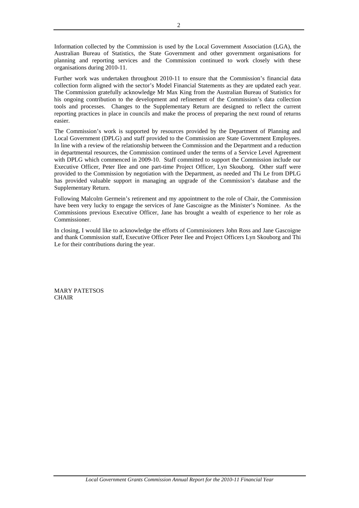Information collected by the Commission is used by the Local Government Association (LGA), the Australian Bureau of Statistics, the State Government and other government organisations for planning and reporting services and the Commission continued to work closely with these organisations during 2010-11.

Further work was undertaken throughout 2010-11 to ensure that the Commission's financial data collection form aligned with the sector's Model Financial Statements as they are updated each year. The Commission gratefully acknowledge Mr Max King from the Australian Bureau of Statistics for his ongoing contribution to the development and refinement of the Commission's data collection tools and processes. Changes to the Supplementary Return are designed to reflect the current reporting practices in place in councils and make the process of preparing the next round of returns easier.

The Commission's work is supported by resources provided by the Department of Planning and Local Government (DPLG) and staff provided to the Commission are State Government Employees. In line with a review of the relationship between the Commission and the Department and a reduction in departmental resources, the Commission continued under the terms of a Service Level Agreement with DPLG which commenced in 2009-10. Staff committed to support the Commission include our Executive Officer, Peter Ilee and one part-time Project Officer, Lyn Skouborg. Other staff were provided to the Commission by negotiation with the Department, as needed and Thi Le from DPLG has provided valuable support in managing an upgrade of the Commission's database and the Supplementary Return.

Following Malcolm Germein's retirement and my appointment to the role of Chair, the Commission have been very lucky to engage the services of Jane Gascoigne as the Minister's Nominee. As the Commissions previous Executive Officer, Jane has brought a wealth of experience to her role as Commissioner.

In closing, I would like to acknowledge the efforts of Commissioners John Ross and Jane Gascoigne and thank Commission staff, Executive Officer Peter Ilee and Project Officers Lyn Skouborg and Thi Le for their contributions during the year.

MARY PATETSOS CHAIR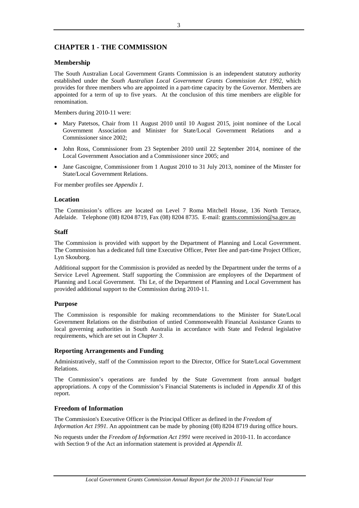# **CHAPTER 1 - THE COMMISSION**

### **Membership**

The South Australian Local Government Grants Commission is an independent statutory authority established under the *South Australian Local Government Grants Commission Act 1992*, which provides for three members who are appointed in a part-time capacity by the Governor. Members are appointed for a term of up to five years. At the conclusion of this time members are eligible for renomination.

Members during 2010-11 were:

- Mary Patetsos, Chair from 11 August 2010 until 10 August 2015, joint nominee of the Local Government Association and Minister for State/Local Government Relations and a Commissioner since 2002;
- John Ross, Commissioner from 23 September 2010 until 22 September 2014, nominee of the Local Government Association and a Commissioner since 2005; and
- Jane Gascoigne, Commissioner from 1 August 2010 to 31 July 2013, nominee of the Minster for State/Local Government Relations.

For member profiles see *Appendix 1.*

### **Location**

The Commission's offices are located on Level 7 Roma Mitchell House, 136 North Terrace, Adelaide. Telephone (08) 8204 8719, Fax (08) 8204 8735. E-mail: grants.commission@sa.gov.au

### **Staff**

The Commission is provided with support by the Department of Planning and Local Government. The Commission has a dedicated full time Executive Officer, Peter Ilee and part-time Project Officer, Lyn Skouborg.

Additional support for the Commission is provided as needed by the Department under the terms of a Service Level Agreement. Staff supporting the Commission are employees of the Department of Planning and Local Government. Thi Le, of the Department of Planning and Local Government has provided additional support to the Commission during 2010-11.

### **Purpose**

The Commission is responsible for making recommendations to the Minister for State/Local Government Relations on the distribution of untied Commonwealth Financial Assistance Grants to local governing authorities in South Australia in accordance with State and Federal legislative requirements, which are set out in *Chapter 3*.

### **Reporting Arrangements and Funding**

Administratively, staff of the Commission report to the Director, Office for State/Local Government Relations.

The Commission's operations are funded by the State Government from annual budget appropriations. A copy of the Commission's Financial Statements is included in *Appendix XI* of this report.

### **Freedom of Information**

The Commission's Executive Officer is the Principal Officer as defined in the *Freedom of Information Act 1991*. An appointment can be made by phoning (08) 8204 8719 during office hours.

No requests under the *Freedom of Information Act 1991* were received in 2010-11. In accordance with Section 9 of the Act an information statement is provided at *Appendix II.*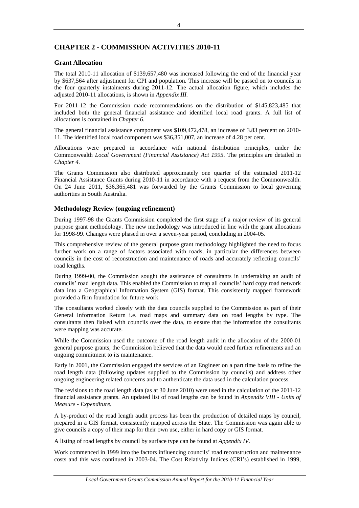# **CHAPTER 2 - COMMISSION ACTIVITIES 2010-11**

### **Grant Allocation**

The total 2010-11 allocation of \$139,657,480 was increased following the end of the financial year by \$637,564 after adjustment for CPI and population. This increase will be passed on to councils in the four quarterly instalments during 2011-12. The actual allocation figure, which includes the adjusted 2010-11 allocations, is shown in *Appendix III.*

For 2011-12 the Commission made recommendations on the distribution of \$145,823,485 that included both the general financial assistance and identified local road grants. A full list of allocations is contained in *Chapter 6*.

The general financial assistance component was \$109,472,478, an increase of 3.83 percent on 2010- 11. The identified local road component was \$36,351,007, an increase of 4.28 per cent.

Allocations were prepared in accordance with national distribution principles, under the Commonwealth *Local Government (Financial Assistance) Act 1995*. The principles are detailed in *Chapter 4.* 

The Grants Commission also distributed approximately one quarter of the estimated 2011-12 Financial Assistance Grants during 2010-11 in accordance with a request from the Commonwealth. On 24 June 2011, \$36,365,481 was forwarded by the Grants Commission to local governing authorities in South Australia.

### **Methodology Review (ongoing refinement)**

During 1997-98 the Grants Commission completed the first stage of a major review of its general purpose grant methodology. The new methodology was introduced in line with the grant allocations for 1998-99. Changes were phased in over a seven-year period, concluding in 2004-05.

This comprehensive review of the general purpose grant methodology highlighted the need to focus further work on a range of factors associated with roads, in particular the differences between councils in the cost of reconstruction and maintenance of roads and accurately reflecting councils' road lengths.

During 1999-00, the Commission sought the assistance of consultants in undertaking an audit of councils' road length data. This enabled the Commission to map all councils' hard copy road network data into a Geographical Information System (GIS) format. This consistently mapped framework provided a firm foundation for future work.

The consultants worked closely with the data councils supplied to the Commission as part of their General Information Return i.e. road maps and summary data on road lengths by type. The consultants then liaised with councils over the data, to ensure that the information the consultants were mapping was accurate.

While the Commission used the outcome of the road length audit in the allocation of the 2000-01 general purpose grants, the Commission believed that the data would need further refinements and an ongoing commitment to its maintenance.

Early in 2001, the Commission engaged the services of an Engineer on a part time basis to refine the road length data (following updates supplied to the Commission by councils) and address other ongoing engineering related concerns and to authenticate the data used in the calculation process.

The revisions to the road length data (as at 30 June 2010) were used in the calculation of the 2011-12 financial assistance grants. An updated list of road lengths can be found in *Appendix VIII - Units of Measure - Expenditure.* 

A by-product of the road length audit process has been the production of detailed maps by council, prepared in a GIS format, consistently mapped across the State. The Commission was again able to give councils a copy of their map for their own use, either in hard copy or GIS format.

A listing of road lengths by council by surface type can be found at *Appendix IV.*

Work commenced in 1999 into the factors influencing councils' road reconstruction and maintenance costs and this was continued in 2003-04. The Cost Relativity Indices (CRI's) established in 1999,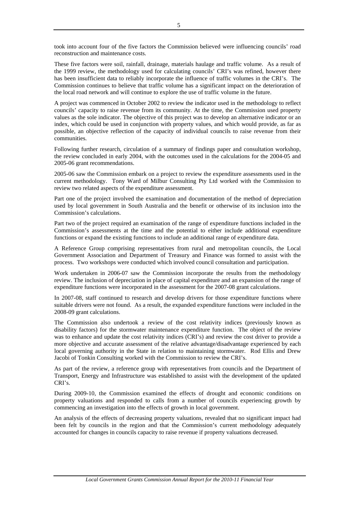took into account four of the five factors the Commission believed were influencing councils' road reconstruction and maintenance costs.

These five factors were soil, rainfall, drainage, materials haulage and traffic volume. As a result of the 1999 review, the methodology used for calculating councils' CRI's was refined, however there has been insufficient data to reliably incorporate the influence of traffic volumes in the CRI's. The Commission continues to believe that traffic volume has a significant impact on the deterioration of the local road network and will continue to explore the use of traffic volume in the future.

A project was commenced in October 2002 to review the indicator used in the methodology to reflect councils' capacity to raise revenue from its community. At the time, the Commission used property values as the sole indicator. The objective of this project was to develop an alternative indicator or an index, which could be used in conjunction with property values, and which would provide, as far as possible, an objective reflection of the capacity of individual councils to raise revenue from their communities.

Following further research, circulation of a summary of findings paper and consultation workshop, the review concluded in early 2004, with the outcomes used in the calculations for the 2004-05 and 2005-06 grant recommendations.

2005-06 saw the Commission embark on a project to review the expenditure assessments used in the current methodology. Tony Ward of Milbur Consulting Pty Ltd worked with the Commission to review two related aspects of the expenditure assessment.

Part one of the project involved the examination and documentation of the method of depreciation used by local government in South Australia and the benefit or otherwise of its inclusion into the Commission's calculations.

Part two of the project required an examination of the range of expenditure functions included in the Commission's assessments at the time and the potential to either include additional expenditure functions or expand the existing functions to include an additional range of expenditure data.

A Reference Group comprising representatives from rural and metropolitan councils, the Local Government Association and Department of Treasury and Finance was formed to assist with the process. Two workshops were conducted which involved council consultation and participation.

Work undertaken in 2006-07 saw the Commission incorporate the results from the methodology review. The inclusion of depreciation in place of capital expenditure and an expansion of the range of expenditure functions were incorporated in the assessment for the 2007-08 grant calculations.

In 2007-08, staff continued to research and develop drivers for those expenditure functions where suitable drivers were not found. As a result, the expanded expenditure functions were included in the 2008-09 grant calculations.

The Commission also undertook a review of the cost relativity indices (previously known as disability factors) for the stormwater maintenance expenditure function. The object of the review was to enhance and update the cost relativity indices (CRI's) and review the cost driver to provide a more objective and accurate assessment of the relative advantage/disadvantage experienced by each local governing authority in the State in relation to maintaining stormwater. Rod Ellis and Drew Jacobi of Tonkin Consulting worked with the Commission to review the CRI's.

As part of the review, a reference group with representatives from councils and the Department of Transport, Energy and Infrastructure was established to assist with the development of the updated CRI's.

During 2009-10, the Commission examined the effects of drought and economic conditions on property valuations and responded to calls from a number of councils experiencing growth by commencing an investigation into the effects of growth in local government.

An analysis of the effects of decreasing property valuations, revealed that no significant impact had been felt by councils in the region and that the Commission's current methodology adequately accounted for changes in councils capacity to raise revenue if property valuations decreased.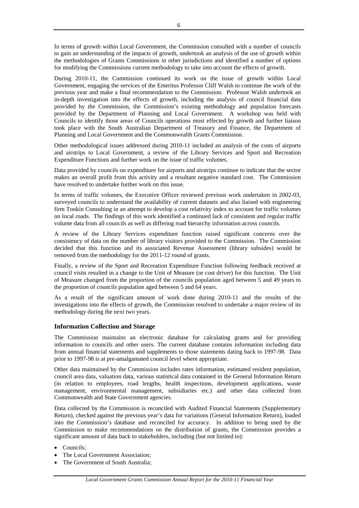In terms of growth within Local Government, the Commission consulted with a number of councils to gain an understanding of the impacts of growth, undertook an analysis of the use of growth within the methodologies of Grants Commissions in other jurisdictions and identified a number of options for modifying the Commissions current methodology to take into account the effects of growth.

During 2010-11, the Commission continued its work on the issue of growth within Local Government, engaging the services of the Emeritus Professor Cliff Walsh to continue the work of the previous year and make a final recommendation to the Commission. Professor Walsh undertook an in-depth investigation into the effects of growth, including the analysis of council financial data provided by the Commission, the Commission's existing methodology and population forecasts provided by the Department of Planning and Local Government. A workshop was held with Councils to identify those areas of Councils operations most effected by growth and further liaison took place with the South Australian Department of Treasury and Finance, the Department of Planning and Local Government and the Commonwealth Grants Commission.

Other methodological issues addressed during 2010-11 included an analysis of the costs of airports and airstrips to Local Government, a review of the Library Services and Sport and Recreation Expenditure Functions and further work on the issue of traffic volumes.

Data provided by councils on expenditure for airports and airstrips continue to indicate that the sector makes an overall profit from this activity and a resultant negative standard cost. The Commission have resolved to undertake further work on this issue.

In terms of traffic volumes, the Executive Officer reviewed previous work undertaken in 2002-03, surveyed councils to understand the availability of current datasets and also liaised with engineering firm Tonkin Consulting in an attempt to develop a cost relativity index to account for traffic volumes on local roads. The findings of this work identified a continued lack of consistent and regular traffic volume data from all councils as well as differing road hierarchy information across councils.

A review of the Library Services expenditure function raised significant concerns over the consistency of data on the number of library visitors provided to the Commission. The Commission decided that this function and its associated Revenue Assessment (library subsides) would be removed from the methodology for the 2011-12 round of grants.

Finally, a review of the Sport and Recreation Expenditure Function following feedback received at council visits resulted in a change to the Unit of Measure (or cost driver) for this function. The Unit of Measure changed from the proportion of the councils population aged between 5 and 49 years to the proportion of councils population aged between 5 and 64 years.

As a result of the significant amount of work done during 2010-11 and the results of the investigations into the effects of growth, the Commission resolved to undertake a major review of its methodology during the next two years.

### **Information Collection and Storage**

The Commission maintains an electronic database for calculating grants and for providing information to councils and other users. The current database contains information including data from annual financial statements and supplements to those statements dating back to 1997-98. Data prior to 1997-98 is at pre-amalgamated council level where appropriate.

Other data maintained by the Commission includes rates information, estimated resident population, council area data, valuation data, various statistical data contained in the General Information Return (in relation to employees, road lengths, health inspections, development applications, waste management, environmental management, subsidiaries etc.) and other data collected from Commonwealth and State Government agencies.

Data collected by the Commission is reconciled with Audited Financial Statements (Supplementary Return), checked against the previous year's data for variations (General Information Return), loaded into the Commission's database and reconciled for accuracy. In addition to being used by the Commission to make recommendations on the distribution of grants, the Commission provides a significant amount of data back to stakeholders, including (but not limited to):

- Councils;
- The Local Government Association;
- The Government of South Australia;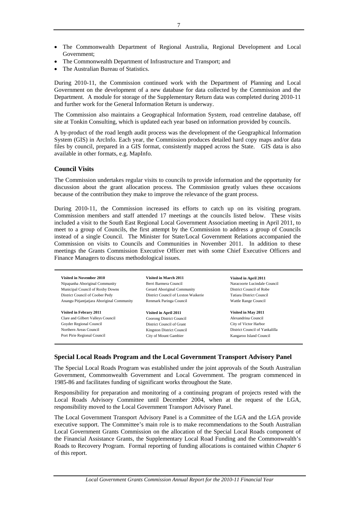- The Commonwealth Department of Regional Australia, Regional Development and Local Government;
- The Commonwealth Department of Infrastructure and Transport; and
- The Australian Bureau of Statistics.

During 2010-11, the Commission continued work with the Department of Planning and Local Government on the development of a new database for data collected by the Commission and the Department. A module for storage of the Supplementary Return data was completed during 2010-11 and further work for the General Information Return is underway.

The Commission also maintains a Geographical Information System, road centreline database, off site at Tonkin Consulting, which is updated each year based on information provided by councils.

A by-product of the road length audit process was the development of the Geographical Information System (GIS) in ArcInfo. Each year, the Commission produces detailed hard copy maps and/or data files by council, prepared in a GIS format, consistently mapped across the State. GIS data is also available in other formats, e.g. MapInfo.

### **Council Visits**

The Commission undertakes regular visits to councils to provide information and the opportunity for discussion about the grant allocation process. The Commission greatly values these occasions because of the contribution they make to improve the relevance of the grant process.

During 2010-11, the Commission increased its efforts to catch up on its visiting program. Commission members and staff attended 17 meetings at the councils listed below. These visits included a visit to the South East Regional Local Government Association meeting in April 2011, to meet to a group of Councils, the first attempt by the Commission to address a group of Councils instead of a single Council. The Minister for State/Local Government Relations accompanied the Commission on visits to Councils and Communities in November 2011. In addition to these meetings the Grants Commission Executive Officer met with some Chief Executive Officers and Finance Managers to discuss methodological issues.

| Visited in November 2010                   | Visited in March 2011               | Visited in April 2011           |
|--------------------------------------------|-------------------------------------|---------------------------------|
| Nipapanha Aboriginal Community             | Berri Barmera Council               | Naracoorte Lucindale Council    |
| Municipal Council of Roxby Downs           | Gerard Aboriginal Community         | District Council of Robe        |
| District Council of Coober Pedy            | District Council of Loxton Waikerie | <b>Tatiara District Council</b> |
| Anangu Pitjantjatjara Aboriginal Community | Renmark Paringa Council             | Wattle Range Council            |
|                                            |                                     |                                 |
| Visited in Febrary 2011                    | Visited in April 2011               | Visited in May 2011             |
| Clare and Gilbert Valleys Council          | Coorong District Council            | Alexandrina Council             |
| Goyder Regional Council                    | District Council of Grant           | City of Victor Harbor           |
| Northern Areas Council                     | <b>Kingston District Council</b>    | District Council of Yankalilla  |
| Port Pirie Regional Council                | City of Mount Gambier               | Kangaroo Island Council         |

### **Special Local Roads Program and the Local Government Transport Advisory Panel**

The Special Local Roads Program was established under the joint approvals of the South Australian Government, Commonwealth Government and Local Government. The program commenced in 1985-86 and facilitates funding of significant works throughout the State.

Responsibility for preparation and monitoring of a continuing program of projects rested with the Local Roads Advisory Committee until December 2004, when at the request of the LGA, responsibility moved to the Local Government Transport Advisory Panel.

The Local Government Transport Advisory Panel is a Committee of the LGA and the LGA provide executive support. The Committee's main role is to make recommendations to the South Australian Local Government Grants Commission on the allocation of the Special Local Roads component of the Financial Assistance Grants, the Supplementary Local Road Funding and the Commonwealth's Roads to Recovery Program. Formal reporting of funding allocations is contained within *Chapter 6* of this report.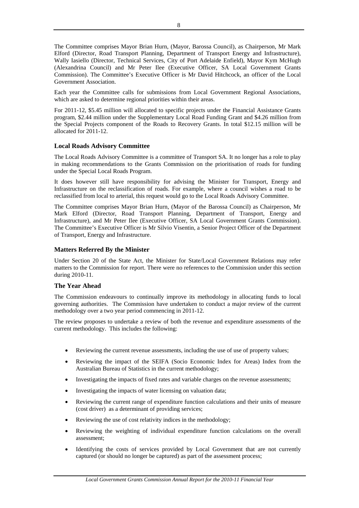The Committee comprises Mayor Brian Hurn, (Mayor, Barossa Council), as Chairperson, Mr Mark Elford (Director, Road Transport Planning, Department of Transport Energy and Infrastructure), Wally Iasiello (Director, Technical Services, City of Port Adelaide Enfield), Mayor Kym McHugh (Alexandrina Council) and Mr Peter Ilee (Executive Officer, SA Local Government Grants Commission). The Committee's Executive Officer is Mr David Hitchcock, an officer of the Local Government Association.

Each year the Committee calls for submissions from Local Government Regional Associations, which are asked to determine regional priorities within their areas.

For 2011-12, \$5.45 million will allocated to specific projects under the Financial Assistance Grants program, \$2.44 million under the Supplementary Local Road Funding Grant and \$4.26 million from the Special Projects component of the Roads to Recovery Grants. In total \$12.15 million will be allocated for 2011-12.

### **Local Roads Advisory Committee**

The Local Roads Advisory Committee is a committee of Transport SA. It no longer has a role to play in making recommendations to the Grants Commission on the prioritisation of roads for funding under the Special Local Roads Program.

It does however still have responsibility for advising the Minister for Transport, Energy and Infrastructure on the reclassification of roads. For example, where a council wishes a road to be reclassified from local to arterial, this request would go to the Local Roads Advisory Committee.

The Committee comprises Mayor Brian Hurn, (Mayor of the Barossa Council) as Chairperson, Mr Mark Elford (Director, Road Transport Planning, Department of Transport, Energy and Infrastructure), and Mr Peter Ilee (Executive Officer, SA Local Government Grants Commission). The Committee's Executive Officer is Mr Silvio Visentin, a Senior Project Officer of the Department of Transport, Energy and Infrastructure.

### **Matters Referred By the Minister**

Under Section 20 of the State Act, the Minister for State/Local Government Relations may refer matters to the Commission for report. There were no references to the Commission under this section during 2010-11.

### **The Year Ahead**

The Commission endeavours to continually improve its methodology in allocating funds to local governing authorities. The Commission have undertaken to conduct a major review of the current methodology over a two year period commencing in 2011-12.

The review proposes to undertake a review of both the revenue and expenditure assessments of the current methodology. This includes the following:

- Reviewing the current revenue assessments, including the use of use of property values;
- Reviewing the impact of the SEIFA (Socio Economic Index for Areas) Index from the Australian Bureau of Statistics in the current methodology;
- Investigating the impacts of fixed rates and variable charges on the revenue assessments;
- Investigating the impacts of water licensing on valuation data;
- Reviewing the current range of expenditure function calculations and their units of measure (cost driver) as a determinant of providing services;
- Reviewing the use of cost relativity indices in the methodology;
- Reviewing the weighting of individual expenditure function calculations on the overall assessment;
- Identifying the costs of services provided by Local Government that are not currently captured (or should no longer be captured) as part of the assessment process;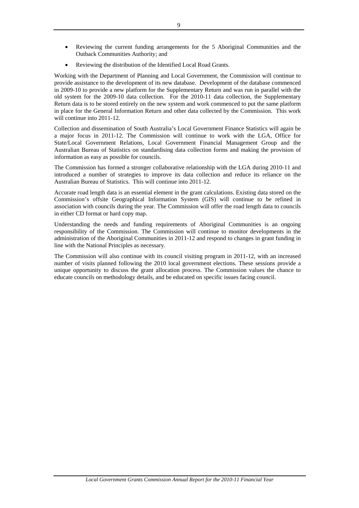- Reviewing the current funding arrangements for the 5 Aboriginal Communities and the Outback Communities Authority; and
- Reviewing the distribution of the Identified Local Road Grants.

Working with the Department of Planning and Local Government, the Commission will continue to provide assistance to the development of its new database. Development of the database commenced in 2009-10 to provide a new platform for the Supplementary Return and was run in parallel with the old system for the 2009-10 data collection. For the 2010-11 data collection, the Supplementary Return data is to be stored entirely on the new system and work commenced to put the same platform in place for the General Information Return and other data collected by the Commission. This work will continue into 2011-12.

Collection and dissemination of South Australia's Local Government Finance Statistics will again be a major focus in 2011-12. The Commission will continue to work with the LGA, Office for State/Local Government Relations, Local Government Financial Management Group and the Australian Bureau of Statistics on standardising data collection forms and making the provision of information as easy as possible for councils.

The Commission has formed a stronger collaborative relationship with the LGA during 2010-11 and introduced a number of strategies to improve its data collection and reduce its reliance on the Australian Bureau of Statistics. This will continue into 2011-12.

Accurate road length data is an essential element in the grant calculations. Existing data stored on the Commission's offsite Geographical Information System (GIS) will continue to be refined in association with councils during the year. The Commission will offer the road length data to councils in either CD format or hard copy map.

Understanding the needs and funding requirements of Aboriginal Communities is an ongoing responsibility of the Commission. The Commission will continue to monitor developments in the administration of the Aboriginal Communities in 2011-12 and respond to changes in grant funding in line with the National Principles as necessary.

The Commission will also continue with its council visiting program in 2011-12, with an increased number of visits planned following the 2010 local government elections. These sessions provide a unique opportunity to discuss the grant allocation process. The Commission values the chance to educate councils on methodology details, and be educated on specific issues facing council.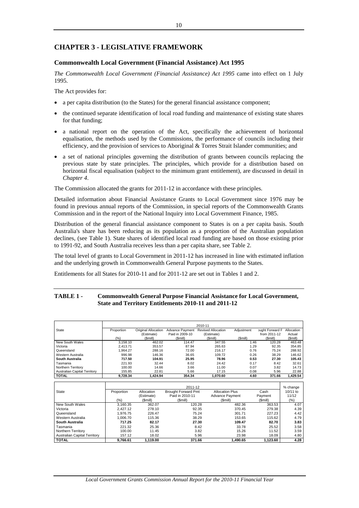# **CHAPTER 3 - LEGISLATIVE FRAMEWORK**

### **Commonwealth Local Government (Financial Assistance) Act 1995**

*The Commonwealth Local Government (Financial Assistance) Act 1995* came into effect on 1 July 1995.

The Act provides for:

- a per capita distribution (to the States) for the general financial assistance component;
- the continued separate identification of local road funding and maintenance of existing state shares for that funding;
- a national report on the operation of the Act, specifically the achievement of horizontal equalisation, the methods used by the Commissions, the performance of councils including their efficiency, and the provision of services to Aboriginal & Torres Strait Islander communities; and
- a set of national principles governing the distribution of grants between councils replacing the previous state by state principles. The principles, which provide for a distribution based on horizontal fiscal equalisation (subject to the minimum grant entitlement), are discussed in detail in *Chapter 4*.

The Commission allocated the grants for 2011-12 in accordance with these principles.

Detailed information about Financial Assistance Grants to Local Government since 1976 may be found in previous annual reports of the Commission, in special reports of the Commonwealth Grants Commission and in the report of the National Inquiry into Local Government Finance, 1985.

Distribution of the general financial assistance component to States is on a per capita basis. South Australia's share has been reducing as its population as a proportion of the Australian population declines, (see Table 1). State shares of identified local road funding are based on those existing prior to 1991-92, and South Australia receives less than a per capita share, see Table 2.

The total level of grants to Local Government in 2011-12 has increased in line with estimated inflation and the underlying growth in Commonwealth General Purpose payments to the States.

Entitlements for all States for 2010-11 and for 2011-12 are set out in Tables 1 and 2.

### **TABLE 1 - Commonwealth General Purpose Financial Assistance for Local Government, State and Territory Entitlements 2010-11 and 2011-12**

|                                                           | 2010-11    |                     |                            |                           |            |                 |              |
|-----------------------------------------------------------|------------|---------------------|----------------------------|---------------------------|------------|-----------------|--------------|
| State                                                     | Proportion | Original Allocation | Advance Payment            | <b>Revised Allocation</b> | Adjustment | bught Forward F | Allocation   |
|                                                           |            | (Estimate)          | Paid in 2009-10            | (Estimate)                |            | from 2011-12    | Actual       |
|                                                           | (%)        | (Smill)             | (Smill)                    | (Smill)                   | (Smill)    | (\$mill)        | (Smill)      |
| New South Wales                                           | 3,158.10   | 462.02              | 114.47                     | 347.55                    | 1.46       | 120.28          | 463.48       |
| Victoria                                                  | 2.413.71   | 353.57              | 87.94                      | 265.63                    | 1.29       | 92.35           | 354.85       |
| Queensland                                                | 1.964.27   | 288.16              | 72.00                      | 216.17                    | 0.76       | 75.24           | 288.92       |
| Western Australia                                         | 996.98     | 146.36              | 36.65                      | 109.72                    | 0.26       | 38.29           | 146.62       |
| South Australia                                           | 717.50     | 104.91              | 25.95                      | 78.96                     | 0.53       | 27.30           | 105.43       |
| Tasmania                                                  | 221.93     | 32.44               | 8.02                       | 24.42                     | 0.17       | 8.42            | 32.61        |
| Northern Territory                                        | 100.00     | 14.66               | 3.66                       | 11.00                     | 0.07       | 3.82            | 14.73        |
| Australian Capital Territory                              | 155.85     | 22.81               | 5.66                       | 17.15                     | 0.08       | 5.96            | 22.88        |
| <b>TOTAL</b>                                              | 9,728.34   | 1,424.94            | 354.34                     | 1,070.60                  | 4.60       | 371.66          | 1,429.54     |
|                                                           |            |                     |                            |                           |            |                 |              |
|                                                           |            |                     |                            |                           |            |                 |              |
|                                                           |            |                     | 2011-12                    |                           |            |                 | % change     |
| <b>State</b>                                              | Proportion | Allocation          | <b>Brought Forward Pmt</b> | <b>Allocation Plus</b>    |            | Cash            | $10/11$ to   |
|                                                           |            | (Estimate)          | Paid in 2010-11            | Advance Payment           |            | Payment         | 11/12        |
|                                                           | (%)        | (\$mill)            | (\$mill)                   | (\$mill)                  |            | (Smill)         | (%)          |
| New South Wales                                           | 3,160.35   | 362.07              | 120.28                     |                           | 482.36     | 363.53          | 4.07         |
| Victoria                                                  | 2,427.12   | 278.10              | 92.35                      |                           | 370.45     | 279.38          | 4.39         |
| Queensland                                                | 1,976.75   | 226.47              | 75.24                      |                           | 301.71     | 227.23          | 4.42         |
| Western Australia                                         | 1,006.70   | 115.36              | 38.29                      |                           | 153.65     | 115.62          | 4.79         |
| South Australia                                           | 717.25     | 82.17               | 27.30                      |                           | 109.47     | 82.70           | 3.83         |
| Tasmania                                                  | 221.32     | 25.36               |                            | 8.42                      | 33.78      | 25.52           |              |
|                                                           | 100.00     | 11.45               |                            | 3.82                      | 15.26      | 11.52           | 3.58         |
| Northern Territory<br><b>Australian Capital Territory</b> | 157.12     | 18.02               |                            | 5.96                      | 23.98      | 18.09           | 3.59<br>4.80 |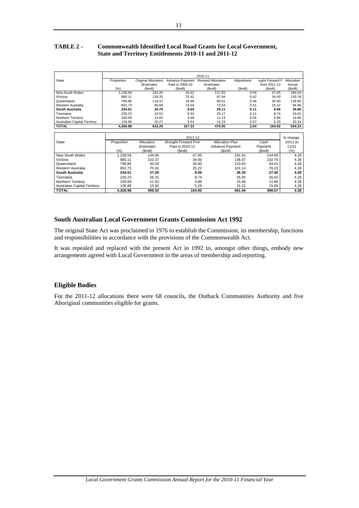# **TABLE 2 - Commonwealth Identified Local Road Grants for Local Government, State and Territory Entitlements 2010-11 and 2011-12**

|                                     | 2010-11    |                     |                 |                           |            |                 |            |  |
|-------------------------------------|------------|---------------------|-----------------|---------------------------|------------|-----------------|------------|--|
| State                               | Proportion | Original Allocation | Advance Payment | <b>Revised Allocation</b> | Adjustment | bught Forward F | Allocation |  |
|                                     |            | (Estimate)          | Paid in 2009-10 | (Estimate)                |            | from 2011-12    | Actual     |  |
|                                     | (%)        | (Smill)             | (Smill)         | (Smill)                   | (Smill)    | (Smill)         | (Smill)    |  |
| New South Wales                     | 1.238.56   | 183.45              | 45.62           | 137.83                    | 0.59       | 47.85           | 184.04     |  |
| Victoria                            | 880.11     | 130.35              | 32.42           | 97.94                     | 0.42       | 34.00           | 130.78     |  |
| Queensland                          | 799.85     | 118.47              | 29.46           | 89.01                     | 0.38       | 30.90           | 118.85     |  |
| Western Australia                   | 652.73     | 96.68               | 24.04           | 72.64                     | 0.31       | 25.22           | 96.99      |  |
| South Australia                     | 234.61     | 34.75               | 8.64            | 26.11                     | 0.11       | 9.06            | 34.86      |  |
| Tasmania                            | 226.23     | 33.51               | 8.33            | 25.17                     | 0.11       | 8.74            | 33.61      |  |
| Northern Territory                  | 100.00     | 14.81               | 3.68            | 11.13                     | 0.05       | 3.86            | 14.86      |  |
| <b>Australian Capital Territory</b> | 136.89     | 20.27               | 5.04            | 15.23                     | 0.07       | 5.29            | 20.34      |  |
| <b>TOTAL</b>                        | 4.268.98   | 632.29              | 157.23          | 475.05                    | 2.04       | 164.92          | 634.33     |  |

|                                     |            |            | 2011-12                    |                        |         | % change |
|-------------------------------------|------------|------------|----------------------------|------------------------|---------|----------|
| State                               | Proportion | Allocation | <b>Brought Forward Pmt</b> | <b>Allocation Plus</b> | Cash    | 10/11 to |
|                                     |            | (Estimate) | Paid in 2010-11            | Advance Payment        | Payment | 11/12    |
|                                     | (% )       | (Smill)    | (Smill)                    | (Smill)                | (Smill) | (% )     |
| New South Wales                     | 1.238.56   | 144.06     | 47.85                      | 191.91                 | 144.65  | 4.28     |
| Victoria                            | 880.11     | 102.37     | 34.00                      | 136.37                 | 102.79  | 4.28     |
| Queensland                          | 799.85     | 93.03      | 30.90                      | 123.93                 | 93.41   | 4.28     |
| Western Australia                   | 652.73     | 75.92      | 25.22                      | 101.14                 | 76.23   | 4.28     |
| South Australia                     | 234.61     | 27.29      | 9.06                       | 36.35                  | 27.40   | 4.28     |
| Tasmania                            | 226.23     | 26.31      | 8.74                       | 35.05                  | 26.42   | 4.28     |
| Northern Territory                  | 100.00     | 11.63      | 3.86                       | 15.49                  | 11.68   | 4.28     |
| <b>Australian Capital Territory</b> | 136.89     | 15.92      | 5.29                       | 21.21                  | 15.99   | 4.28     |
| <b>TOTAL</b>                        | 4.268.98   | 496.53     | 164.92                     | 661.45                 | 498.57  | 4.28     |

# **South Australian Local Government Grants Commission Act 1992**

The original State Act was proclaimed in 1976 to establish the Commission, its membership, functions and responsibilities in accordance with the provisions of the Commonwealth Act.

It was repealed and replaced with the present Act in 1992 to, amongst other things, embody new arrangements agreed with Local Government in the areas of membership and reporting.

## **Eligible Bodies**

For the 2011-12 allocations there were 68 councils, the Outback Communities Authority and five Aboriginal communities eligible for grants*.*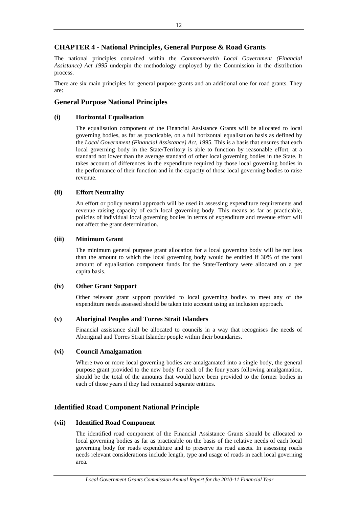# **CHAPTER 4 - National Principles, General Purpose & Road Grants**

The national principles contained within the *Commonwealth Local Government (Financial Assistance) Act 1995* underpin the methodology employed by the Commission in the distribution process.

There are six main principles for general purpose grants and an additional one for road grants. They are:

# **General Purpose National Principles**

### **(i) Horizontal Equalisation**

The equalisation component of the Financial Assistance Grants will be allocated to local governing bodies, as far as practicable, on a full horizontal equalisation basis as defined by the *Local Government (Financial Assistance) Act, 1995*. This is a basis that ensures that each local governing body in the State/Territory is able to function by reasonable effort, at a standard not lower than the average standard of other local governing bodies in the State. It takes account of differences in the expenditure required by those local governing bodies in the performance of their function and in the capacity of those local governing bodies to raise revenue.

### **(ii) Effort Neutrality**

An effort or policy neutral approach will be used in assessing expenditure requirements and revenue raising capacity of each local governing body. This means as far as practicable, policies of individual local governing bodies in terms of expenditure and revenue effort will not affect the grant determination.

### **(iii) Minimum Grant**

The minimum general purpose grant allocation for a local governing body will be not less than the amount to which the local governing body would be entitled if 30% of the total amount of equalisation component funds for the State/Territory were allocated on a per capita basis.

### **(iv) Other Grant Support**

Other relevant grant support provided to local governing bodies to meet any of the expenditure needs assessed should be taken into account using an inclusion approach.

### **(v) Aboriginal Peoples and Torres Strait Islanders**

Financial assistance shall be allocated to councils in a way that recognises the needs of Aboriginal and Torres Strait Islander people within their boundaries.

### **(vi) Council Amalgamation**

Where two or more local governing bodies are amalgamated into a single body, the general purpose grant provided to the new body for each of the four years following amalgamation, should be the total of the amounts that would have been provided to the former bodies in each of those years if they had remained separate entities.

# **Identified Road Component National Principle**

### **(vii) Identified Road Component**

The identified road component of the Financial Assistance Grants should be allocated to local governing bodies as far as practicable on the basis of the relative needs of each local governing body for roads expenditure and to preserve its road assets. In assessing roads needs relevant considerations include length, type and usage of roads in each local governing area.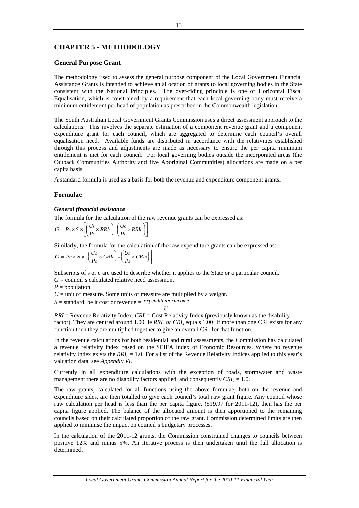# **CHAPTER 5 - METHODOLOGY**

### **General Purpose Grant**

The methodology used to assess the general purpose component of the Local Government Financial Assistance Grants is intended to achieve an allocation of grants to local governing bodies in the State consistent with the National Principles. The over-riding principle is one of Horizontal Fiscal Equalisation, which is constrained by a requirement that each local governing body must receive a minimum entitlement per head of population as prescribed in the Commonwealth legislation.

The South Australian Local Government Grants Commission uses a direct assessment approach to the calculations. This involves the separate estimation of a component revenue grant and a component expenditure grant for each council, which are aggregated to determine each council's overall equalisation need. Available funds are distributed in accordance with the relativities established through this process and adjustments are made as necessary to ensure the per capita minimum entitlement is met for each council. For local governing bodies outside the incorporated areas (the Outback Communities Authority and five Aboriginal Communities) allocations are made on a per capita basis.

A standard formula is used as a basis for both the revenue and expenditure component grants.

### **Formulae**

### *General financial assistance*

The formula for the calculation of the raw revenue grants can be expressed as:

$$
G = P_C \times S \times \left[ \left( \frac{Us}{Ps} \times RRIs \right) - \left( \frac{U_C}{P_C} \times RRIs \right) \right]
$$

Similarly, the formula for the calculation of the raw expenditure grants can be expressed as:

$$
G = Pc \times S \times \left[ \left( \frac{Uc}{P_c} \times CRIc \right) - \left( \frac{U_s}{P_s} \times CRI_s \right) \right]
$$

Subscripts of s or c are used to describe whether it applies to the State or a particular council.

*U*

 $G =$  council's calculated relative need assessment

 $P =$  population

 $U =$  unit of measure. Some units of measure are multiplied by a weight.

*S* = standard, be it cost or revenue = *expenditureorincome*

*RRI* = Revenue Relativity Index. *CRI =* Cost Relativity Index (previously known as the disability factor). They are centred around 1.00, ie *RRIs or CRIs* equals 1.00. If more than one CRI exists for any function then they are multiplied together to give an overall CRI for that function.

In the revenue calculations for both residential and rural assessments, the Commission has calculated a revenue relativity index based on the SEIFA Index of Economic Resources. Where no revenue relativity index exists the *RRIc* = 1.0. For a list of the Revenue Relativity Indices applied to this year's valuation data, see *Appendix VI.*

Currently in all expenditure calculations with the exception of roads, stormwater and waste management there are no disability factors applied, and consequently  $CRI_c = 1.0$ .

The raw grants, calculated for all functions using the above formulae, both on the revenue and expenditure sides, are then totalled to give each council's total raw grant figure. Any council whose raw calculation per head is less than the per capita figure, (\$19.97 for 2011-12), then has the per capita figure applied. The balance of the allocated amount is then apportioned to the remaining councils based on their calculated proportion of the raw grant. Commission determined limits are then applied to minimise the impact on council's budgetary processes.

In the calculation of the 2011-12 grants, the Commission constrained changes to councils between positive 12% and minus 5%. An iterative process is then undertaken until the full allocation is determined.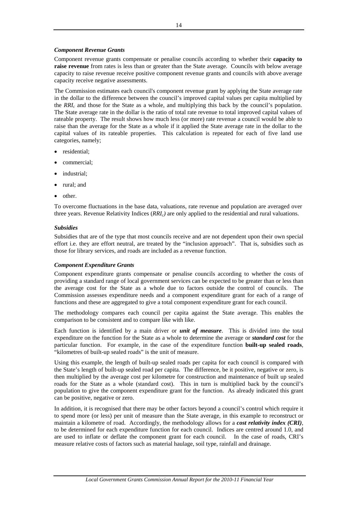### *Component Revenue Grants*

Component revenue grants compensate or penalise councils according to whether their **capacity to raise revenue** from rates is less than or greater than the State average. Councils with below average capacity to raise revenue receive positive component revenue grants and councils with above average capacity receive negative assessments.

The Commission estimates each council's component revenue grant by applying the State average rate in the dollar to the difference between the council's improved capital values per capita multiplied by the *RRIc* and those for the State as a whole, and multiplying this back by the council's population. The State average rate in the dollar is the ratio of total rate revenue to total improved capital values of rateable property. The result shows how much less (or more) rate revenue a council would be able to raise than the average for the State as a whole if it applied the State average rate in the dollar to the capital values of its rateable properties. This calculation is repeated for each of five land use categories, namely;

- residential:
- commercial;
- industrial;
- rural; and
- other.

To overcome fluctuations in the base data, valuations, rate revenue and population are averaged over three years. Revenue Relativity Indices (*RRIc)* are only applied to the residential and rural valuations.

### *Subsidies*

Subsidies that are of the type that most councils receive and are not dependent upon their own special effort i.e. they are effort neutral, are treated by the "inclusion approach". That is, subsidies such as those for library services, and roads are included as a revenue function.

### *Component Expenditure Grants*

Component expenditure grants compensate or penalise councils according to whether the costs of providing a standard range of local government services can be expected to be greater than or less than the average cost for the State as a whole due to factors outside the control of councils. The Commission assesses expenditure needs and a component expenditure grant for each of a range of functions and these are aggregated to give a total component expenditure grant for each council.

The methodology compares each council per capita against the State average. This enables the comparison to be consistent and to compare like with like.

Each function is identified by a main driver or *unit of measure*. This is divided into the total expenditure on the function for the State as a whole to determine the average or *standard cost* for the particular function. For example, in the case of the expenditure function **built-up sealed roads**, "kilometres of built-up sealed roads" is the unit of measure.

Using this example, the length of built-up sealed roads per capita for each council is compared with the State's length of built-up sealed road per capita. The difference, be it positive, negative or zero, is then multiplied by the average cost per kilometre for construction and maintenance of built up sealed roads for the State as a whole (standard cost). This in turn is multiplied back by the council's population to give the component expenditure grant for the function. As already indicated this grant can be positive, negative or zero.

In addition, it is recognised that there may be other factors beyond a council's control which require it to spend more (or less) per unit of measure than the State average, in this example to reconstruct or maintain a kilometre of road. Accordingly, the methodology allows for a *cost relativity index (CRI)*, to be determined for each expenditure function for each council. Indices are centred around 1.0, and are used to inflate or deflate the component grant for each council. In the case of roads, CRI's measure relative costs of factors such as material haulage, soil type, rainfall and drainage.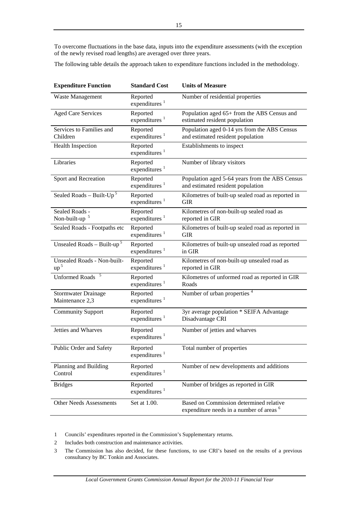To overcome fluctuations in the base data, inputs into the expenditure assessments (with the exception of the newly revised road lengths) are averaged over three years.

The following table details the approach taken to expenditure functions included in the methodology.

| <b>Expenditure Function</b>                   | <b>Standard Cost</b>                  | <b>Units of Measure</b>                                                                        |
|-----------------------------------------------|---------------------------------------|------------------------------------------------------------------------------------------------|
| Waste Management                              | Reported<br>expenditures $1$          | Number of residential properties                                                               |
| <b>Aged Care Services</b>                     | Reported<br>expenditures <sup>1</sup> | Population aged 65+ from the ABS Census and<br>estimated resident population                   |
| Services to Families and<br>Children          | Reported<br>expenditures <sup>1</sup> | Population aged 0-14 yrs from the ABS Census<br>and estimated resident population              |
| <b>Health Inspection</b>                      | Reported<br>expenditures <sup>1</sup> | Establishments to inspect                                                                      |
| Libraries                                     | Reported<br>expenditures <sup>1</sup> | Number of library visitors                                                                     |
| Sport and Recreation                          | Reported<br>expenditures <sup>1</sup> | Population aged 5-64 years from the ABS Census<br>and estimated resident population            |
| Sealed Roads – Built- $Up^5$                  | Reported<br>expenditures $1$          | Kilometres of built-up sealed road as reported in<br><b>GIR</b>                                |
| Sealed Roads -<br>Non-built-up <sup>5</sup>   | Reported<br>expenditures <sup>1</sup> | Kilometres of non-built-up sealed road as<br>reported in GIR                                   |
| Sealed Roads - Footpaths etc                  | Reported<br>expenditures <sup>1</sup> | Kilometres of built-up sealed road as reported in<br><b>GIR</b>                                |
| Unsealed Roads - Built-up <sup>5</sup>        | Reported<br>expenditures $1$          | Kilometres of built-up unsealed road as reported<br>in GIR                                     |
| Unsealed Roads - Non-built-<br>$up^5$         | Reported<br>expenditures <sup>1</sup> | Kilometres of non-built-up unsealed road as<br>reported in GIR                                 |
| <b>Unformed Roads</b>                         | Reported<br>expenditures <sup>1</sup> | Kilometres of unformed road as reported in GIR<br>Roads                                        |
| <b>Stormwater Drainage</b><br>Maintenance 2,3 | Reported<br>expenditures <sup>1</sup> | Number of urban properties <sup>4</sup>                                                        |
| <b>Community Support</b>                      | Reported<br>expenditures $1$          | 3yr average population * SEIFA Advantage<br>Disadvantage CRI                                   |
| Jetties and Wharves                           | Reported<br>expenditures <sup>1</sup> | Number of jetties and wharves                                                                  |
| Public Order and Safety                       | Reported<br>expenditures $1$          | Total number of properties                                                                     |
| Planning and Building<br>Control              | Reported<br>expenditures $1$          | Number of new developments and additions                                                       |
| <b>Bridges</b>                                | Reported<br>expenditures <sup>1</sup> | Number of bridges as reported in GIR                                                           |
| <b>Other Needs Assessments</b>                | Set at 1.00.                          | Based on Commission determined relative<br>expenditure needs in a number of areas <sup>6</sup> |

1 Councils' expenditures reported in the Commission's Supplementary returns.

- 2 Includes both construction and maintenance activities.
- 3 The Commission has also decided, for these functions, to use CRI's based on the results of a previous consultancy by BC Tonkin and Associates.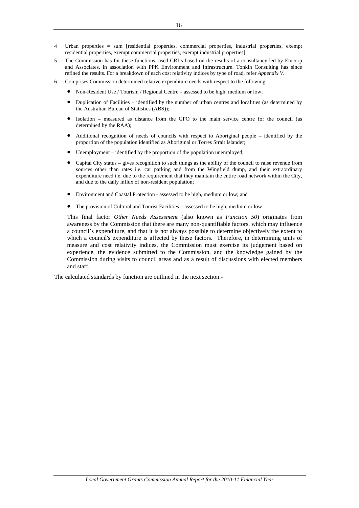- 4 Urban properties = sum [residential properties, commercial properties, industrial properties, exempt residential properties, exempt commercial properties, exempt industrial properties].
- 5 The Commission has for these functions, used CRI's based on the results of a consultancy led by Emcorp and Associates, in association with PPK Environment and Infrastructure. Tonkin Consulting has since refined the results. For a breakdown of each cost relativity indices by type of road, refer *Appendix V*.
- 6 Comprises Commission determined relative expenditure needs with respect to the following:
	- Non-Resident Use / Tourism / Regional Centre assessed to be high, medium or low;
	- Duplication of Facilities identified by the number of urban centres and localities (as determined by the Australian Bureau of Statistics (ABS));
	- Isolation measured as distance from the GPO to the main service centre for the council (as determined by the RAA);
	- Additional recognition of needs of councils with respect to Aboriginal people identified by the proportion of the population identified as Aboriginal or Torres Strait Islander;
	- Unemployment identified by the proportion of the population unemployed;
	- Capital City status gives recognition to such things as the ability of the council to raise revenue from sources other than rates i.e. car parking and from the Wingfield dump, and their extraordinary expenditure need i.e. due to the requirement that they maintain the entire road network within the City, and due to the daily influx of non-resident population;
	- Environment and Coastal Protection assessed to be high, medium or low; and
	- The provision of Cultural and Tourist Facilities assessed to be high, medium or low.

This final factor *Other Needs Assessment* (also known as *Function 50*) originates from awareness by the Commission that there are many non-quantifiable factors, which may influence a council's expenditure, and that it is not always possible to determine objectively the extent to which a council's expenditure is affected by these factors. Therefore, in determining units of measure and cost relativity indices, the Commission must exercise its judgement based on experience, the evidence submitted to the Commission, and the knowledge gained by the Commission during visits to council areas and as a result of discussions with elected members and staff.

The calculated standards by function are outlined in the next section.-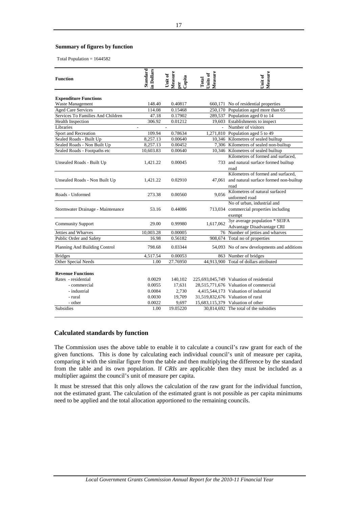# **Summary of figures by function**

Total Population = 1644582

| <b>Function</b>                   | <b>Standard</b><br>n Dollars | Measure<br>Unit of<br>Capita<br>per | Measure<br>Units of<br>Total | Measure<br>Unit of                            |
|-----------------------------------|------------------------------|-------------------------------------|------------------------------|-----------------------------------------------|
| <b>Expenditure Functions</b>      |                              |                                     |                              |                                               |
| Waste Management                  | 148.40                       | 0.40817                             |                              | 660,171 No of residential properties          |
| <b>Aged Care Services</b>         | 114.08                       | 0.15468                             |                              | 250,170 Population aged more than 65          |
| Services To Families And Children | 47.18                        | 0.17902                             |                              | 289,537 Population aged 0 to 14               |
| <b>Health Inspection</b>          | 306.92                       | 0.01212                             |                              | 19,603 Establishments to inspect              |
| Libraries                         | $\overline{\phantom{a}}$     | $\overline{\phantom{a}}$            | $\overline{a}$               | Number of visitors                            |
| Sport and Recreation              | 109.94                       | 0.78634                             |                              | 1,271,810 Population aged 5 to 49             |
| Sealed Roads - Built Up           | 8,257.13                     | 0.00640                             |                              | 10,346 Kilometres of sealed builtup           |
| Sealed Roads - Non Built Up       | 8,257.13                     | 0.00452                             |                              | 7,306 Kilometres of sealed non-builtup        |
| Sealed Roads - Footpaths etc      | 10,603.83                    | 0.00640                             |                              | 10,346 Kilometres of sealed builtup           |
|                                   |                              |                                     |                              | Kilometres of formed and surfaced,            |
| Unsealed Roads - Built Up         | 1,421.22                     | 0.00045                             |                              | 733 and natural surface formed builtup        |
|                                   |                              |                                     |                              | road                                          |
|                                   |                              |                                     |                              | Kilometres of formed and surfaced.            |
| Unsealed Roads - Non Built Up     | 1,421.22                     | 0.02910                             |                              | 47,061 and natural surface formed non-builtup |
|                                   |                              |                                     |                              | road                                          |
| Roads - Unformed                  | 273.38                       | 0.00560                             | 9.056                        | Kilometres of natural surfaced                |
|                                   |                              |                                     |                              | unformed road                                 |
|                                   |                              |                                     |                              | No of urban, industrial and                   |
| Stormwater Drainage - Maintenance | 53.16                        | 0.44086                             |                              | 713,034 commercial properties including       |
|                                   |                              |                                     |                              | exempt                                        |
| <b>Community Support</b>          | 29.00                        | 0.99980                             | 1,617,062                    | 3yr average population * SEIFA                |
|                                   |                              |                                     |                              | Advantage Disadvantage CRI                    |
| Jetties and Wharves               | 10,003.28                    | 0.00005                             |                              | 76 Number of jetties and wharves              |
| Public Order and Safety           | 16.98                        | 0.56182                             |                              | 908,674 Total no of properties                |
| Planning And Building Control     | 798.68                       | 0.03344                             |                              | 54,093 No of new developments and additions   |
| <b>Bridges</b>                    | 4,517.54                     | 0.00053                             |                              | 863 Number of bridges                         |
| Other Special Needs               | 1.00                         | 27.76950                            |                              | 44,913,900 Total of dollars attributed        |
| <b>Revenue Functions</b>          |                              |                                     |                              |                                               |
| Rates - residential               | 0.0029                       | 140,102                             |                              | 225,693,045,749 Valuation of residential      |
| - commercial                      | 0.0055                       | 17,631                              |                              | 28,515,771,676 Valuation of commercial        |
| - industrial                      | 0.0084                       | 2,730                               |                              | 4,415,544,173 Valuation of industrial         |
| - rural                           | 0.0030                       | 19,709                              |                              | 31,519,832,676 Valuation of rural             |
| - other                           | 0.0022                       | 9,697                               |                              | 15,683,115,379 Valuation of other             |
| <b>Subsidies</b>                  | 1.00                         | 19.05220                            |                              | 30,814,692 The total of the subsidies         |
|                                   |                              |                                     |                              |                                               |

### **Calculated standards by function**

The Commission uses the above table to enable it to calculate a council's raw grant for each of the given functions. This is done by calculating each individual council's unit of measure per capita, comparing it with the similar figure from the table and then multiplying the difference by the standard from the table and its own population. If *CRIs* are applicable then they must be included as a multiplier against the council's unit of measure per capita.

It must be stressed that this only allows the calculation of the raw grant for the individual function, not the estimated grant. The calculation of the estimated grant is not possible as per capita minimums need to be applied and the total allocation apportioned to the remaining councils.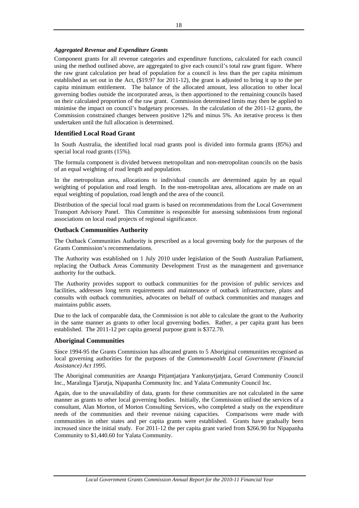## *Aggregated Revenue and Expenditure Grants*

Component grants for all revenue categories and expenditure functions, calculated for each council using the method outlined above, are aggregated to give each council's total raw grant figure. Where the raw grant calculation per head of population for a council is less than the per capita minimum established as set out in the Act, (\$19.97 for 2011-12), the grant is adjusted to bring it up to the per capita minimum entitlement. The balance of the allocated amount, less allocation to other local governing bodies outside the incorporated areas, is then apportioned to the remaining councils based on their calculated proportion of the raw grant. Commission determined limits may then be applied to minimise the impact on council's budgetary processes. In the calculation of the 2011-12 grants, the Commission constrained changes between positive 12% and minus 5%. An iterative process is then undertaken until the full allocation is determined.

### **Identified Local Road Grant**

In South Australia, the identified local road grants pool is divided into formula grants (85%) and special local road grants (15%).

The formula component is divided between metropolitan and non-metropolitan councils on the basis of an equal weighting of road length and population.

In the metropolitan area, allocations to individual councils are determined again by an equal weighting of population and road length. In the non-metropolitan area, allocations are made on an equal weighting of population, road length and the area of the council.

Distribution of the special local road grants is based on recommendations from the Local Government Transport Advisory Panel. This Committee is responsible for assessing submissions from regional associations on local road projects of regional significance.

### **Outback Communities Authority**

The Outback Communities Authority is prescribed as a local governing body for the purposes of the Grants Commission's recommendations.

The Authority was established on 1 July 2010 under legislation of the South Australian Parliament, replacing the Outback Areas Community Development Trust as the management and governance authority for the outback.

The Authority provides support to outback communities for the provision of public services and facilities, addresses long term requirements and maintenance of outback infrastructure, plans and consults with outback communities, advocates on behalf of outback communities and manages and maintains public assets.

Due to the lack of comparable data, the Commission is not able to calculate the grant to the Authority in the same manner as grants to other local governing bodies. Rather, a per capita grant has been established. The 2011-12 per capita general purpose grant is \$372.70.

### **Aboriginal Communities**

Since 1994-95 the Grants Commission has allocated grants to 5 Aboriginal communities recognised as local governing authorities for the purposes of the *Commonwealth Local Government (Financial Assistance) Act 1995*.

The Aboriginal communities are Anangu Pitjantjatjara Yankunytjatjara, Gerard Community Council Inc., Maralinga Tjarutja, Nipapanha Community Inc. and Yalata Community Council Inc.

Again, due to the unavailability of data, grants for these communities are not calculated in the same manner as grants to other local governing bodies. Initially, the Commission utilised the services of a consultant, Alan Morton, of Morton Consulting Services, who completed a study on the expenditure needs of the communities and their revenue raising capacities. Comparisons were made with communities in other states and per capita grants were established. Grants have gradually been increased since the initial study. For 2011-12 the per capita grant varied from \$266.90 for Nipapanha Community to \$1,440.60 for Yalata Community.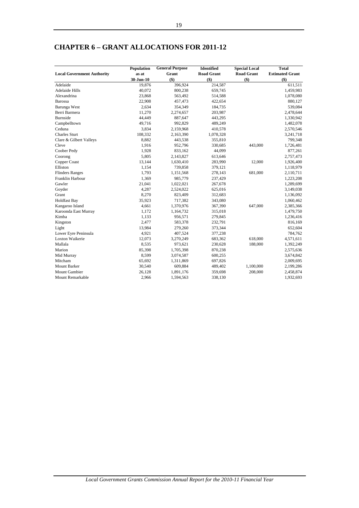|                                   | Population | <b>General Purpose</b> | Identified        | <b>Special Local</b> | <b>Total</b>           |
|-----------------------------------|------------|------------------------|-------------------|----------------------|------------------------|
| <b>Local Government Authority</b> | as at      | Grant                  | <b>Road Grant</b> | <b>Road Grant</b>    | <b>Estimated Grant</b> |
|                                   | 30-Jun-10  | \$)                    | $($ \$)           | \$)                  | $($ \$)                |
| Adelaide                          | 19,876     | 396,924                | 214,587           |                      | 611,511                |
| <b>Adelaide Hills</b>             | 40,072     | 800,238                | 659,745           |                      | 1,459,983              |
| Alexandrina                       | 23,868     | 563,492                | 514,588           |                      | 1,078,080              |
| Barossa                           | 22,908     | 457,473                | 422,654           |                      | 880,127                |
| Barunga West                      | 2,634      | 354,349                | 184,735           |                      | 539,084                |
| Berri Barmera                     | 11,270     | 2,274,657              | 203,987           |                      | 2,478,644              |
| <b>Burnside</b>                   | 44,449     | 887,647                | 443,295           |                      | 1,330,942              |
| Campbelltown                      | 49,716     | 992,829                | 489,249           |                      | 1,482,078              |
| Ceduna                            | 3,834      | 2,159,968              | 410,578           |                      | 2,570,546              |
| <b>Charles Sturt</b>              | 108,332    | 2,163,390              | 1,078,328         |                      | 3,241,718              |
| Clare & Gilbert Valleys           | 8,882      | 443,538                | 355,810           |                      | 799,348                |
| Cleve                             | 1,916      | 952,796                | 330,685           | 443,000              | 1,726,481              |
| Coober Pedy                       | 1,928      | 833,162                | 44,099            |                      | 877,261                |
| Coorong                           | 5,805      | 2,143,827              | 613,646           |                      | 2,757,473              |
| Copper Coast                      | 13,144     | 1,630,410              | 283,990           | 12,000               | 1,926,400              |
| Elliston                          | 1,154      | 739,858                | 379,121           |                      | 1,118,979              |
| <b>Flinders Ranges</b>            | 1,793      | 1,151,568              | 278,143           | 681,000              | 2,110,711              |
| Franklin Harbour                  | 1,369      | 985,779                | 237,429           |                      | 1,223,208              |
| Gawler                            | 21,041     | 1,022,021              | 267,678           |                      | 1,289,699              |
| Goyder                            | 4,287      | 2,524,022              | 625,016           |                      | 3,149,038              |
| Grant                             | 8,270      | 823,409                | 312,683           |                      | 1,136,092              |
| <b>Holdfast Bay</b>               | 35,923     | 717,382                | 343,080           |                      | 1,060,462              |
| Kangaroo Island                   | 4,661      | 1,370,976              | 367,390           | 647,000              | 2,385,366              |
| Karoonda East Murray              | 1,172      | 1,164,732              | 315,018           |                      | 1,479,750              |
| Kimba                             | 1,133      | 956,571                | 279,845           |                      | 1,236,416              |
| Kingston                          | 2,477      | 583,378                | 232,791           |                      | 816,169                |
| Light                             | 13,984     | 279,260                | 373,344           |                      | 652,604                |
| Lower Eyre Peninsula              | 4,921      | 407,524                | 377,238           |                      | 784,762                |
| Loxton Waikerie                   | 12,073     | 3,270,249              | 683,362           | 618,000              | 4,571,611              |
| Mallala                           | 8,535      | 973,621                | 230,628           | 188,000              | 1,392,249              |
| Marion                            | 85,398     | 1,705,398              | 870,238           |                      | 2,575,636              |
| Mid Murray                        | 8,599      | 3,074,587              | 600,255           |                      | 3,674,842              |
| Mitcham                           | 65,692     | 1,311,869              | 697,826           |                      | 2,009,695              |
| <b>Mount Barker</b>               | 30,540     | 609,884                | 489,402           | 1,100,000            | 2,199,286              |
| <b>Mount Gambier</b>              | 26,128     | 1,891,176              | 359,698           | 208,000              | 2,458,874              |
| Mount Remarkable                  | 2,966      | 1,594,563              | 338,130           |                      | 1,932,693              |

# **CHAPTER 6 – GRANT ALLOCATIONS FOR 2011-12**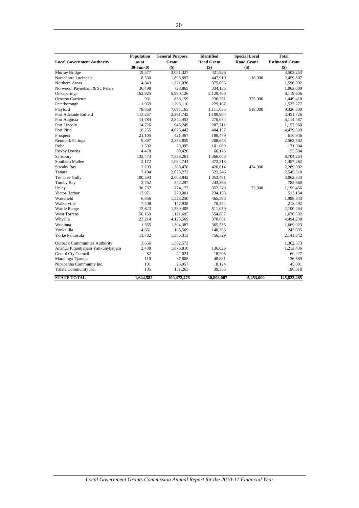|                                       | Population | <b>General Purpose</b> | <b>Identified</b> | <b>Special Local</b> | <b>Total</b>           |
|---------------------------------------|------------|------------------------|-------------------|----------------------|------------------------|
| <b>Local Government Authority</b>     | as at      | Grant                  | <b>Road Grant</b> | <b>Road Grant</b>    | <b>Estimated Grant</b> |
|                                       | 30-Jun-10  | \$)                    | $($)$             | \$)                  | $($ \$)                |
| Murray Bridge                         | 19,577     | 3,081,327              | 421,926           |                      | 3,503,253              |
| Naracoorte Lucindale                  | 8,530      | 1,895,897              | 447,910           | 116,000              | 2,459,807              |
| Northern Areas                        | 4,843      | 1,221,036              | 375,056           |                      | 1,596,092              |
| Norwood, Payneham & St. Peters        | 36,498     | 728,865                | 334,135           |                      | 1,063,000              |
| Onkaparinga                           | 162,925    | 5,990,126              | 2,129,480         |                      | 8,119,606              |
| Orroroo Carrieton                     | 931        | 838,159                | 236,251           | 375,000              | 1,449,410              |
| Peterborough                          | 1,969      | 1,298,110              | 229,167           |                      | 1,527,277              |
| Playford                              | 79,850     | 7,697,165              | 1,111,635         | 518,000              | 9,326,800              |
| Port Adelaide Enfield                 | 113,257    | 2,261,742              | 1,189,984         |                      | 3,451,726              |
| Port Augusta                          | 14,784     | 2,844,453              | 270,034           |                      | 3,114,487              |
| Port Lincoln                          | 14,726     | 945,249                | 207,711           |                      | 1,152,960              |
| Port Pirie                            | 18,255     | 4,075,442              | 404,157           |                      | 4,479,599              |
| Prospect                              | 21,105     | 421,467                | 189,479           |                      | 610,946                |
| Renmark Paringa                       | 9,897      | 2,353,859              | 208,643           |                      | 2,562,502              |
| Robe                                  | 1,502      | 29,995                 | 101,009           |                      | 131,004                |
| <b>Roxby Downs</b>                    | 4,478      | 89,426                 | 66,178            |                      | 155,604                |
| Salisbury                             | 132,473    | 7,338,261              | 1,366,003         |                      | 8,704,264              |
| Southern Mallee                       | 2,172      | 1,084,744              | 372,518           |                      | 1,457,262              |
| <b>Streaky Bay</b>                    | 2,203      | 1,388,478              | 426,614           | 474,000              | 2,289,092              |
| Tatiara                               | 7,194      | 2,023,272              | 522,246           |                      | 2,545,518              |
| Tea Tree Gully                        | 100,593    | 2,008,842              | 1,053,491         |                      | 3,062,333              |
| Tumby Bay                             | 2,762      | 542,297                | 243,363           |                      | 785,660                |
| Unley                                 | 38,767     | 774,177                | 352,279           | 73,000               | 1,199,456              |
| Victor Harbor                         | 13,971     | 279,001                | 234,153           |                      | 513,154                |
| Wakefield                             | 6,856      | 1,523,250              | 465,593           |                      | 1,988,843              |
| Walkerville                           | 7,408      | 147,938                | 70,554            |                      | 218,492                |
| <b>Wattle Range</b>                   | 12,623     | 1,589,405              | 511,059           |                      | 2,100,464              |
| <b>West Torrens</b>                   | 56,169     | 1,121,695              | 554,807           |                      | 1,676,502              |
| Whyalla                               | 23,214     | 4,123,569              | 370,661           |                      | 4,494,230              |
| Wudinna                               | 1,365      | 1,304,387              | 365,536           |                      | 1,669,923              |
| Yankalilla                            | 4,661      | 105,569                | 140,366           |                      | 245,935                |
| Yorke Peninsula                       | 11,782     | 1,385,313              | 756,529           |                      | 2,141,842              |
| <b>Outback Communities Authority</b>  | 3,656      | 1,362,573              |                   |                      | 1,362,573              |
| Anangu Pitjantjatjara Yankunytjatjara | 2,438      | 1,076,810              | 136,626           |                      | 1,213,436              |
| Gerard Cty Council                    | 82         | 42,024                 | 18,203            |                      | 60,227                 |
| Maralinga Tjarutja                    | 110        | 87,808                 | 48,881            |                      | 136,689                |
| Nipapanha Community Inc.              | 101        | 26,957                 | 18,124            |                      | 45,081                 |
| Yalata Community Inc.                 | 105        | 151,263                | 39,355            |                      | 190,618                |
| <b>STATE TOTAL</b>                    | 1,644,582  | 109,472,478            | 30,898,007        | 5,453,000            | 145,823,485            |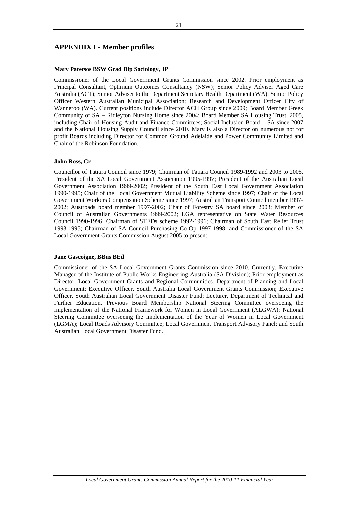### **APPENDIX I - Member profiles**

### **Mary Patetsos BSW Grad Dip Sociology, JP**

Commissioner of the Local Government Grants Commission since 2002. Prior employment as Principal Consultant, Optimum Outcomes Consultancy (NSW); Senior Policy Adviser Aged Care Australia (ACT); Senior Adviser to the Department Secretary Health Department (WA); Senior Policy Officer Western Australian Municipal Association; Research and Development Officer City of Wanneroo (WA). Current positions include Director ACH Group since 2009; Board Member Greek Community of SA – Ridleyton Nursing Home since 2004; Board Member SA Housing Trust, 2005, including Chair of Housing Audit and Finance Committees; Social Inclusion Board – SA since 2007 and the National Housing Supply Council since 2010. Mary is also a Director on numerous not for profit Boards including Director for Common Ground Adelaide and Power Community Limited and Chair of the Robinson Foundation.

### **John Ross, Cr**

Councillor of Tatiara Council since 1979; Chairman of Tatiara Council 1989-1992 and 2003 to 2005, President of the SA Local Government Association 1995-1997; President of the Australian Local Government Association 1999-2002; President of the South East Local Government Association 1990-1995; Chair of the Local Government Mutual Liability Scheme since 1997; Chair of the Local Government Workers Compensation Scheme since 1997; Australian Transport Council member 1997- 2002; Austroads board member 1997-2002; Chair of Forestry SA board since 2003; Member of Council of Australian Governments 1999-2002; LGA representative on State Water Resources Council 1990-1996; Chairman of STEDs scheme 1992-1996; Chairman of South East Relief Trust 1993-1995; Chairman of SA Council Purchasing Co-Op 1997-1998; and Commissioner of the SA Local Government Grants Commission August 2005 to present.

### **Jane Gascoigne, BBus BEd**

Commissioner of the SA Local Government Grants Commission since 2010. Currently, Executive Manager of the Institute of Public Works Engineering Australia (SA Division); Prior employment as Director, Local Government Grants and Regional Communities, Department of Planning and Local Government; Executive Officer, South Australia Local Government Grants Commission; Executive Officer, South Australian Local Government Disaster Fund; Lecturer, Department of Technical and Further Education. Previous Board Membership National Steering Committee overseeing the implementation of the National Framework for Women in Local Government (ALGWA); National Steering Committee overseeing the implementation of the Year of Women in Local Government (LGMA); Local Roads Advisory Committee; Local Government Transport Advisory Panel; and South Australian Local Government Disaster Fund.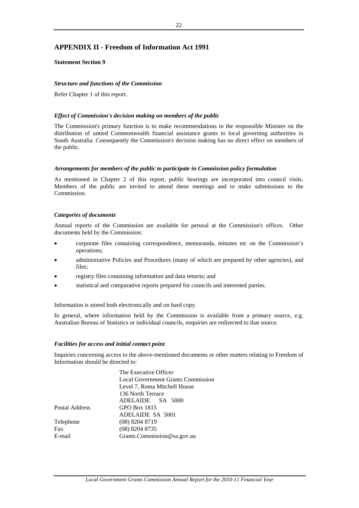# **APPENDIX II - Freedom of Information Act 1991**

### **Statement Section 9**

### *Structure and functions of the Commission*

Refer Chapter 1 of this report.

### *Effect of Commission's decision making on members of the public*

The Commission's primary function is to make recommendations to the responsible Minister on the distribution of untied Commonwealth financial assistance grants to local governing authorities in South Australia. Consequently the Commission's decision making has no direct effect on members of the public.

### *Arrangements for members of the public to participate in Commission policy formulation*

As mentioned in Chapter 2 of this report, public hearings are incorporated into council visits. Members of the public are invited to attend these meetings and to make submissions to the Commission.

### *Categories of documents*

Annual reports of the Commission are available for perusal at the Commission's offices. Other documents held by the Commission:

- corporate files containing correspondence, memoranda, minutes etc on the Commission's operations;
- administrative Policies and Procedures (many of which are prepared by other agencies), and files;
- registry files containing information and data returns; and
- statistical and comparative reports prepared for councils and interested parties.

Information is stored both electronically and on hard copy.

In general, where information held by the Commission is available from a primary source, e.g. Australian Bureau of Statistics or individual councils, enquiries are redirected to that source.

### *Facilities for access and initial contact point*

Inquiries concerning access to the above-mentioned documents or other matters relating to Freedom of Information should be directed to:

|                | The Executive Officer                     |  |  |  |  |
|----------------|-------------------------------------------|--|--|--|--|
|                | <b>Local Government Grants Commission</b> |  |  |  |  |
|                | Level 7, Roma Mitchell House              |  |  |  |  |
|                | 136 North Terrace                         |  |  |  |  |
|                | ADELAIDE SA 5000                          |  |  |  |  |
| Postal Address | GPO Box 1815                              |  |  |  |  |
|                | ADELAIDE SA 5001                          |  |  |  |  |
| Telephone      | $(08)$ 8204 8719                          |  |  |  |  |
| Fax            | (08) 8204 8735                            |  |  |  |  |
| E-mail         | Grants.Commission@sa.gov.au               |  |  |  |  |
|                |                                           |  |  |  |  |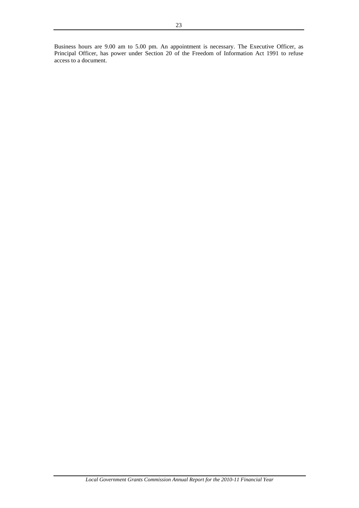Business hours are 9.00 am to 5.00 pm. An appointment is necessary. The Executive Officer, as Principal Officer, has power under Section 20 of the Freedom of Information Act 1991 to refuse access to a document.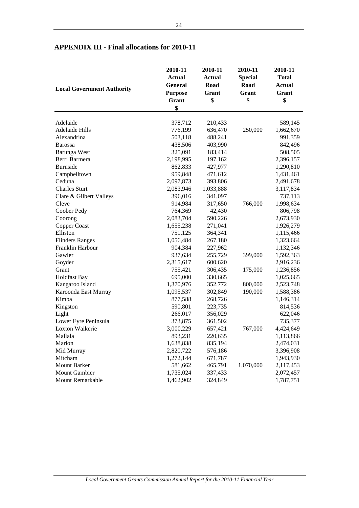|                                   | 2010-11        | 2010-11       | 2010-11        | 2010-11                |
|-----------------------------------|----------------|---------------|----------------|------------------------|
|                                   | <b>Actual</b>  | <b>Actual</b> | <b>Special</b> | <b>Total</b>           |
|                                   | <b>General</b> | Road          | Road           |                        |
| <b>Local Government Authority</b> |                | Grant         | Grant          | <b>Actual</b><br>Grant |
|                                   | <b>Purpose</b> |               |                |                        |
|                                   | Grant          | \$            | \$             | \$                     |
|                                   | \$             |               |                |                        |
| Adelaide                          | 378,712        | 210,433       |                | 589,145                |
| <b>Adelaide Hills</b>             | 776,199        | 636,470       | 250,000        | 1,662,670              |
| Alexandrina                       | 503,118        | 488,241       |                | 991,359                |
| <b>Barossa</b>                    | 438,506        | 403,990       |                | 842,496                |
| <b>Barunga</b> West               | 325,091        | 183,414       |                | 508,505                |
| Berri Barmera                     | 2,198,995      | 197,162       |                | 2,396,157              |
| <b>Burnside</b>                   | 862,833        | 427,977       |                | 1,290,810              |
| Campbelltown                      | 959,848        | 471,612       |                | 1,431,461              |
| Ceduna                            | 2,097,873      | 393,806       |                | 2,491,678              |
| <b>Charles Sturt</b>              | 2,083,946      | 1,033,888     |                | 3,117,834              |
| Clare & Gilbert Valleys           | 396,016        | 341,097       |                | 737,113                |
| Cleve                             | 914,984        | 317,650       | 766,000        | 1,998,634              |
| Coober Pedy                       | 764,369        | 42,430        |                | 806,798                |
| Coorong                           | 2,083,704      | 590,226       |                | 2,673,930              |
| Copper Coast                      | 1,655,238      | 271,041       |                | 1,926,279              |
| Elliston                          | 751,125        | 364,341       |                | 1,115,466              |
| <b>Flinders Ranges</b>            | 1,056,484      | 267,180       |                | 1,323,664              |
| Franklin Harbour                  | 904,384        | 227,962       |                | 1,132,346              |
| Gawler                            | 937,634        | 255,729       | 399,000        | 1,592,363              |
| Goyder                            | 2,315,617      | 600,620       |                | 2,916,236              |
| Grant                             | 755,421        | 306,435       | 175,000        | 1,236,856              |
| Holdfast Bay                      | 695,000        | 330,665       |                | 1,025,665              |
| Kangaroo Island                   | 1,370,976      | 352,772       | 800,000        | 2,523,748              |
| Karoonda East Murray              | 1,095,537      | 302,849       | 190,000        | 1,588,386              |
| Kimba                             | 877,588        | 268,726       |                | 1,146,314              |
| Kingston                          | 590,801        | 223,735       |                | 814,536                |
| Light                             | 266,017        | 356,029       |                | 622,046                |
| Lower Eyre Peninsula              | 373,875        | 361,502       |                | 735,377                |
| Loxton Waikerie                   | 3,000,229      | 657,421       | 767,000        | 4,424,649              |
| Mallala                           | 893,231        | 220,635       |                | 1,113,866              |
| Marion                            | 1,638,838      | 835,194       |                | 2,474,031              |
| Mid Murray                        | 2,820,722      | 576,186       |                | 3,396,908              |
| Mitcham                           | 1,272,144      | 671,787       |                | 1,943,930              |
| <b>Mount Barker</b>               | 581,662        | 465,791       | 1,070,000      | 2,117,453              |
| <b>Mount Gambier</b>              | 1,735,024      | 337,433       |                | 2,072,457              |
| Mount Remarkable                  | 1,462,902      | 324,849       |                | 1,787,751              |

# **APPENDIX III - Final allocations for 2010-11**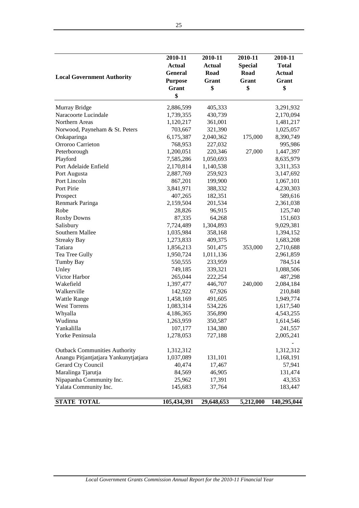| <b>Local Government Authority</b>     | 2010-11<br><b>Actual</b><br><b>General</b><br><b>Purpose</b><br>Grant<br>\$ | 2010-11<br><b>Actual</b><br>Road<br>Grant<br>\$ | 2010-11<br><b>Special</b><br><b>Road</b><br>Grant<br>\$ | 2010-11<br><b>Total</b><br><b>Actual</b><br>Grant<br>\$ |
|---------------------------------------|-----------------------------------------------------------------------------|-------------------------------------------------|---------------------------------------------------------|---------------------------------------------------------|
| Murray Bridge                         | 2,886,599                                                                   | 405,333                                         |                                                         | 3,291,932                                               |
| Naracoorte Lucindale                  | 1,739,355                                                                   | 430,739                                         |                                                         | 2,170,094                                               |
| Northern Areas                        | 1,120,217                                                                   | 361,001                                         |                                                         | 1,481,217                                               |
| Norwood, Payneham & St. Peters        | 703,667                                                                     | 321,390                                         |                                                         | 1,025,057                                               |
| Onkaparinga                           | 6,175,387                                                                   | 2,040,362                                       | 175,000                                                 | 8,390,749                                               |
| Orroroo Carrieton                     | 768,953                                                                     | 227,032                                         |                                                         | 995,986                                                 |
| Peterborough                          | 1,200,051                                                                   | 220,346                                         | 27,000                                                  | 1,447,397                                               |
| Playford                              | 7,585,286                                                                   | 1,050,693                                       |                                                         | 8,635,979                                               |
| Port Adelaide Enfield                 | 2,170,814                                                                   | 1,140,538                                       |                                                         | 3,311,353                                               |
| Port Augusta                          | 2,887,769                                                                   | 259,923                                         |                                                         | 3,147,692                                               |
| Port Lincoln                          | 867,201                                                                     | 199,900                                         |                                                         | 1,067,101                                               |
| Port Pirie                            | 3,841,971                                                                   | 388,332                                         |                                                         | 4,230,303                                               |
| Prospect                              | 407,265                                                                     | 182,351                                         |                                                         | 589,616                                                 |
| Renmark Paringa                       | 2,159,504                                                                   | 201,534                                         |                                                         | 2,361,038                                               |
| Robe                                  | 28,826                                                                      | 96,915                                          |                                                         | 125,740                                                 |
| <b>Roxby Downs</b>                    | 87,335                                                                      | 64,268                                          |                                                         | 151,603                                                 |
| Salisbury                             | 7,724,489                                                                   | 1,304,893                                       |                                                         | 9,029,381                                               |
| Southern Mallee                       | 1,035,984                                                                   | 358,168                                         |                                                         | 1,394,152                                               |
| <b>Streaky Bay</b>                    | 1,273,833                                                                   | 409,375                                         |                                                         | 1,683,208                                               |
| Tatiara                               | 1,856,213                                                                   | 501,475                                         | 353,000                                                 | 2,710,688                                               |
| Tea Tree Gully                        | 1,950,724                                                                   | 1,011,136                                       |                                                         | 2,961,859                                               |
| <b>Tumby Bay</b>                      | 550,555                                                                     | 233,959                                         |                                                         | 784,514                                                 |
| Unley                                 | 749,185                                                                     | 339,321                                         |                                                         | 1,088,506                                               |
| Victor Harbor                         | 265,044                                                                     | 222,254                                         |                                                         | 487,298                                                 |
| Wakefield                             | 1,397,477                                                                   | 446,707                                         | 240,000                                                 | 2,084,184                                               |
| Walkerville                           | 142,922                                                                     | 67,926                                          |                                                         | 210,848                                                 |
| <b>Wattle Range</b>                   | 1,458,169                                                                   | 491,605                                         |                                                         | 1,949,774                                               |
| <b>West Torrens</b>                   | 1,083,314                                                                   | 534,226                                         |                                                         | 1,617,540                                               |
| Whyalla                               | 4,186,365                                                                   | 356,890                                         |                                                         | 4,543,255                                               |
| Wudinna                               | 1,263,959                                                                   | 350,587                                         |                                                         | 1,614,546                                               |
| Yankalilla                            | 107,177                                                                     | 134,380                                         |                                                         | 241,557                                                 |
| Yorke Peninsula                       | 1,278,053                                                                   | 727,188                                         |                                                         | 2,005,241                                               |
|                                       |                                                                             |                                                 |                                                         |                                                         |
| <b>Outback Communities Authority</b>  | 1,312,312                                                                   |                                                 |                                                         | 1,312,312                                               |
| Anangu Pitjantjatjara Yankunytjatjara | 1,037,089                                                                   | 131,101                                         |                                                         | 1,168,191                                               |
| Gerard Cty Council                    | 40,474                                                                      | 17,467                                          |                                                         | 57,941                                                  |
| Maralinga Tjarutja                    | 84,569                                                                      | 46,905                                          |                                                         | 131,474                                                 |
| Nipapanha Community Inc.              | 25,962                                                                      | 17,391                                          |                                                         | 43,353                                                  |
| Yalata Community Inc.                 | 145,683                                                                     | 37,764                                          |                                                         | 183,447                                                 |
| <b>STATE TOTAL</b>                    | 105,434,391                                                                 | 29,648,653                                      | 5,212,000                                               | 140,295,044                                             |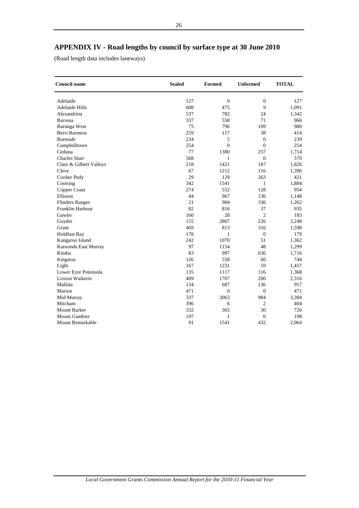# **APPENDIX IV - Road lengths by council by surface type at 30 June 2010**

(Road length data includes laneways)

| <b>Council name</b>           | <b>Sealed</b> | Formed           | <b>Unformed</b>  | <b>TOTAL</b> |
|-------------------------------|---------------|------------------|------------------|--------------|
| Adelaide                      | 127           | $\boldsymbol{0}$ | $\boldsymbol{0}$ | 127          |
| <b>Adelaide Hills</b>         | 608           | 475              | 9                | 1,091        |
| Alexandrina                   | 537           | 782              | 24               | 1,342        |
| <b>Barossa</b>                | 337           | 558              | 71               | 966          |
|                               | 75            | 796              | 109              | 980          |
| Barunga West<br>Berri Barmera | 259           | 117              | 38               | 414          |
| <b>Burnside</b>               | 234           | 5                | $\boldsymbol{0}$ | 239          |
|                               | 254           | $\theta$         | $\overline{0}$   | 254          |
| Campbelltown<br>Ceduna        | 77            | 1380             | 257              | 1,714        |
| <b>Charles Sturt</b>          |               |                  |                  |              |
|                               | 568           | $\mathbf{1}$     | $\boldsymbol{0}$ | 570          |
| Clare & Gilbert Valleys       | 218           | 1421             | 187              | 1,826        |
| Cleve                         | 67            | 1212             | 116              | 1,396        |
| Coober Pedy                   | 29            | 129              | 263              | 421          |
| Coorong                       | 342           | 1541             | 1                | 1,884        |
| Copper Coast                  | 274           | 552              | 128              | 954          |
| Elliston                      | 44            | 967              | 136              | 1,148        |
| <b>Flinders Ranges</b>        | 21            | 904              | 336              | 1,262        |
| Franklin Harbour              | 82            | 816              | 37               | 935          |
| Gawler                        | 160           | 20               | $\overline{c}$   | 183          |
| Goyder                        | 155           | 2867             | 226              | 3,248        |
| Grant                         | 469           | 813              | 316              | 1,598        |
| <b>Holdfast Bay</b>           | 178           | 1                | $\boldsymbol{0}$ | 179          |
| Kangaroo Island               | 242           | 1070             | 51               | 1,362        |
| Karoonda East Murray          | 97            | 1154             | 48               | 1,299        |
| Kimba                         | 83            | 997              | 636              | 1,716        |
| Kingston                      | 126           | 558              | 60               | 744          |
| Light                         | 167           | 1231             | 59               | 1,457        |
| Lower Eyre Peninsula          | 135           | 1117             | 116              | 1,368        |
| Loxton Waikerie               | 409           | 1707             | 200              | 2,316        |
| Mallala                       | 134           | 687              | 136              | 957          |
| Marion                        | 471           | $\overline{0}$   | $\overline{0}$   | 471          |
| Mid Murray                    | 337           | 2063             | 984              | 3,384        |
| Mitcham                       | 396           | 6                | $\overline{2}$   | 404          |
| <b>Mount Barker</b>           | 332           | 365              | 30               | 726          |
| <b>Mount Gambier</b>          | 197           | 1                | $\boldsymbol{0}$ | 198          |
| Mount Remarkable              | 91            | 1541             | 432              | 2,064        |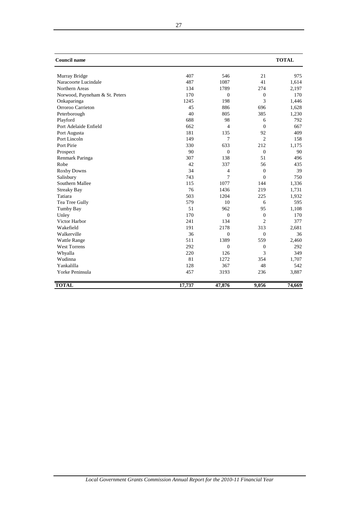| <b>Council name</b>            |        |              |                | <b>TOTAL</b> |
|--------------------------------|--------|--------------|----------------|--------------|
| Murray Bridge                  | 407    | 546          | 21             | 975          |
| Naracoorte Lucindale           | 487    | 1087         | 41             | 1,614        |
| Northern Areas                 | 134    | 1789         | 274            | 2,197        |
| Norwood, Payneham & St. Peters | 170    | $\mathbf{0}$ | $\mathbf{0}$   | 170          |
| Onkaparinga                    | 1245   | 198          | 3              | 1,446        |
| Orroroo Carrieton              | 45     | 886          | 696            | 1,628        |
| Peterborough                   | 40     | 805          | 385            | 1,230        |
| Playford                       | 688    | 98           | 6              | 792          |
| Port Adelaide Enfield          | 662    | 4            | $\mathbf{0}$   | 667          |
| Port Augusta                   | 181    | 135          | 92             | 409          |
| Port Lincoln                   | 149    | 7            | $\overline{c}$ | 158          |
| Port Pirie                     | 330    | 633          | 212            | 1,175        |
| Prospect                       | 90     | $\mathbf{0}$ | $\mathbf{0}$   | 90           |
| Renmark Paringa                | 307    | 138          | 51             | 496          |
| Robe                           | 42     | 337          | 56             | 435          |
| <b>Roxby Downs</b>             | 34     | 4            | $\Omega$       | 39           |
| Salisbury                      | 743    | 7            | $\Omega$       | 750          |
| Southern Mallee                | 115    | 1077         | 144            | 1,336        |
| <b>Streaky Bay</b>             | 76     | 1436         | 219            | 1,731        |
| Tatiara                        | 503    | 1204         | 225            | 1,932        |
| Tea Tree Gully                 | 579    | 10           | 6              | 595          |
| Tumby Bay                      | 51     | 962          | 95             | 1,108        |
| Unley                          | 170    | $\mathbf{0}$ | $\mathbf{0}$   | 170          |
| Victor Harbor                  | 241    | 134          | $\overline{2}$ | 377          |
| Wakefield                      | 191    | 2178         | 313            | 2,681        |
| Walkerville                    | 36     | $\mathbf{0}$ | $\mathbf{0}$   | 36           |
| <b>Wattle Range</b>            | 511    | 1389         | 559            | 2,460        |
| <b>West Torrens</b>            | 292    | $\mathbf{0}$ | $\mathbf{0}$   | 292          |
| Whyalla                        | 220    | 126          | 3              | 349          |
| Wudinna                        | 81     | 1272         | 354            | 1,707        |
| Yankalilla                     | 128    | 367          | 48             | 542          |
| Yorke Peninsula                | 457    | 3193         | 236            | 3,887        |
| <b>TOTAL</b>                   | 17,737 | 47,876       | 9,056          | 74,669       |

27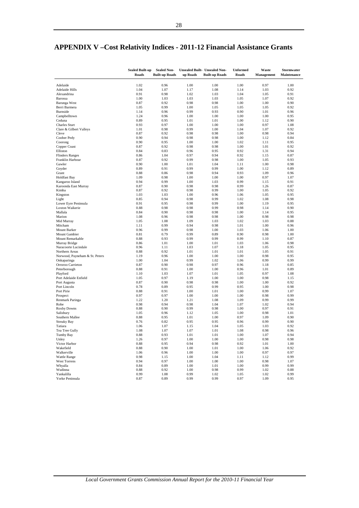|                                   | <b>Sealed Built-up</b><br>Roads | <b>Sealed Non-</b><br><b>Built-up Roads</b> | up Roads     | Unsealed Built- Unsealed Non-<br><b>Built-up Roads</b> | <b>Unformed</b><br>Roads | Waste<br><b>Management</b> | Stormwater<br>Maintenance |
|-----------------------------------|---------------------------------|---------------------------------------------|--------------|--------------------------------------------------------|--------------------------|----------------------------|---------------------------|
| Adelaide                          | 1.02                            | 0.96                                        | 1.00         | 1.00                                                   | 1.00                     | 0.97                       | 1.00                      |
| <b>Adelaide Hills</b>             | 1.04                            | 1.07                                        | 1.17         | 1.08                                                   | 1.14                     | 1.03                       | 0.92                      |
| Alexandrina                       | 0.91                            | 0.98                                        | 1.02         | 1.03                                                   | 1.04                     | 1.05                       | 0.91                      |
| Barossa                           | 1.00                            | 1.03                                        | 1.03         | 1.03                                                   | 1.05                     | 1.07                       | 0.92                      |
| Barunga West                      | 0.87                            | 0.92                                        | 0.98         | 0.98                                                   | 1.00                     | 1.00                       | 0.90                      |
| Berri Barmera                     | 1.05                            | 0.99                                        | 1.00         | 1.05                                                   | 1.05                     | 1.05                       | 0.92<br>0.96              |
| Burnside<br>Campbelltown          | 1.14<br>1.24                    | 0.96<br>0.96                                | 0.99<br>1.00 | 0.93<br>1.00                                           | 0.90<br>1.00             | 1.01<br>1.00               | 0.95                      |
| Ceduna                            | 0.89                            | 0.95                                        | 1.01         | 1.01                                                   | 1.00                     | 1.12                       | 0.90                      |
| <b>Charles Sturt</b>              | 0.93                            | 0.97                                        | 1.00         | 1.00                                                   | 1.00                     | 0.97                       | 1.08                      |
| Clare & Gilbert Valleys           | 1.01                            | 0.98                                        | 0.99         | 1.00                                                   | 1.04                     | 1.07                       | 0.92                      |
| Cleve                             | 0.87                            | 0.92                                        | 0.98         | 0.98                                                   | 1.00                     | 0.98                       | 0.94                      |
| Coober Pedy                       | 0.90                            | 0.94                                        | 0.98         | 0.98                                                   | 1.00                     | 1.12                       | 0.84                      |
| Coorong                           | 0.90                            | 0.95                                        | 1.00         | 1.00                                                   | 1.02                     | 1.11                       | 0.95                      |
| Copper Coast<br>Elliston          | 0.87<br>0.84                    | 0.92<br>0.83                                | 0.98<br>0.96 | 0.98<br>0.95                                           | 1.00<br>0.92             | 1.01<br>1.31               | 0.92<br>0.94              |
| <b>Flinders Ranges</b>            | 0.86                            | 1.04                                        | 0.97         | 0.94                                                   | 0.92                     | 1.15                       | 0.87                      |
| Franklin Harbour                  | 0.87                            | 0.92                                        | 0.99         | 0.98                                                   | 1.00                     | 1.05                       | 0.93                      |
| Gawler                            | 0.90                            | 1.00                                        | 1.01         | 1.04                                                   | 1.11                     | 1.00                       | 0.98                      |
| Goyder                            | 0.89                            | 0.91                                        | 0.99         | 0.99                                                   | 1.00                     | 1.12                       | 0.89                      |
| Grant                             | 0.88                            | 0.86                                        | 0.98         | 0.94                                                   | 0.93                     | 1.09                       | 0.96                      |
| <b>Holdfast Bay</b>               | 1.09                            | 0.98                                        | 1.00         | 1.00                                                   | 1.00                     | 0.97                       | 1.07                      |
| Kangaroo Island                   | 0.94                            | 0.99                                        | 1.00         | 1.03                                                   | 0.99                     | 1.15                       | 0.91                      |
| Karoonda East Murray<br>Kimba     | 0.87<br>0.87                    | 0.90<br>0.92                                | 0.98<br>0.98 | 0.98<br>0.99                                           | 0.99<br>1.00             | 1.26<br>1.05               | 0.87<br>0.92              |
| Kingston                          | 1.03                            | 1.03                                        | 1.00         | 0.96                                                   | 1.06                     | 1.05                       | 0.95                      |
| Light                             | 0.85                            | 0.94                                        | 0.98         | 0.99                                                   | 1.02                     | 1.08                       | 0.98                      |
| Lower Eyre Peninsula              | 0.91                            | 0.95                                        | 0.98         | 0.99                                                   | 1.00                     | 1.19                       | 0.95                      |
| Loxton Waikerie                   | 0.88                            | 0.98                                        | 0.98         | 0.99                                                   | 0.98                     | 1.14                       | 0.90                      |
| Mallala                           | 0.84                            | 0.90                                        | 0.98         | 0.98                                                   | 1.00                     | 1.14                       | 0.95                      |
| Marion                            | 1.08                            | 0.96                                        | 0.98         | 0.98                                                   | 1.00                     | 0.98                       | 0.98                      |
| Mid Murray                        | 1.05                            | 1.08                                        | 1.09         | 1.03                                                   | 1.02                     | 1.03                       | 0.88                      |
| Mitcham<br><b>Mount Barker</b>    | 1.11<br>0.96                    | 0.99<br>0.99                                | 0.94<br>0.98 | 0.98<br>1.00                                           | 1.01<br>1.03             | 1.00<br>1.06               | 0.96<br>1.00              |
| Mount Gambier                     | 0.81                            | 0.79                                        | 0.99         | 0.89                                                   | 0.90                     | 0.98                       | 1.00                      |
| Mount Remarkable                  | 0.88                            | 0.93                                        | 0.99         | 0.99                                                   | 0.99                     | 1.10                       | 0.87                      |
| Murray Bridge                     | 0.86                            | 1.01                                        | 1.00         | 1.01                                                   | 1.03                     | 1.06                       | 0.98                      |
| Naracoorte Lucindale              | 0.96                            | 1.11                                        | 1.03         | 1.07                                                   | 1.18                     | 1.05                       | 0.95                      |
| Northern Areas                    | 0.88                            | 0.92                                        | 1.01         | 1.01                                                   | 1.01                     | 1.05                       | 0.91                      |
| Norwood, Payneham & St. Peters    | 1.19                            | 0.96                                        | 1.00         | 1.00                                                   | 1.00                     | 0.98                       | 0.95                      |
| Onkaparinga                       | 1.00                            | 1.04                                        | 0.99         | 1.02                                                   | 1.06                     | 0.99                       | 0.99                      |
| Orroroo Carrieton<br>Peterborough | 0.87<br>0.88                    | 0.90<br>0.91                                | 0.98<br>1.00 | 0.97<br>1.00                                           | 0.96<br>0.96             | 1.18<br>1.01               | 0.85<br>0.89              |
| Playford                          | 1.10                            | 1.03                                        | 1.07         | 1.01                                                   | 1.05                     | 0.97                       | 1.08                      |
| Port Adelaide Enfield             | 1.05                            | 0.97                                        | 1.19         | 1.00                                                   | 1.00                     | 0.98                       | 1.15                      |
| Port Augusta                      | 0.87                            | 0.90                                        | 0.98         | 0.98                                                   | 1.00                     | 1.00                       | 0.92                      |
| Port Lincoln                      | 0.78                            | 0.89                                        | 0.95         | 0.99                                                   | 0.95                     | 1.00                       | 0.98                      |
| Port Pirie                        | 0.88                            | 0.91                                        | 1.00         | 1.01                                                   | 1.00                     | 0.99                       | 1.07                      |
| Prospect                          | 0.97                            | 0.97                                        | 1.00         | 1.00                                                   | 1.00                     | 0.98                       | 0.99                      |
| Renmark Paringa                   | 1.22                            | 1.20                                        | 1.21         | 1.08                                                   | 1.09                     | 0.99                       | 0.99                      |
| Robe<br><b>Roxby Downs</b>        | 0.98<br>0.88                    | 0.94<br>0.90                                | 0.98<br>0.99 | 1.04<br>0.98                                           | 1.07<br>1.00             | 1.02<br>0.97               | 0.94<br>0.91              |
| Salisbury                         | 1.05                            | 0.96                                        | 1.12         | 1.05                                                   | 1.00                     | 0.98                       | 1.01                      |
| Southern Mallee                   | 0.88                            | 0.95                                        | 1.01         | 1.00                                                   | 0.97                     | 1.09                       | 0.90                      |
| <b>Streaky Bay</b>                | 0.76                            | 0.82                                        | 0.95         | 0.95                                                   | 0.96                     | 0.99                       | 0.90                      |
| Tatiara                           | 1.06                            | 1.07                                        | 1.15         | 1.04                                                   | 1.05                     | 1.03                       | 0.92                      |
| Tea Tree Gully                    | 1.08                            | 1.07                                        | 1.07         | 1.01                                                   | 1.08                     | 0.98                       | 0.96                      |
| Tumby Bay                         | 0.88                            | 0.93                                        | 1.01         | 1.01                                                   | 1.00                     | 1.07                       | 0.94                      |
| Unley                             | 1.26                            | 0.97                                        | 1.00         | 1.00                                                   | 1.00                     | 0.98                       | 0.98                      |
| Victor Harbor                     | 0.88                            | 0.95                                        | 0.94         | 0.98                                                   | 0.92                     | 1.01                       | 1.00                      |
| Wakefield<br>Walkerville          | 0.88<br>1.06                    | 0.90<br>0.96                                | 1.00<br>1.00 | 1.01<br>1.00                                           | 1.00<br>1.00             | 1.06<br>0.97               | 0.92<br>0.97              |
| <b>Wattle Range</b>               | 0.98                            | 1.15                                        | 1.00         | 1.04                                                   | 1.11                     | 1.12                       | 0.99                      |
| <b>West Torrens</b>               | 0.94                            | 0.97                                        | 1.00         | 1.00                                                   | 1.00                     | 0.98                       | 1.07                      |
| Whyalla                           | 0.84                            | 0.89                                        | 1.00         | 1.01                                                   | 1.00                     | 0.99                       | 0.99                      |
| Wudinna                           | 0.88                            | 0.92                                        | 1.00         | 0.98                                                   | 0.99                     | 1.02                       | 0.88                      |
| Yankalilla                        | 0.99                            | 1.08                                        | 0.99         | 1.02                                                   | 1.05                     | 1.02                       | 0.99                      |
| Yorke Peninsula                   | 0.87                            | 0.89                                        | 0.99         | 0.99                                                   | 0.97                     | 1.09                       | 0.95                      |

# **APPENDIX V –Cost Relativity Indices - 2011-12 Financial Assistance Grants**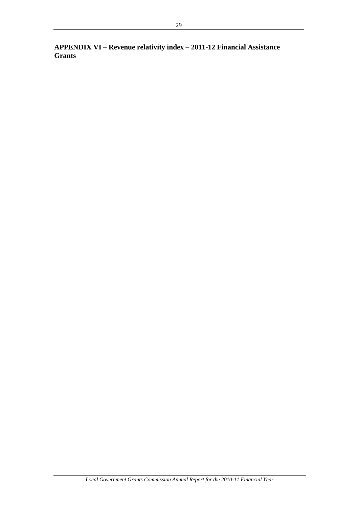**APPENDIX VI – Revenue relativity index – 2011-12 Financial Assistance Grants**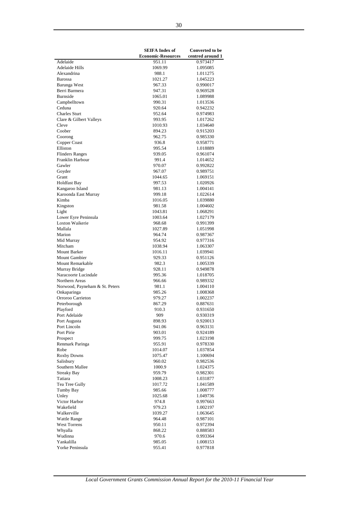|                                                | <b>SEIFA Index of</b>     | <b>Converted to be</b> |
|------------------------------------------------|---------------------------|------------------------|
|                                                | <b>Economic-Resources</b> | centred around 1       |
| Adelaide                                       | 951.11                    | 0.973417               |
| <b>Adelaide Hills</b>                          | 1069.99                   | 1.095085               |
| Alexandrina                                    | 988.1                     | 1.011275               |
| <b>Barossa</b>                                 | 1021.27                   | 1.045223               |
| Barunga West<br>Berri Barmera                  | 967.33                    | 0.990017               |
| <b>Burnside</b>                                | 947.31                    | 0.969528               |
| Campbelltown                                   | 1065.01<br>990.31         | 1.089988<br>1.013536   |
| Ceduna                                         | 920.64                    | 0.942232               |
| <b>Charles Sturt</b>                           | 952.64                    | 0.974983               |
| Clare & Gilbert Valleys                        | 993.95                    | 1.017262               |
| Cleve                                          | 1010.93                   | 1.034640               |
| Coober                                         | 894.23                    | 0.915203               |
| Coorong                                        | 962.75                    | 0.985330               |
| Copper Coast                                   | 936.8                     | 0.958771               |
| Elliston                                       | 995.54                    | 1.018889               |
| <b>Flinders Ranges</b>                         | 939.05                    | 0.961074               |
| Franklin Harbour                               | 991.4                     | 1.014652               |
| Gawler                                         | 970.07                    | 0.992822               |
| Goyder                                         | 967.07                    | 0.989751               |
| Grant                                          | 1044.65                   | 1.069151               |
| <b>Holdfast Bay</b>                            | 997.53                    | 1.020926               |
| Kangaroo Island                                | 981.13                    | 1.004141               |
| Karoonda East Murray                           | 999.18                    | 1.022614               |
| Kimba                                          | 1016.05                   | 1.039880               |
| Kingston                                       | 981.58                    | 1.004602               |
| Light                                          | 1043.81                   | 1.068291               |
| Lower Eyre Peninsula<br><b>Loxton Waikerie</b> | 1003.64                   | 1.027179               |
| Mallala                                        | 968.68<br>1027.89         | 0.991399               |
| Marion                                         | 964.74                    | 1.051998<br>0.987367   |
| Mid Murray                                     | 954.92                    | 0.977316               |
| Mitcham                                        | 1038.94                   | 1.063307               |
| <b>Mount Barker</b>                            | 1016.11                   | 1.039941               |
| <b>Mount Gambier</b>                           | 929.33                    | 0.951126               |
| Mount Remarkable                               | 982.3                     | 1.005339               |
| Murray Bridge                                  | 928.11                    | 0.949878               |
| Naracoorte Lucindale                           | 995.36                    | 1.018705               |
| Northern Areas                                 | 966.66                    | 0.989332               |
| Norwood, Payneham & St. Peters                 | 981.1                     | 1.004110               |
| Onkaparinga                                    | 985.26                    | 1.008368               |
| Orroroo Carrieton                              | 979.27                    | 1.002237               |
| Peterborough                                   | 867.29                    | 0.887631               |
| Playford                                       | 910.3                     | 0.931650               |
| Port Adelaide                                  | 909                       | 0.930319               |
| Port Augusta                                   | 898.93                    | 0.920013               |
| Port Lincoln<br>Port Pirie                     | 941.06                    | 0.963131               |
|                                                | 903.01                    | 0.924189               |
| Prospect<br>Renmark Paringa                    | 999.75<br>955.91          | 1.023198<br>0.978330   |
| Robe                                           | 1014.07                   | 1.037854               |
| <b>Roxby Downs</b>                             | 1075.47                   | 1.100694               |
| Salisbury                                      | 960.02                    | 0.982536               |
| Southern Mallee                                | 1000.9                    | 1.024375               |
| <b>Streaky Bay</b>                             | 959.79                    | 0.982301               |
| Tatiara                                        | 1008.23                   | 1.031877               |
| Tea Tree Gully                                 | 1017.72                   | 1.041589               |
| Tumby Bay                                      | 985.66                    | 1.008777               |
| Unley                                          | 1025.68                   | 1.049736               |
| Victor Harbor                                  | 974.8                     | 0.997663               |
| Wakefield                                      | 979.23                    | 1.002197               |
| Walkerville                                    | 1039.27                   | 1.063645               |
| <b>Wattle Range</b>                            | 964.48                    | 0.987101               |
| <b>West Torrens</b>                            | 950.11                    | 0.972394               |
| Whyalla                                        | 868.22                    | 0.888583               |
| Wudinna                                        | 970.6                     | 0.993364               |
| Yankalilla                                     | 985.05                    | 1.008153               |
| Yorke Peninsula                                | 955.41                    | 0.977818               |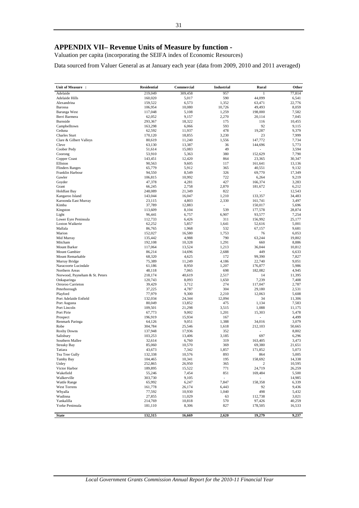# **APPENDIX VII– Revenue Units of Measure by function -**

Valuation per capita (incorporating the SEIFA index of Economic Resources)

Data sourced from Valuer General as at January each year (data from 2009, 2010 and 2011 averaged)

| Unit of Measure :              | <b>Residential</b> | <b>Commercial</b> | <b>Industrial</b>        | Rural                    | Other           |
|--------------------------------|--------------------|-------------------|--------------------------|--------------------------|-----------------|
| Adelaide                       | 219,049            | 309,458           | 957                      | 1                        | 77,814          |
| <b>Adelaide Hills</b>          | 160,020            | 5,017             | 590                      | 44,099                   | 6,541           |
| Alexandrina                    | 159,522            | 6,573             | 1,352                    | 63,471                   | 22,776          |
| Barossa                        | 106,954            | 10,080            | 10,726                   | 49,493                   | 8,059           |
| Barunga West                   | 117,048            | 5,108             | 1,259                    | 198,000                  | 7,582           |
| Berri Barmera                  | 62,052             | 9,157             | 2,270                    | 20,114                   | 7,045           |
| <b>Burnside</b>                | 293,367            | 18,322            | 175                      | 116                      | 10,455          |
| Campbelltown                   | 163,298            | 6,066             | 593                      | 92                       | 9,115           |
| Ceduna<br><b>Charles Sturt</b> | 62,592<br>170,120  | 11,937<br>18,855  | 478<br>3,230             | 19,287<br>23             | 9,379<br>7,999  |
| Clare & Gilbert Valleys        | 80,619             | 11,240            | 1,556                    | 147,772                  | 7,734           |
| Cleve                          | 63,130             | 13,387            | 36                       | 144,696                  | 5,773           |
| Coober Pedy                    | 51,614             | 15,083            | 49                       |                          | 3,594           |
| Coorong                        | 53,910             | 5,363             | 380                      | 152,629                  | 7,790           |
| Copper Coast                   | 143,451            | 12,420            | 864                      | 23,365                   | 30,347          |
| Elliston                       | 90,563             | 9,605             | 117                      | 161,641                  | 13,136          |
| <b>Flinders Ranges</b>         | 65,779             | 5,912             | 365                      | 40,551                   | 9,132           |
| Franklin Harbour               | 94,550             | 8,549             | 326                      | 69,770                   | 17,349          |
| Gawler                         | 106,815            | 10,992            | 722                      | 6,264                    | 9,219           |
| Goyder                         | 47,378             | 4,281             | 427                      | 166,374                  | 3,283           |
| Grant                          | 66,245             | 2,758             | 2,870                    | 181,672                  | 6,212           |
| <b>Holdfast Bay</b>            | 248,089            | 21,349            | 822                      | $\overline{\phantom{a}}$ | 12,543          |
| Kangaroo Island                | 143,044            | 16,047            | 1,210                    | 133,357                  | 34,483          |
| Karoonda East Murray           | 23,115             | 4,803             | 2,330                    | 161,741                  | 3,497           |
| Kimba                          | 37,789             | 12,883            | $\overline{\phantom{a}}$ | 150,017                  | 5,696           |
| Kingston                       | 113,609            | 8,104             | 539                      | 177,578                  | 28.874          |
| Light                          | 96,441             | 6,757             | 6,907                    | 93,577                   | 7,254           |
| Lower Eyre Peninsula           | 112,733            | 6,426             | 311                      | 156,992                  | 25,177          |
| Loxton Waikerie                | 62,252             | 5,857             | 1,641                    | 52,616                   | 5,001           |
| Mallala                        | 86,765             | 1,968             | 532                      | 67,157                   | 9,681           |
| Marion                         | 152,027            | 16,580            | 1,753                    | 76                       | 6,053           |
| Mid Murray                     | 135,442            | 4,988             | 790                      | 63,244                   | 19,802          |
| Mitcham<br><b>Mount Barker</b> | 192,108            | 10,328            | 1,291                    | 660<br>36,044            | 8,886<br>10,812 |
| <b>Mount Gambier</b>           | 117,064<br>86,214  | 13,524<br>14,696  | 1,213<br>2,688           | 449                      | 6,633           |
| Mount Remarkable               | 68,320             | 4,625             | 172                      | 99,390                   | 7,827           |
| Murray Bridge                  | 75,389             | 11,249            | 4,186                    | 22,740                   | 9,051           |
| Naracoorte Lucindale           | 61,186             | 8,950             | 1,207                    | 176,877                  | 5,986           |
| Northern Areas                 | 48,118             | 7,065             | 698                      | 182,082                  | 4,945           |
| Norwood, Payneham & St. Peters | 218,174            | 40,619            | 2,517                    | 14                       | 11,395          |
| Onkaparinga                    | 120,743            | 8,093             | 1,650                    | 7,239                    | 7,408           |
| Orroroo Carrieton              | 39,429             | 3,712             | 274                      | 117,047                  | 2,787           |
| Peterborough                   | 37,225             | 4,787             | 304                      | 29,180                   | 2,531           |
| Playford                       | 77,979             | 9,300             | 2,210                    | 12,063                   | 5,608           |
| Port Adelaide Enfield          | 132,034            | 24,344            | 12,094                   | 34                       | 11,306          |
| Port Augusta                   | 80,049             | 13,852            | 475                      | 1,134                    | 7,583           |
| Port Lincoln                   | 109,501            | 21,298            | 3,515                    | 1,088                    | 11,175          |
| Port Pirie                     | 67,773             | 9,002             | 1,201                    | 15,303                   | 5,478           |
| Prospect                       | 196,919            | 15,934            | 167                      | ÷                        | 4,499           |
| Renmark Paringa                | 64,126             | 9,051             | 1,388                    | 34,016                   | 3,079           |
| Robe                           | 304,784            | 25,546            | 1,618                    | 212,103                  | 50,665          |
| <b>Roxby Downs</b>             | 137,948            | 17,936            | 352                      | $\overline{\phantom{a}}$ | 8,802           |
| Salisbury                      | 103,253            | 13,406            | 3,185                    | 697                      | 6,296           |
| Southern Mallee                | 32,614             | 6,760             | 319                      | 163,405                  | 3,473           |
| <b>Streaky Bay</b>             | 85,060             | 10,570            | 369                      | 69,380                   | 21,651          |
| Tatiara                        | 43,673             | 7,342             | 1,857                    | 171,852                  | 5,073           |
| Tea Tree Gully<br>Tumby Bay    | 132,338<br>104,465 | 10,576<br>10,341  | 893<br>195               | 864<br>158,692           | 5,005<br>14,338 |
| Unley                          | 252,865            | 26,950            | 365                      | 2                        | 10,595          |
| Victor Harbor                  | 189,895            | 15,522            | 771                      | 24,719                   | 26,259          |
| Wakefield                      | 55,246             | 7,454             | 851                      | 169,484                  | 5,500           |
| Walkerville                    | 303,730            | 9,105             | $\overline{\phantom{a}}$ |                          | 14,985          |
| Wattle Range                   | 65,992             | 6,247             | 7,847                    | 158,358                  | 6,339           |
| West Torrens                   | 161,778            | 26,174            | 6,443                    | 92                       | 9,436           |
| Whyalla                        | 77,592             | 10,930            | 1,040                    | 498                      | 5,432           |
| Wudinna                        | 27,855             | 11,029            | 63                       | 112,738                  | 3,021           |
| Yankalilla                     | 214,769            | 10,818            | 570                      | 97,426                   | 40,259          |
| Yorke Peninsula                | 181,110            | 8,306             | 827                      | 178,505                  | 16,533          |
|                                |                    |                   |                          |                          |                 |
| <b>State</b>                   | 132,315            | 16,669            | 2,620                    | 19,279                   | 9,237           |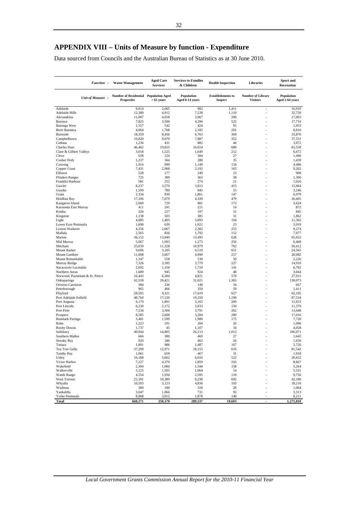Data sourced from Councils and the Australian Bureau of Statistics as at 30 June 2010.

| <b>Function:</b>                        | <b>Waste Management</b>                                    | <b>Aged Care</b><br><b>Services</b> | <b>Services to Families</b><br>& Children | <b>Health Inspection</b>                   | Libraries                                   | Sport and<br>Recreation       |
|-----------------------------------------|------------------------------------------------------------|-------------------------------------|-------------------------------------------|--------------------------------------------|---------------------------------------------|-------------------------------|
| Unit of Measure :                       | Number of Residential Population Aged<br><b>Properties</b> | $>65$ years                         | Population<br>Aged 0-14 years             | <b>Establishments</b> to<br><b>Inspect</b> | <b>Number of Library</b><br><b>Visitors</b> | Population<br>Aged 5-64 years |
| Adelaide                                | 9,014                                                      | 2,065                               | 982                                       | 1,411                                      | ä,                                          | 16,919                        |
| Adelaide Hills<br>Alexandrina           | 12,380                                                     | 4,912                               | 7,538                                     | 1,110                                      | L.                                          | 32.720                        |
| Barossa                                 | 11,087<br>7,825                                            | 4,918<br>3,500                      | 3,967<br>4,396                            | 200<br>525                                 |                                             | 17,003<br>17,716              |
| Barunga West                            | 1,557                                                      | 542                                 | 424                                       | 65                                         |                                             | 1,953                         |
| Berri Barmera                           | 4,064                                                      | 1,768                               | 2,185                                     | 201                                        |                                             | 8,816                         |
| Burnside                                | 18,359                                                     | 8,456                               | 6,763                                     | 369                                        |                                             | 33,876                        |
| Campbelltown                            | 19,820                                                     | 9,070                               | 7,987                                     | 352                                        |                                             | 37,551                        |
| Ceduna<br><b>Charles Sturt</b>          | 1,236<br>46,462                                            | 431<br>19,825                       | 882<br>16,654                             | 44<br>680                                  |                                             | 3,072<br>81.558               |
| Clare & Gilbert Valleys                 | 3,018                                                      | 1,525                               | 1,649                                     | 212                                        |                                             | 6,672                         |
| Cleve                                   | 658                                                        | 324                                 | 384                                       | 27                                         |                                             | 1,490                         |
| Coober Pedy                             | 1,237                                                      | 364                                 | 288                                       | 35                                         |                                             | 1,439                         |
| Coorong                                 | 1,916                                                      | 999                                 | 1,149                                     | 134                                        |                                             | 4,486                         |
| Copper Coast<br>Elliston                | 7,431<br>528                                               | 2,968<br>177                        | 2,192<br>249                              | 165<br>23                                  |                                             | 9,202<br>908                  |
| <b>Flinders Ranges</b>                  | 725                                                        | 389                                 | 363                                       | 38                                         |                                             | 1,306                         |
| Franklin Harbour                        | 581                                                        | 252                                 | 274                                       | 21                                         |                                             | 1,026                         |
| Gawler                                  | 8,237                                                      | 3,570                               | 3,813                                     | 415                                        |                                             | 15,964                        |
| Goyder                                  | 1,599                                                      | 789                                 | 845                                       | 55                                         |                                             | 3,246                         |
| Grant                                   | 2,334                                                      | 930                                 | 1,861                                     | 147<br>479                                 |                                             | 6,979                         |
| <b>Holdfast Bay</b><br>Kangaroo Island  | 17,106<br>2,660                                            | 7,679<br>729                        | 4,339<br>881                              | 173                                        |                                             | 26,605<br>3,624               |
| Karoonda East Murray                    | 411                                                        | 241                                 | 221                                       | 14                                         |                                             | 872                           |
| Kimba                                   | 326                                                        | 227                                 | 197                                       | 31                                         |                                             | 845                           |
| Kingston                                | 1,138                                                      | 503                                 | 385                                       | 31                                         |                                             | 1,862                         |
| Light                                   | 4,085                                                      | 1,405                               | 3,093                                     | 194                                        |                                             | 11,302                        |
| Lower Eyre Peninsula<br>Loxton Waikerie | 1,690<br>4,356                                             | 639<br>2,067                        | 1,021<br>2,382                            | 23<br>255                                  |                                             | 3,919<br>9,274                |
| Mallala                                 | 2,565                                                      | 826                                 | 1,792                                     | 112                                        |                                             | 7,077                         |
| Marion                                  | 36,152                                                     | 13,840                              | 13,495                                    | 628                                        |                                             | 65,652                        |
| Mid Murray                              | 5,067                                                      | 1,693                               | 1,273                                     | 256                                        | ÷                                           | 6,468                         |
| Mitcham                                 | 25,039                                                     | 11,328                              | 10,979                                    | 762                                        | ÷.                                          | 50,412                        |
| Mount Barker                            | 9,606                                                      | 3,185                               | 6,519                                     | 651                                        |                                             | 24,565                        |
| Mount Gambier<br>Mount Remarkable       | 11,008<br>1,347                                            | 3,667<br>558                        | 4,990<br>530                              | 257<br>50                                  |                                             | 20,082<br>2,226               |
| Murray Bridge                           | 7,326                                                      | 3,185                               | 3,779                                     | 227                                        |                                             | 14,910                        |
| Naracoorte Lucindale                    | 2,692                                                      | 1,150                               | 1,710                                     | 141                                        |                                             | 6,782                         |
| Northern Areas                          | 1,680                                                      | 945                                 | 924                                       | 48                                         |                                             | 3,664                         |
| Norwood, Payneham & St. Peters          | 16,443                                                     | 6,584                               | 4,821                                     | 570                                        |                                             | 27,915                        |
| Onkaparinga<br>Orroroo Carrieton        | 62,558<br>384                                              | 20,421<br>236                       | 31,021<br>148                             | 1,365<br>34                                |                                             | 130,073<br>667                |
| Peterborough                            | 965                                                        | 466                                 | 359                                       | 59                                         |                                             | 1,411                         |
| Playford                                | 28,505                                                     | 9,321                               | 17,619                                    | 627                                        |                                             | 62,185                        |
| Port Adelaide Enfield                   | 48,760                                                     | 17,120                              | 19,259                                    | 1,190                                      |                                             | 87,534                        |
| Port Augusta                            | 6,179                                                      | 1,891                               | 3,165                                     | 209                                        |                                             | 11,653                        |
| Port Lincoln<br>Port Pirie              | 6,230<br>7,534                                             | 2,172<br>3,304                      | 3,033<br>3,791                            | 150<br>262                                 | ÷                                           | 11,379<br>13,648              |
| Prospect                                | 8,585                                                      | 2,608                               | 3,584                                     | 200                                        |                                             | 17,016                        |
| Renmark Paringa                         | 3,481                                                      | 1,599                               | 1,980                                     | 175                                        |                                             | 7,720                         |
| Robe                                    | 1,223                                                      | 291                                 | 260                                       | 26                                         |                                             | 1,096                         |
| Roxby Downs                             | 1,737                                                      | 45                                  | 1,107                                     | 34                                         |                                             | 4,058                         |
| Salisbury<br>Southern Mallee            | 49,944<br>666                                              | 14,805<br>380                       | 26,113<br>469                             | 1,013<br>27                                |                                             | 106,071<br>1,645              |
| <b>Streaky Bay</b>                      | 920                                                        | 346                                 | 462                                       | 26                                         |                                             | 1,656                         |
| Tatiara                                 | 1,891                                                      | 986                                 | 1,487                                     | 167                                        |                                             | 5,726                         |
| Tea Tree Gully                          | 37,299                                                     | 12,971                              | 18,155                                    | 635                                        | ÷                                           | 81,542                        |
| Tumby Bay                               | 1,061                                                      | 659                                 | 467                                       | 31                                         | ÷,                                          | 1,918                         |
| Unley                                   | 16,188                                                     | 5,662                               | 6,016                                     | 522                                        |                                             | 30,652                        |
| Victor Harbor<br>Wakefield              | 7,227<br>2,304                                             | 4,370<br>1,084                      | 1,859<br>1,344                            | 243<br>158                                 |                                             | 8,667<br>5,264                |
| Walkerville                             | 3,125                                                      | 1,505                               | 1,064                                     | 54                                         |                                             | 5,531                         |
| <b>Wattle Range</b>                     | 4,554                                                      | 1,934                               | 2,595                                     | 118                                        |                                             | 9,756                         |
| West Torrens                            | 25,181                                                     | 10,389                              | 8,238                                     | 692                                        |                                             | 42,180                        |
| Whyalla                                 | 10,503                                                     | 3,123                               | 4,836                                     | 193                                        |                                             | 18,210                        |
| Wudinna<br>Yankalilla                   | 389<br>3,047                                               | 180<br>1,066                        | 318<br>731                                | 28<br>93                                   |                                             | 1,064<br>3,313                |
| Yorke Peninsula                         | 8,968                                                      | 3,012                               | 1,878                                     | 140                                        |                                             | 8,211                         |
| Total                                   | 660,171                                                    | 250,170                             | 289,537                                   | 19,603                                     | $\blacksquare$                              | 1,271,810                     |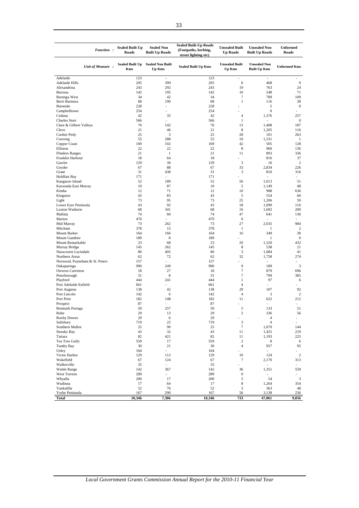| Function:                              | <b>Sealed Built Up</b><br>Roads | <b>Sealed Non</b><br><b>Built Up Roads</b> | <b>Sealed Built-Up Roads</b><br>(Footpaths, kerbing,<br>street lighting etc) | <b>Unsealed Built</b><br><b>Up Roads</b> | <b>Unsealed Non</b><br><b>Built Up Roads</b> | <b>Unformed</b><br>Roads |
|----------------------------------------|---------------------------------|--------------------------------------------|------------------------------------------------------------------------------|------------------------------------------|----------------------------------------------|--------------------------|
| Unit of Measure:                       | <b>Sealed Built Up</b><br>Kms   | <b>Sealed Non Built</b><br>Up Kms          | <b>Sealed Built Up Kms</b>                                                   | <b>Unsealed Built</b><br><b>Up Kms</b>   | <b>Unsealed Non</b><br><b>Built Up Kms</b>   | <b>Unformed Kms</b>      |
| Adelaide                               | 123                             | $\overline{\phantom{a}}$                   | 123                                                                          | $\overline{\phantom{a}}$                 | $\overline{\phantom{a}}$                     |                          |
| Adelaide Hills                         | 205                             | 399                                        | 205                                                                          | 6                                        | 468                                          | 9                        |
| Alexandrina                            | 243<br>142                      | 292<br>195                                 | 243<br>142                                                                   | 19<br>10                                 | 763<br>548                                   | 24                       |
| Barossa<br>Barunga West                | 34                              | 42                                         | 34                                                                           | $\tau$                                   | 789                                          | 71<br>109                |
| Berri Barmera                          | 68                              | 190                                        | 68                                                                           | $\mathbf{1}$                             | 116                                          | 38                       |
| <b>Burnside</b>                        | 228                             | ÷,                                         | 228                                                                          | L                                        | 5                                            | $\mathbf{0}$             |
| Campbelltown                           | 254                             | $\overline{a}$                             | 254                                                                          | $\overline{a}$                           | $\boldsymbol{0}$                             |                          |
| Ceduna                                 | 42                              | 35                                         | 42                                                                           | $\overline{4}$                           | 1,376                                        | 257                      |
| <b>Charles Sturt</b>                   | 566                             |                                            | 566                                                                          | $\mathbf{1}$                             | L,                                           | $\mathbf{0}$             |
| Clare & Gilbert Valleys                | 76                              | 142                                        | 76                                                                           | 13                                       | 1,408                                        | 187                      |
| Cleve<br>Coober Pedy                   | 21<br>25                        | 46<br>3                                    | 21<br>25                                                                     | 8<br>28                                  | 1,205<br>101                                 | 116<br>263               |
| Coorong                                | 55                              | 288                                        | 55                                                                           | 10                                       | 1,531                                        | -1                       |
| Copper Coast                           | 169                             | 102                                        | 169                                                                          | 42                                       | 505                                          | 128                      |
| Elliston                               | 22                              | 22                                         | 22                                                                           | 8                                        | 960                                          | 136                      |
| <b>Flinders Ranges</b>                 | 21                              | 1                                          | 21                                                                           | 11                                       | 893                                          | 336                      |
| Franklin Harbour                       | 18                              | 64                                         | 18                                                                           | $\overline{a}$                           | 816                                          | 37                       |
| Gawler                                 | 129                             | 30                                         | 129                                                                          | $\mathfrak{Z}$                           | 16                                           | $\overline{c}$           |
| Goyder                                 | 67                              | 88                                         | 67                                                                           | 33                                       | 2,834                                        | 226                      |
| Grant<br><b>Holdfast Bay</b>           | 31<br>171                       | 438                                        | 31<br>171                                                                    | 3                                        | 810                                          | 316                      |
| Kangaroo Island                        | 52                              | 189                                        | 52                                                                           | 56                                       | 1,013                                        | 51                       |
| Karoonda East Murray                   | 10                              | 87                                         | 10                                                                           | 5                                        | 1,149                                        | 48                       |
| Kimba                                  | 12                              | 71                                         | 12                                                                           | 10                                       | 988                                          | 636                      |
| Kingston                               | 43                              | 83                                         | 43                                                                           | 5                                        | 554                                          | 60                       |
| Light                                  | 73                              | 95                                         | 73                                                                           | 25                                       | 1,206                                        | 59                       |
| Lower Eyre Peninsula                   | 43                              | 92                                         | 43                                                                           | 18                                       | 1,099                                        | 116                      |
| Loxton Waikerie                        | 68                              | 341                                        | 68                                                                           | 16                                       | 1,692                                        | 200                      |
| Mallala<br>Marion                      | 74<br>470                       | 60<br>$\overline{\phantom{a}}$             | 74<br>470                                                                    | 47<br>$\boldsymbol{0}$                   | 641<br>L.                                    | 136<br>$\overline{a}$    |
| Mid Murray                             | 73                              | 262                                        | 73                                                                           | 27                                       | 2,035                                        | 984                      |
| Mitcham                                | 378                             | 15                                         | 378                                                                          | $\mathbf{1}$                             | 1                                            | 2                        |
| Mount Barker                           | 164                             | 166                                        | 164                                                                          | 16                                       | 349                                          | 30                       |
| Mount Gambier                          | 189                             | 8                                          | 189                                                                          |                                          | $\mathbf{1}$                                 | $\mathbf{0}$             |
| Mount Remarkable                       | 23                              | 68                                         | 23                                                                           | 20                                       | 1,520                                        | 432                      |
| Murray Bridge                          | 145                             | 262                                        | 145                                                                          | 8                                        | 538                                          | 21                       |
| Naracoorte Lucindale<br>Northern Areas | 80<br>62                        | 405<br>72                                  | 80<br>62                                                                     | 3<br>32                                  | 1,084<br>1,758                               | 41<br>274                |
| Norwood, Payneham & St. Peters         | 157                             | $\overline{a}$                             | 157                                                                          |                                          | ÷,                                           |                          |
| Onkaparinga                            | 990                             | 249                                        | 990                                                                          | 9                                        | 189                                          | $\mathfrak{Z}$           |
| Orroroo Carrieton                      | 18                              | 27                                         | 18                                                                           | 7                                        | 879                                          | 696                      |
| Peterborough                           | 31                              | 8                                          | 31                                                                           | 7                                        | 799                                          | 385                      |
| Playford                               | 444                             | 241                                        | 444                                                                          | 1                                        | 97                                           | 6                        |
| Port Adelaide Enfield                  | 661                             |                                            | 661                                                                          | $\overline{4}$                           | ÷                                            |                          |
| Port Augusta                           | 138                             | 42                                         | 138                                                                          | 29                                       | 107                                          | 92                       |
| Port Lincoln<br>Port Pirie             | 142<br>182                      | 6<br>148                                   | 142<br>182                                                                   | $\overline{4}$<br>11                     | 3<br>622                                     | 2<br>212                 |
| Prospect                               | 87                              |                                            | 87                                                                           |                                          | ÷,                                           |                          |
| Renmark Paringa                        | 50                              | 257                                        | 50                                                                           | 5                                        | 133                                          | 51                       |
| Robe                                   | 29                              | 13                                         | 29                                                                           | $\sqrt{2}$                               | 336                                          | 56                       |
| <b>Roxby Downs</b>                     | 29                              | 6                                          | 29                                                                           |                                          | $\overline{4}$                               | $\overline{\phantom{a}}$ |
| Salisbury                              | 719                             | 22                                         | 719                                                                          | $\overline{\mathbf{3}}$                  | $\overline{4}$                               | $\overline{\phantom{a}}$ |
| Southern Mallee                        | 25                              | 90                                         | 25                                                                           | 7                                        | 1,070                                        | 144                      |
| Streaky Bay                            | 43<br>82                        | 32                                         | 43<br>82                                                                     | 11<br>11                                 | 1,425                                        | 219                      |
| Tatiara<br>Tea Tree Gully              | 559                             | 421<br>17                                  | 559                                                                          | $\sqrt{2}$                               | 1,193<br>8                                   | 225<br>6                 |
| Tumby Bay                              | 30                              | 21                                         | 30                                                                           | $\overline{4}$                           | 957                                          | 95                       |
| Unley                                  | 164                             | ÷,                                         | 164                                                                          |                                          | $\overline{\phantom{a}}$                     |                          |
| Victor Harbor                          | 129                             | 112                                        | 129                                                                          | 10                                       | 124                                          | $\,2$                    |
| Wakefield                              | 67                              | 124                                        | 67                                                                           | $\tau$                                   | 2,170                                        | 313                      |
| Walkerville                            | 35                              | $\overline{\phantom{a}}$                   | 35                                                                           | L,                                       | $\overline{\phantom{a}}$                     | ÷.                       |
| Wattle Range                           | 142                             | 367                                        | 142                                                                          | 36                                       | 1,351                                        | 559                      |
| West Torrens                           | 289<br>200                      | ÷,<br>17                                   | 289<br>200                                                                   | $\boldsymbol{0}$<br>5                    | $\overline{a}$<br>54                         |                          |
| Whyalla<br>Wudinna                     | 17                              | 64                                         | 17                                                                           | $\,$ 8 $\,$                              | 1,264                                        | $\overline{3}$<br>354    |
| Yankalilla                             | 52                              | 76                                         | 52                                                                           | $\mathfrak{Z}$                           | 363                                          | 48                       |
| Yorke Peninsula                        | 167                             | 290                                        | 167                                                                          | 56                                       | 3,138                                        | 236                      |
| Total                                  | 10,346                          | 7,306                                      | 10,346                                                                       | 733                                      | 47,061                                       | 9,056                    |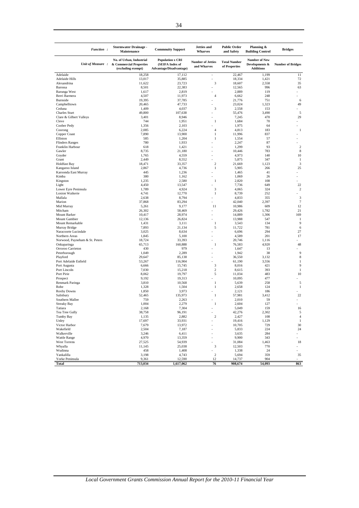| Function:                                       | <b>Stormwater Drainage -</b><br>Maintenance                               | <b>Commnuity Support</b>                                              | Jetties and<br><b>Wharves</b>           | <b>Public Order</b><br>and Safety    | Planning &<br><b>Building Control</b>                      | <b>Bridges</b>           |
|-------------------------------------------------|---------------------------------------------------------------------------|-----------------------------------------------------------------------|-----------------------------------------|--------------------------------------|------------------------------------------------------------|--------------------------|
| Unit of Measure:                                | No. of Urban, Industrial<br>& Commercial Properties<br>(excluding exempt) | <b>Population x CRI</b><br>(SEIFA Index of<br>Advantage/Disadvantage) | <b>Number of Jetties</b><br>and Wharves | <b>Total Number</b><br>of Properties | <b>Number of New</b><br>Developments &<br><b>Additions</b> | <b>Number of Bridges</b> |
| Adelaide                                        | 18.258                                                                    | 17,112                                                                | $\overline{\phantom{a}}$                | 22,467                               | 1,199                                                      | 11                       |
| <b>Adelaide Hills</b>                           | 13,017                                                                    | 35,885                                                                |                                         | 18,334                               | 1,421                                                      | 72                       |
| Alexandrina<br>Barossa                          | 11,622<br>8,501                                                           | 23,723<br>22,383                                                      | 3                                       | 18,607<br>12,565                     | 2,558<br>996                                               | 35<br>63                 |
| Barunga West                                    | 1,617                                                                     | 2,819                                                                 |                                         | 2,889                                | 119                                                        |                          |
| Berri Barmera                                   | 4,507                                                                     | 11,973                                                                | $\overline{4}$                          | 6,662                                | 248                                                        |                          |
| Burnside                                        | 19,395                                                                    | 37,785                                                                |                                         | 21,776                               | 751                                                        | 6                        |
| Campbelltown                                    | 20,465                                                                    | 47,733                                                                |                                         | 23,024                               | 1,323                                                      | 49                       |
| Ceduna                                          | 1,409<br>49.800                                                           | 4,037                                                                 | 3                                       | 2,558                                | 153<br>3,490                                               | 5                        |
| <b>Charles Sturt</b><br>Clare & Gilbert Valleys | 3,401                                                                     | 107,638<br>8,946                                                      |                                         | 55,476<br>7,245                      | 470                                                        | 29                       |
| Cleve                                           | 744                                                                       | 1,951                                                                 | 1                                       | 1,684                                | 70                                                         |                          |
| Coober Pedy                                     | 1,356                                                                     | 2,103                                                                 |                                         | 1,975                                | 64                                                         |                          |
| Coorong                                         | 2,085                                                                     | 6,224                                                                 | $\overline{4}$                          | 4,813                                | 183                                                        | $\mathbf{1}$             |
| Copper Coast                                    | 7,890                                                                     | 13,900                                                                | 1                                       | 11,996                               | 837                                                        |                          |
| Elliston                                        | 585                                                                       | 1,204                                                                 | $\mathbf{1}$                            | 1,554                                | 57                                                         | ×,                       |
| <b>Flinders Ranges</b><br>Franklin Harbour      | 780<br>618                                                                | 1,933<br>1,421                                                        |                                         | 2,247<br>1,299                       | 87<br>93                                                   | $\overline{2}$           |
| Gawler                                          | 8,735                                                                     | 21,180                                                                |                                         | 10,446                               | 783                                                        | 8                        |
| Goyder                                          | 1,765                                                                     | 4,559                                                                 |                                         | 4,973                                | 140                                                        | 10                       |
| Grant                                           | 2,449                                                                     | 8,552                                                                 |                                         | 5,875                                | 347                                                        | -1                       |
| <b>Holdfast Bay</b>                             | 18,471                                                                    | 33,357                                                                | $\overline{2}$                          | 21,669                               | 1,123                                                      | 3                        |
| Kangaroo Island                                 | 2,867                                                                     | 4,736                                                                 | 1                                       | 5,905                                | 266                                                        | 25                       |
| Karoonda East Murray<br>Kimba                   | 445<br>380                                                                | 1,236<br>1,162                                                        |                                         | 1,465<br>1,069                       | 41<br>26                                                   |                          |
| Kingston                                        | 1,235                                                                     | 2,580                                                                 | 1                                       | 2,820                                | 108                                                        |                          |
| Light                                           | 4,450                                                                     | 13,547                                                                |                                         | 7,736                                | 649                                                        | 22                       |
| Lower Eyre Peninsula                            | 1,789                                                                     | 4,924                                                                 | 3                                       | 4,065                                | 324                                                        | $\overline{2}$           |
| Loxton Waikerie                                 | 4,741                                                                     | 12,770                                                                | 1                                       | 8,739                                | 252                                                        |                          |
| Mallala                                         | 2,638                                                                     | 8,794                                                                 |                                         | 4,833                                | 355                                                        | 3                        |
| Marion<br>Mid Murray                            | 37,868<br>5,261                                                           | 83,294<br>9,177                                                       | 11                                      | 42,040<br>10,986                     | 2,397<br>609                                               | $\overline{7}$<br>12     |
| Mitcham                                         | 26,302                                                                    | 58,469                                                                |                                         | 29,426                               | 1,782                                                      | 21                       |
| Mount Barker                                    | 10,417                                                                    | 28,974                                                                |                                         | 14,889                               | 1,306                                                      | 169                      |
| Mount Gambier                                   | 12,136                                                                    | 26,824                                                                |                                         | 13,988                               | 547                                                        | 1                        |
| Mount Remarkable                                | 1,431                                                                     | 3,111                                                                 | 1                                       | 3,543                                | 134                                                        | 9                        |
| Murray Bridge                                   | 7,893                                                                     | 21,134                                                                | 5                                       | 11,722                               | 781                                                        | 6                        |
| Naracoorte Lucindale<br>Northern Areas          | 3,025<br>1,845                                                            | 8,634<br>5,100                                                        |                                         | 6,696<br>4,589                       | 294<br>201                                                 | 27<br>17                 |
| Norwood, Payneham & St. Peters                  | 18,724                                                                    | 33,393                                                                |                                         | 20,746                               | 1,116                                                      |                          |
| Onkaparinga                                     | 65,713                                                                    | 160,888                                                               | 1                                       | 76,583                               | 4,920                                                      | 48                       |
| Orroroo Carrieton                               | 430                                                                       | 979                                                                   |                                         | 1,647                                | 13                                                         |                          |
| Peterborough                                    | 1,049                                                                     | 2,289                                                                 |                                         | 1,942                                | 38                                                         | 9                        |
| Playford                                        | 29,647                                                                    | 85,138                                                                |                                         | 36,550                               | 3,132                                                      | 8                        |
| Port Adelaide Enfield<br>Port Augusta           | 53,267<br>6,666                                                           | 116,904<br>15,745                                                     | 3                                       | 61,190<br>8,016                      | 3,556<br>421                                               | 1<br>9                   |
| Port Lincoln                                    | 7,030                                                                     | 15,218                                                                | $\overline{c}$                          | 8,615                                | 393                                                        | 1                        |
| Port Pirie                                      | 8,062                                                                     | 19,797                                                                | 5                                       | 11,034                               | 483                                                        | 10                       |
| Prospect                                        | 9,192                                                                     | 19,313                                                                |                                         | 10,095                               | 477                                                        |                          |
| Renmark Paringa                                 | 3,810                                                                     | 10,568                                                                | 1                                       | 5,639                                | 258                                                        | 5                        |
| Robe                                            | 1,328                                                                     | 1,504                                                                 | 1                                       | 2,658                                | 124<br>186                                                 | $\mathbf{1}$             |
| Roxby Downs<br>Salisbury                        | 1,850<br>52,465                                                           | 3,973<br>135,973                                                      | 1                                       | 2,121<br>57,981                      | 3,412                                                      | 22                       |
| Southern Mallee                                 | 759                                                                       | 2,263                                                                 |                                         | 2,010                                | 59                                                         |                          |
| <b>Streaky Bay</b>                              | 1,004                                                                     | 2,279                                                                 | 1                                       | 2,604                                | 127                                                        |                          |
| Tatiara                                         | 2,168                                                                     | 7,304                                                                 |                                         | 5,049                                | 159                                                        | 16                       |
| Tea Tree Gully                                  | 38,758                                                                    | 96,191                                                                |                                         | 42,276                               | 2,302                                                      | 5                        |
| Tumby Bay                                       | 1,135                                                                     | 2,882<br>33,931                                                       | $\overline{c}$                          | 2,427                                | 108                                                        | $\sqrt{4}$<br>1          |
| Unley<br>Victor Harbor                          | 17,697<br>7,679                                                           | 13,972                                                                |                                         | 19,416<br>10,705                     | 1,129<br>729                                               | 30                       |
| Wakefield                                       | 2,504                                                                     | 7,187                                                                 |                                         | 5,833                                | 224                                                        | 24                       |
| Walkerville                                     | 3,246                                                                     | 6,411                                                                 |                                         | 3,635                                | 284                                                        |                          |
| Wattle Range                                    | 4,970                                                                     | 13,359                                                                |                                         | 9,900                                | 343                                                        |                          |
| West Torrens                                    | 27,525                                                                    | 54,939                                                                |                                         | 31,084                               | 1,463                                                      | 18                       |
| Whyalla<br>Wudinna                              | 11,145                                                                    | 25,038                                                                | 3                                       | 12,503                               | 770                                                        | $\sim$                   |
| Yankalilla                                      | 458<br>3,198                                                              | 1,408<br>4,743                                                        | $\sqrt{2}$                              | 1,338<br>5,694                       | 24<br>359                                                  | 35                       |
| Yorke Peninsula                                 | 9,361                                                                     | 12,590                                                                | 12                                      | 14,737                               | 904                                                        |                          |
| Total                                           | 713,034                                                                   | 1,617,062                                                             | 76                                      | 908,674                              | 54,093                                                     | 863                      |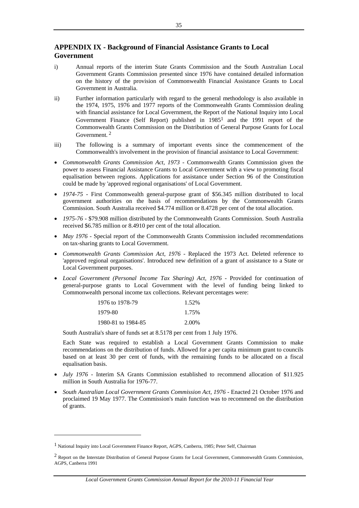# **APPENDIX IX - Background of Financial Assistance Grants to Local Government**

- i) Annual reports of the interim State Grants Commission and the South Australian Local Government Grants Commission presented since 1976 have contained detailed information on the history of the provision of Commonwealth Financial Assistance Grants to Local Government in Australia.
- ii) Further information particularly with regard to the general methodology is also available in the 1974, 1975, 1976 and 1977 reports of the Commonwealth Grants Commission dealing with financial assistance for Local Government, the Report of the National Inquiry into Local Government Finance (Self Report) published in  $1985<sup>1</sup>$  and the 1991 report of the Commonwealth Grants Commission on the Distribution of General Purpose Grants for Local Government. 2
- iii) The following is a summary of important events since the commencement of the Commonwealth's involvement in the provision of financial assistance to Local Government:
- *Commonwealth Grants Commission Act, 1973* Commonwealth Grants Commission given the power to assess Financial Assistance Grants to Local Government with a view to promoting fiscal equalisation between regions. Applications for assistance under Section 96 of the Constitution could be made by 'approved regional organisations' of Local Government.
- *1974-75* First Commonwealth general-purpose grant of \$56.345 million distributed to local government authorities on the basis of recommendations by the Commonwealth Grants Commission. South Australia received \$4.774 million or 8.4728 per cent of the total allocation.
- *1975-76*  \$79.908 million distributed by the Commonwealth Grants Commission. South Australia received \$6.785 million or 8.4910 per cent of the total allocation.
- *May 1976 Special report of the Commonwealth Grants Commission included recommendations* on tax-sharing grants to Local Government.
- Commonwealth Grants Commission Act, 1976 Replaced the 1973 Act. Deleted reference to 'approved regional organisations'. Introduced new definition of a grant of assistance to a State or Local Government purposes.
- Local Government (Personal Income Tax Sharing) Act, 1976 Provided for continuation of general-purpose grants to Local Government with the level of funding being linked to Commonwealth personal income tax collections. Relevant percentages were:

| 1976 to 1978-79    | 1.52% |
|--------------------|-------|
| 1979-80            | 1.75% |
| 1980-81 to 1984-85 | 2.00% |

South Australia's share of funds set at 8.5178 per cent from 1 July 1976.

Each State was required to establish a Local Government Grants Commission to make recommendations on the distribution of funds. Allowed for a per capita minimum grant to councils based on at least 30 per cent of funds, with the remaining funds to be allocated on a fiscal equalisation basis.

- *July 1976 -* Interim SA Grants Commission established to recommend allocation of \$11.925 million in South Australia for 1976-77.
- *South Australian Local Government Grants Commission Act, 1976* Enacted 21 October 1976 and proclaimed 19 May 1977. The Commission's main function was to recommend on the distribution of grants.

-

<sup>1</sup> National Inquiry into Local Government Finance Report, AGPS, Canberra, 1985; Peter Self, Chairman

<sup>&</sup>lt;sup>2</sup> Report on the Interstate Distribution of General Purpose Grants for Local Government, Commonwealth Grants Commission, AGPS, Canberra 1991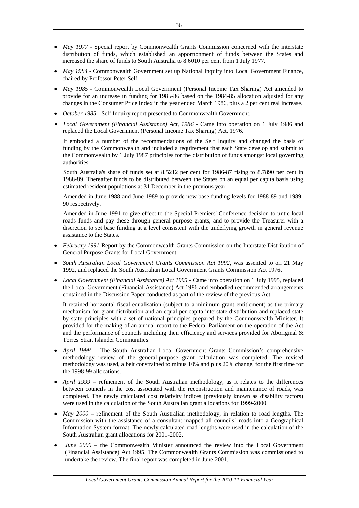- *May 1977 Special report by Commonwealth Grants Commission concerned with the interstate* distribution of funds, which established an apportionment of funds between the States and increased the share of funds to South Australia to 8.6010 per cent from 1 July 1977.
- *May 1984 -* Commonwealth Government set up National Inquiry into Local Government Finance, chaired by Professor Peter Self.
- *May 1985* Commonwealth Local Government (Personal Income Tax Sharing) Act amended to provide for an increase in funding for 1985-86 based on the 1984-85 allocation adjusted for any changes in the Consumer Price Index in the year ended March 1986, plus a 2 per cent real increase.
- *October 1985* Self Inquiry report presented to Commonwealth Government.
- Local Government (Financial Assistance) Act, 1986 Came into operation on 1 July 1986 and replaced the Local Government (Personal Income Tax Sharing) Act, 1976.

It embodied a number of the recommendations of the Self Inquiry and changed the basis of funding by the Commonwealth and included a requirement that each State develop and submit to the Commonwealth by 1 July 1987 principles for the distribution of funds amongst local governing authorities.

South Australia's share of funds set at 8.5212 per cent for 1986-87 rising to 8.7890 per cent in 1988-89. Thereafter funds to be distributed between the States on an equal per capita basis using estimated resident populations at 31 December in the previous year.

Amended in June 1988 and June 1989 to provide new base funding levels for 1988-89 and 1989- 90 respectively.

Amended in June 1991 to give effect to the Special Premiers' Conference decision to untie local roads funds and pay these through general purpose grants, and to provide the Treasurer with a discretion to set base funding at a level consistent with the underlying growth in general revenue assistance to the States.

- *February 1991* Report by the Commonwealth Grants Commission on the Interstate Distribution of General Purpose Grants for Local Government.
- *South Australian Local Government Grants Commission Act 1992*, was assented to on 21 May 1992, and replaced the South Australian Local Government Grants Commission Act 1976.
- *Local Government (Financial Assistance) Act 1995* Came into operation on 1 July 1995, replaced the Local Government (Financial Assistance) Act 1986 and embodied recommended arrangements contained in the Discussion Paper conducted as part of the review of the previous Act.

It retained horizontal fiscal equalisation (subject to a minimum grant entitlement) as the primary mechanism for grant distribution and an equal per capita interstate distribution and replaced state by state principles with a set of national principles prepared by the Commonwealth Minister. It provided for the making of an annual report to the Federal Parliament on the operation of the Act and the performance of councils including their efficiency and services provided for Aboriginal & Torres Strait Islander Communities.

- *April 1998* The South Australian Local Government Grants Commission's comprehensive methodology review of the general-purpose grant calculation was completed. The revised methodology was used, albeit constrained to minus 10% and plus 20% change, for the first time for the 1998-99 allocations.
- *April 1999*  refinement of the South Australian methodology, as it relates to the differences between councils in the cost associated with the reconstruction and maintenance of roads, was completed. The newly calculated cost relativity indices (previously known as disability factors) were used in the calculation of the South Australian grant allocations for 1999-2000.
- *May 2000* refinement of the South Australian methodology, in relation to road lengths. The Commission with the assistance of a consultant mapped all councils' roads into a Geographical Information System format. The newly calculated road lengths were used in the calculation of the South Australian grant allocations for 2001-2002.
- *June 2000* the Commonwealth Minister announced the review into the Local Government (Financial Assistance) Act 1995. The Commonwealth Grants Commission was commissioned to undertake the review. The final report was completed in June 2001.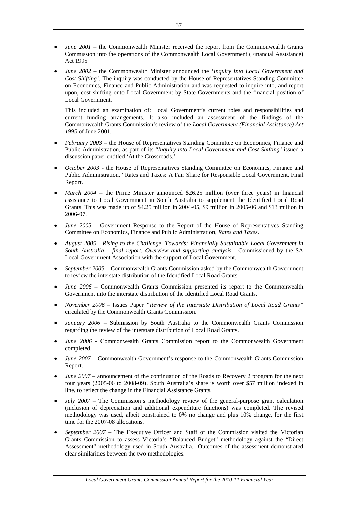- *June 2001* the Commonwealth Minister received the report from the Commonwealth Grants Commission into the operations of the Commonwealth Local Government (Financial Assistance) Act 1995
- *June 2002*  the Commonwealth Minister announced the *'Inquiry into Local Government and Cost Shifting'*. The inquiry was conducted by the House of Representatives Standing Committee on Economics, Finance and Public Administration and was requested to inquire into, and report upon, cost shifting onto Local Government by State Governments and the financial position of Local Government.

This included an examination of: Local Government's current roles and responsibilities and current funding arrangements. It also included an assessment of the findings of the Commonwealth Grants Commission's review of the *Local Government (Financial Assistance) Act 1995* of June 2001.

- *February 2003*  the House of Representatives Standing Committee on Economics, Finance and Public Administration, as part of its "*Inquiry into Local Government and Cost Shifting'* issued a discussion paper entitled 'At the Crossroads.'
- *October 2003 the House of Representatives Standing Committee on Economics, Finance and* Public Administration, "Rates and Taxes: A Fair Share for Responsible Local Government, Final Report.
- *March 2004 the Prime Minister announced \$26.25 million (over three years) in financial* assistance to Local Government in South Australia to supplement the Identified Local Road Grants. This was made up of \$4.25 million in 2004-05, \$9 million in 2005-06 and \$13 million in 2006-07.
- *June 2005 –* Government Response to the Report of the House of Representatives Standing Committee on Economics, Finance and Public Administration, *Rates and Taxes.*
- *August 2005 Rising to the Challenge, Towards: Financially Sustainable Local Government in South Australia – final report. Overview and supporting analysis.* Commissioned by the SA Local Government Association with the support of Local Government.
- *September 2005* Commonwealth Grants Commission asked by the Commonwealth Government to review the interstate distribution of the Identified Local Road Grants
- *June 2006* Commonwealth Grants Commission presented its report to the Commonwealth Government into the interstate distribution of the Identified Local Road Grants.
- *November 2006* Issues Paper *"Review of the Interstate Distribution of Local Road Grants"*  circulated by the Commonwealth Grants Commission.
- *January 2006* Submission by South Australia to the Commonwealth Grants Commission regarding the review of the interstate distribution of Local Road Grants.
- *June 2006* Commonwealth Grants Commission report to the Commonwealth Government completed.
- *June 2007* Commonwealth Government's response to the Commonwealth Grants Commission Report.
- *June 2007 –* announcement of the continuation of the Roads to Recovery 2 program for the next four years (2005-06 to 2008-09). South Australia's share is worth over \$57 million indexed in line, to reflect the change in the Financial Assistance Grants.
- *July 2007* The Commission's methodology review of the general-purpose grant calculation (inclusion of depreciation and additional expenditure functions) was completed. The revised methodology was used, albeit constrained to 0% no change and plus 10% change, for the first time for the 2007-08 allocations.
- *September 2007*  The Executive Officer and Staff of the Commission visited the Victorian Grants Commission to assess Victoria's "Balanced Budget" methodology against the "Direct Assessment" methodology used in South Australia. Outcomes of the assessment demonstrated clear similarities between the two methodologies.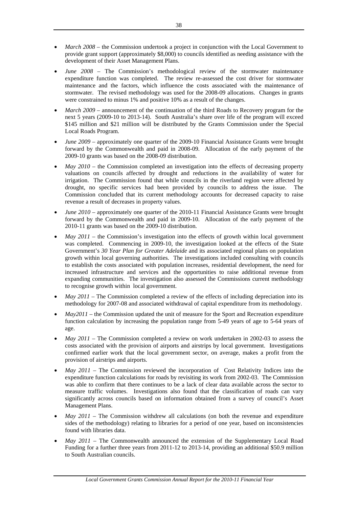- *March 2008* the Commission undertook a project in conjunction with the Local Government to provide grant support (approximately \$8,000) to councils identified as needing assistance with the development of their Asset Management Plans.
- *June 2008* The Commission's methodological review of the stormwater maintenance expenditure function was completed. The review re-assessed the cost driver for stormwater maintenance and the factors, which influence the costs associated with the maintenance of stormwater. The revised methodology was used for the 2008-09 allocations. Changes in grants were constrained to minus 1% and positive 10% as a result of the changes.
- *March 2009* announcement of the continuation of the third Roads to Recovery program for the next 5 years (2009-10 to 2013-14). South Australia's share over life of the program will exceed \$145 million and \$21 million will be distributed by the Grants Commission under the Special Local Roads Program.
- *June 2009*  approximately one quarter of the 2009-10 Financial Assistance Grants were brought forward by the Commonwealth and paid in 2008-09. Allocation of the early payment of the 2009-10 grants was based on the 2008-09 distribution.
- *May 2010 –* the Commission completed an investigation into the effects of decreasing property valuations on councils affected by drought and reductions in the availability of water for irrigation. The Commission found that while councils in the riverland region were affected by drought, no specific services had been provided by councils to address the issue. The Commission concluded that its current methodology accounts for decreased capacity to raise revenue a result of decreases in property values.
- *June 2010* approximately one quarter of the 2010-11 Financial Assistance Grants were brought forward by the Commonwealth and paid in 2009-10. Allocation of the early payment of the 2010-11 grants was based on the 2009-10 distribution.
- *May 2011* the Commission's investigation into the effects of growth within local government was completed. Commencing in 2009-10, the investigation looked at the effects of the State Government's *30 Year Plan for Greater Adelaide* and its associated regional plans on population growth within local governing authorities. The investigations included consulting with councils to establish the costs associated with population increases, residential development, the need for increased infrastructure and services and the opportunities to raise additional revenue from expanding communities. The investigation also assessed the Commissions current methodology to recognise growth within local government.
- *May 2011* The Commission completed a review of the effects of including depreciation into its methodology for 2007-08 and associated withdrawal of capital expenditure from its methodology.
- *May2011* the Commission updated the unit of measure for the Sport and Recreation expenditure function calculation by increasing the population range from 5-49 years of age to 5-64 years of age.
- *May 2011* The Commission completed a review on work undertaken in 2002-03 to assess the costs associated with the provision of airports and airstrips by local government. Investigations confirmed earlier work that the local government sector, on average, makes a profit from the provision of airstrips and airports.
- *May 2011*  The Commission reviewed the incorporation of Cost Relativity Indices into the expenditure function calculations for roads by revisiting its work from 2002-03. The Commission was able to confirm that there continues to be a lack of clear data available across the sector to measure traffic volumes. Investigations also found that the classification of roads can vary significantly across councils based on information obtained from a survey of council's Asset Management Plans.
- *May 2011* The Commission withdrew all calculations (on both the revenue and expenditure sides of the methodology) relating to libraries for a period of one year, based on inconsistencies found with libraries data.
- *May 2011* The Commonwealth announced the extension of the Supplementary Local Road Funding for a further three years from 2011-12 to 2013-14, providing an additional \$50.9 million to South Australian councils.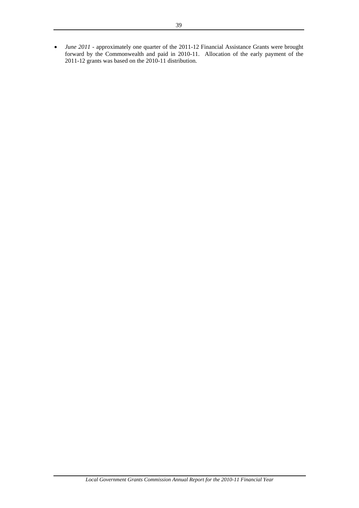• *June 2011* - approximately one quarter of the 2011-12 Financial Assistance Grants were brought forward by the Commonwealth and paid in 2010-11. Allocation of the early payment of the 2011-12 grants was based on the 2010-11 distribution.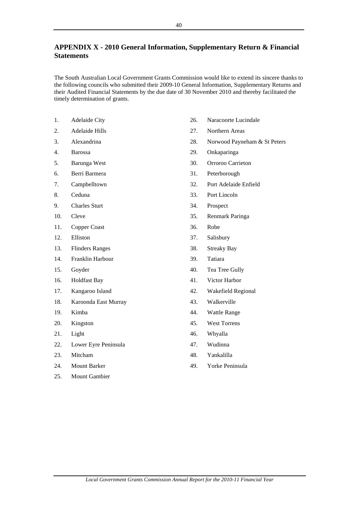# **APPENDIX X - 2010 General Information, Supplementary Return & Financial Statements**

The South Australian Local Government Grants Commission would like to extend its sincere thanks to the following councils who submitted their 2009-10 General Information, Supplementary Returns and their Audited Financial Statements by the due date of 30 November 2010 and thereby facilitated the timely determination of grants.

- 1. Adelaide City
- 2. Adelaide Hills
- 3. Alexandrina
- 4. Barossa
- 5. Barunga West
- 6. Berri Barmera
- 7. Campbelltown
- 8. Ceduna
- 9. Charles Sturt
- 10. Cleve
- 11. Copper Coast
- 12. Elliston
- 13. Flinders Ranges
- 14. Franklin Harbour
- 15. Goyder
- 16. Holdfast Bay
- 17. Kangaroo Island
- 18. Karoonda East Murray
- 19. Kimba
- 20. Kingston
- 21. Light
- 22. Lower Eyre Peninsula
- 23. Mitcham
- 24. Mount Barker
- 25. Mount Gambier
- 26. Naracoorte Lucindale
- 27. Northern Areas
- 28. Norwood Payneham & St Peters
- 29. Onkaparinga
- 30. Orroroo Carrieton
- 31. Peterborough
- 32. Port Adelaide Enfield
- 33. Port Lincoln
- 34. Prospect
- 35. Renmark Paringa
- 36. Robe
- 37. Salisbury
- 38. Streaky Bay
- 39. Tatiara
- 40. Tea Tree Gully
- 41. Victor Harbor
- 42. Wakefield Regional
- 43. Walkerville
- 44. Wattle Range
- 45. West Torrens
- 46. Whyalla
- 47. Wudinna
- 48. Yankalilla
- 49. Yorke Peninsula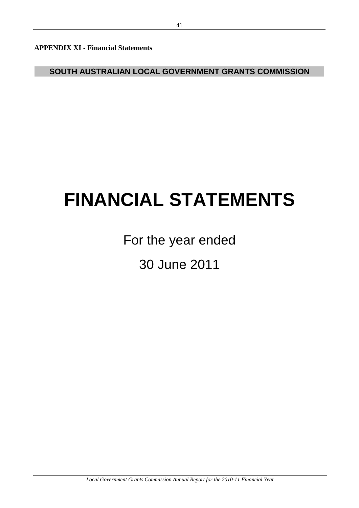**APPENDIX XI - Financial Statements** 

**SOUTH AUSTRALIAN LOCAL GOVERNMENT GRANTS COMMISSION**

# **FINANCIAL STATEMENTS**

30 June 2011 For the year ended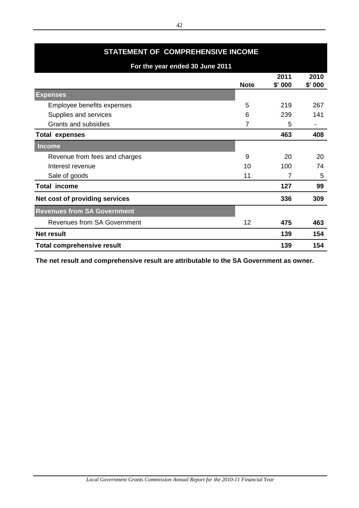| STATEMENT OF COMPREHENSIVE INCOME  |             |                |                |  |  |  |
|------------------------------------|-------------|----------------|----------------|--|--|--|
| For the year ended 30 June 2011    |             |                |                |  |  |  |
|                                    | <b>Note</b> | 2011<br>\$'000 | 2010<br>\$'000 |  |  |  |
| <b>Expenses</b>                    |             |                |                |  |  |  |
| Employee benefits expenses         | 5           | 219            | 267            |  |  |  |
| Supplies and services              | 6           | 239            | 141            |  |  |  |
| Grants and subsidies               | 7           | 5              |                |  |  |  |
| <b>Total expenses</b>              |             | 463            | 408            |  |  |  |
| <b>Income</b>                      |             |                |                |  |  |  |
| Revenue from fees and charges      | 9           | 20             | 20             |  |  |  |
| Interest revenue                   | 10          | 100            | 74             |  |  |  |
| Sale of goods                      | 11          | 7              | 5              |  |  |  |
| <b>Total income</b>                |             | 127            | 99             |  |  |  |
| Net cost of providing services     |             | 336            | 309            |  |  |  |
| <b>Revenues from SA Government</b> |             |                |                |  |  |  |
| <b>Revenues from SA Government</b> | 12          | 475            | 463            |  |  |  |
| <b>Net result</b>                  |             | 139            | 154            |  |  |  |
| <b>Total comprehensive result</b>  |             | 139            | 154            |  |  |  |

**The net result and comprehensive result are attributable to the SA Government as owner.**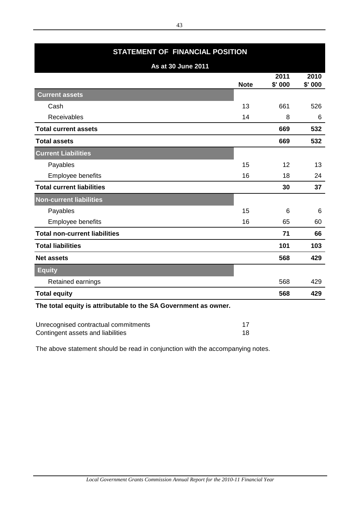| STATEMENT OF FINANCIAL POSITION      |             |                |                |  |  |  |  |
|--------------------------------------|-------------|----------------|----------------|--|--|--|--|
| As at 30 June 2011                   |             |                |                |  |  |  |  |
|                                      | <b>Note</b> | 2011<br>\$'000 | 2010<br>\$'000 |  |  |  |  |
| <b>Current assets</b>                |             |                |                |  |  |  |  |
| Cash                                 | 13          | 661            | 526            |  |  |  |  |
| Receivables                          | 14          | 8              | 6              |  |  |  |  |
| <b>Total current assets</b>          |             | 669            | 532            |  |  |  |  |
| <b>Total assets</b>                  |             | 669            | 532            |  |  |  |  |
| <b>Current Liabilities</b>           |             |                |                |  |  |  |  |
| Payables                             | 15          | 12             | 13             |  |  |  |  |
| Employee benefits                    | 16          | 18             | 24             |  |  |  |  |
| <b>Total current liabilities</b>     |             | 30             | 37             |  |  |  |  |
| Non-current liabilities              |             |                |                |  |  |  |  |
| Payables                             | 15          | 6              | 6              |  |  |  |  |
| Employee benefits                    | 16          | 65             | 60             |  |  |  |  |
| <b>Total non-current liabilities</b> |             | 71             | 66             |  |  |  |  |
| <b>Total liabilities</b>             |             | 101            | 103            |  |  |  |  |
| <b>Net assets</b>                    |             | 568            | 429            |  |  |  |  |
| <b>Equity</b>                        |             |                |                |  |  |  |  |
| Retained earnings                    |             | 568            | 429            |  |  |  |  |
| <b>Total equity</b>                  |             | 568            | 429            |  |  |  |  |

**The total equity is attributable to the SA Government as owner.**

| Unrecognised contractual commitments |  |
|--------------------------------------|--|
| Contingent assets and liabilities    |  |

The above statement should be read in conjunction with the accompanying notes.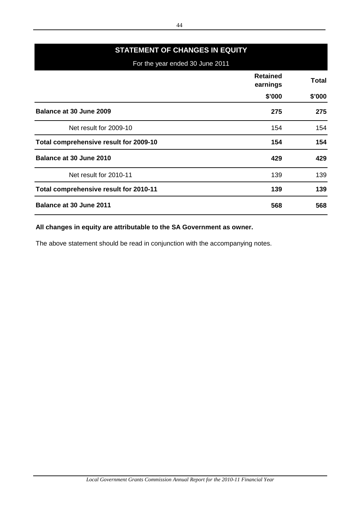# **STATEMENT OF CHANGES IN EQUITY**

For the year ended 30 June 2011

|                                        | <b>Retained</b><br>earnings | <b>Total</b> |
|----------------------------------------|-----------------------------|--------------|
|                                        | \$'000                      | \$'000       |
| Balance at 30 June 2009                | 275                         | 275          |
| Net result for 2009-10                 | 154                         | 154          |
| Total comprehensive result for 2009-10 | 154                         | 154          |
| Balance at 30 June 2010                | 429                         | 429          |
| Net result for 2010-11                 | 139                         | 139          |
| Total comprehensive result for 2010-11 | 139                         | 139          |
| <b>Balance at 30 June 2011</b>         | 568                         | 568          |

# **All changes in equity are attributable to the SA Government as owner.**

The above statement should be read in conjunction with the accompanying notes.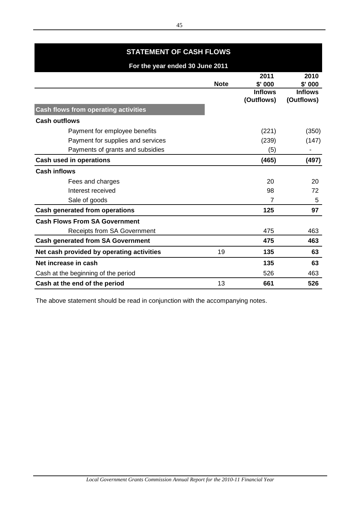| <b>STATEMENT OF CASH FLOWS</b>              |             |                                  |                                    |  |
|---------------------------------------------|-------------|----------------------------------|------------------------------------|--|
| For the year ended 30 June 2011             |             |                                  |                                    |  |
|                                             | <b>Note</b> | 2011<br>\$'000<br><b>Inflows</b> | 2010<br>$$'$ 000<br><b>Inflows</b> |  |
| <b>Cash flows from operating activities</b> |             | (Outflows)                       | (Outflows)                         |  |
| <b>Cash outflows</b>                        |             |                                  |                                    |  |
| Payment for employee benefits               |             | (221)                            | (350)                              |  |
| Payment for supplies and services           |             | (239)                            | (147)                              |  |
| Payments of grants and subsidies            |             | (5)                              |                                    |  |
| <b>Cash used in operations</b>              |             | (465)                            | (497)                              |  |
| <b>Cash inflows</b>                         |             |                                  |                                    |  |
| Fees and charges                            |             | 20                               | 20                                 |  |
| Interest received                           |             | 98                               | 72                                 |  |
| Sale of goods                               |             | 7                                | 5                                  |  |
| <b>Cash generated from operations</b>       |             | 125                              | 97                                 |  |
| <b>Cash Flows From SA Government</b>        |             |                                  |                                    |  |
| <b>Receipts from SA Government</b>          |             | 475                              | 463                                |  |
| <b>Cash generated from SA Government</b>    |             | 475                              | 463                                |  |
| Net cash provided by operating activities   | 19          | 135                              | 63                                 |  |
| Net increase in cash                        |             | 135                              | 63                                 |  |
| Cash at the beginning of the period         |             | 526                              | 463                                |  |
| Cash at the end of the period               | 13          | 661                              | 526                                |  |

The above statement should be read in conjunction with the accompanying notes.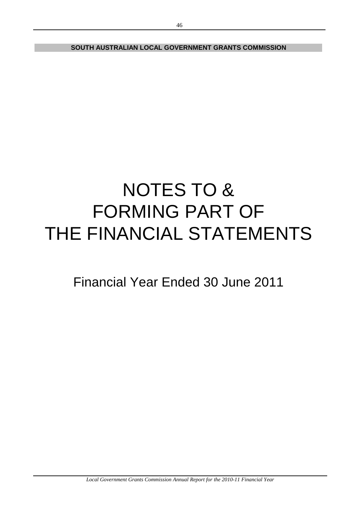**SOUTH AUSTRALIAN LOCAL GOVERNMENT GRANTS COMMISSION**

# NOTES TO & FORMING PART OF THE FINANCIAL STATEMENTS

Financial Year Ended 30 June 2011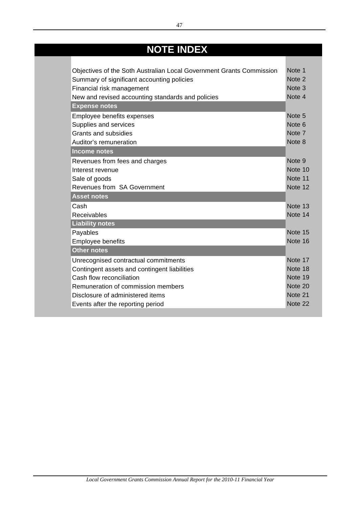# **NOTE INDEX**

**Contract Contract** 

| Objectives of the Soth Australian Local Government Grants Commission | Note 1            |
|----------------------------------------------------------------------|-------------------|
| Summary of significant accounting policies                           | Note 2            |
| Financial risk management                                            | Note <sub>3</sub> |
| New and revised accounting standards and policies                    | Note 4            |
| <b>Expense notes</b>                                                 |                   |
| Employee benefits expenses                                           | Note <sub>5</sub> |
| Supplies and services                                                | Note 6            |
| <b>Grants and subsidies</b>                                          | Note 7            |
| Auditor's remuneration                                               | Note 8            |
| <b>Income notes</b>                                                  |                   |
| Revenues from fees and charges                                       | Note <sub>9</sub> |
| Interest revenue                                                     | Note 10           |
| Sale of goods                                                        | Note 11           |
| Revenues from SA Government                                          | Note 12           |
| <b>Asset notes</b>                                                   |                   |
| Cash                                                                 | Note 13           |
| Receivables                                                          | Note 14           |
| <b>Liability notes</b>                                               |                   |
| Payables                                                             | Note 15           |
| <b>Employee benefits</b>                                             | Note 16           |
| <b>Other notes</b>                                                   |                   |
| Unrecognised contractual commitments                                 | Note 17           |
| Contingent assets and contingent liabilities                         | Note 18           |
| Cash flow reconciliation                                             | Note 19           |
| Remuneration of commission members                                   | Note 20           |
| Disclosure of administered items                                     | Note 21           |
| Events after the reporting period                                    | Note 22           |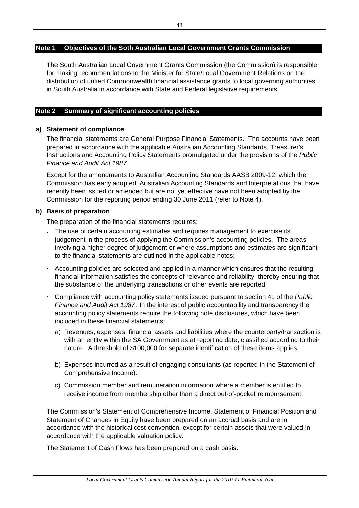# **Note 1 Objectives of the Soth Australian Local Government Grants Commission**

The South Australian Local Government Grants Commission (the Commission) is responsible for making recommendations to the Minister for State/Local Government Relations on the distribution of untied Commonwealth financial assistance grants to local governing authorities in South Australia in accordance with State and Federal legislative requirements.

# **Note 2 Summary of significant accounting policies**

# **a) Statement of compliance**

The financial statements are General Purpose Financial Statements. The accounts have been prepared in accordance with the applicable Australian Accounting Standards, Treasurer's Instructions and Accounting Policy Statements promulgated under the provisions of the *Public Finance and Audit Act 1987.*

Except for the amendments to Australian Accounting Standards AASB 2009-12, which the Commission has early adopted, Australian Accounting Standards and Interpretations that have recently been issued or amended but are not yet effective have not been adopted by the Commission for the reporting period ending 30 June 2011 (refer to Note 4).

# **b) Basis of preparation**

The preparation of the financial statements requires:

- **·** The use of certain accounting estimates and requires management to exercise its judgement in the process of applying the Commission's accounting policies. The areas involving a higher degree of judgement or where assumptions and estimates are significant to the financial statements are outlined in the applicable notes;
- **·** Accounting policies are selected and applied in a manner which ensures that the resulting financial information satisfies the concepts of relevance and reliability, thereby ensuring that the substance of the underlying transactions or other events are reported;
- **·** Compliance with accounting policy statements issued pursuant to section 41 of the *Public Finance and Audit Act 1987* . In the interest of public accountability and transparency the accounting policy statements require the following note disclosures, which have been included in these financial statements:
	- a) Revenues, expenses, financial assets and liabilities where the counterparty/transaction is with an entity within the SA Government as at reporting date, classified according to their nature. A threshold of \$100,000 for separate identification of these items applies.
	- b) Expenses incurred as a result of engaging consultants (as reported in the Statement of Comprehensive Income).
	- c) Commission member and remuneration information where a member is entitled to receive income from membership other than a direct out-of-pocket reimbursement.

The Commission's Statement of Comprehensive Income, Statement of Financial Position and Statement of Changes in Equity have been prepared on an accrual basis and are in accordance with the historical cost convention, except for certain assets that were valued in accordance with the applicable valuation policy.

The Statement of Cash Flows has been prepared on a cash basis.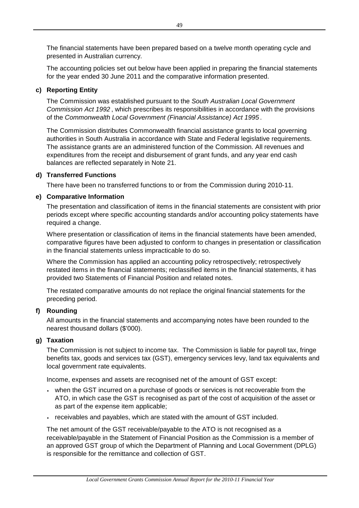The financial statements have been prepared based on a twelve month operating cycle and presented in Australian currency.

The accounting policies set out below have been applied in preparing the financial statements for the year ended 30 June 2011 and the comparative information presented.

# **c) Reporting Entity**

The Commission was established pursuant to the *South Australian Local Government Commission Act 1992* , which prescribes its responsibilities in accordance with the provisions of the *Commonwealth Local Government (Financial Assistance) Act 1995* .

The Commission distributes Commonwealth financial assistance grants to local governing authorities in South Australia in accordance with State and Federal legislative requirements. The assistance grants are an administered function of the Commission. All revenues and expenditures from the receipt and disbursement of grant funds, and any year end cash balances are reflected separately in Note 21.

# **d) Transferred Functions**

There have been no transferred functions to or from the Commission during 2010-11.

# **e) Comparative Information**

The presentation and classification of items in the financial statements are consistent with prior periods except where specific accounting standards and/or accounting policy statements have required a change.

Where presentation or classification of items in the financial statements have been amended, comparative figures have been adjusted to conform to changes in presentation or classification in the financial statements unless impracticable to do so.

Where the Commission has applied an accounting policy retrospectively; retrospectively restated items in the financial statements; reclassified items in the financial statements, it has provided two Statements of Financial Position and related notes.

The restated comparative amounts do not replace the original financial statements for the preceding period.

# **f) Rounding**

All amounts in the financial statements and accompanying notes have been rounded to the nearest thousand dollars (\$'000).

# **g) Taxation**

The Commission is not subject to income tax. The Commission is liable for payroll tax, fringe benefits tax, goods and services tax (GST), emergency services levy, land tax equivalents and local government rate equivalents.

Income, expenses and assets are recognised net of the amount of GST except:

- **·** when the GST incurred on a purchase of goods or services is not recoverable from the ATO, in which case the GST is recognised as part of the cost of acquisition of the asset or as part of the expense item applicable;
- **·** receivables and payables, which are stated with the amount of GST included.

The net amount of the GST receivable/payable to the ATO is not recognised as a receivable/payable in the Statement of Financial Position as the Commission is a member of an approved GST group of which the Department of Planning and Local Government (DPLG) is responsible for the remittance and collection of GST.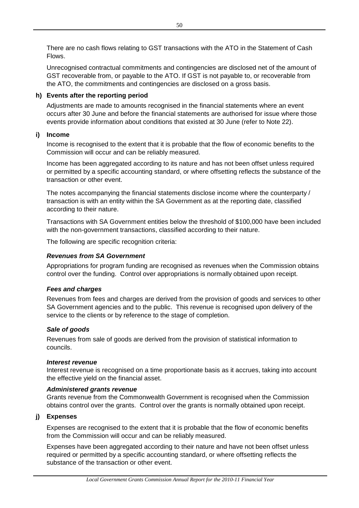There are no cash flows relating to GST transactions with the ATO in the Statement of Cash Flows.

Unrecognised contractual commitments and contingencies are disclosed net of the amount of GST recoverable from, or payable to the ATO. If GST is not payable to, or recoverable from the ATO, the commitments and contingencies are disclosed on a gross basis.

# **h) Events after the reporting period**

Adjustments are made to amounts recognised in the financial statements where an event occurs after 30 June and before the financial statements are authorised for issue where those events provide information about conditions that existed at 30 June (refer to Note 22).

# **i) Income**

Income is recognised to the extent that it is probable that the flow of economic benefits to the Commission will occur and can be reliably measured.

Income has been aggregated according to its nature and has not been offset unless required or permitted by a specific accounting standard, or where offsetting reflects the substance of the transaction or other event.

The notes accompanying the financial statements disclose income where the counterparty / transaction is with an entity within the SA Government as at the reporting date, classified according to their nature.

Transactions with SA Government entities below the threshold of \$100,000 have been included with the non-government transactions, classified according to their nature.

The following are specific recognition criteria:

# *Revenues from SA Government*

Appropriations for program funding are recognised as revenues when the Commission obtains control over the funding. Control over appropriations is normally obtained upon receipt.

# *Fees and charges*

Revenues from fees and charges are derived from the provision of goods and services to other SA Government agencies and to the public. This revenue is recognised upon delivery of the service to the clients or by reference to the stage of completion.

# *Sale of goods*

Revenues from sale of goods are derived from the provision of statistical information to councils.

# *Interest revenue*

Interest revenue is recognised on a time proportionate basis as it accrues, taking into account the effective yield on the financial asset.

# *Administered grants revenue*

Grants revenue from the Commonwealth Government is recognised when the Commission obtains control over the grants. Control over the grants is normally obtained upon receipt.

# **j) Expenses**

Expenses are recognised to the extent that it is probable that the flow of economic benefits from the Commission will occur and can be reliably measured.

Expenses have been aggregated according to their nature and have not been offset unless required or permitted by a specific accounting standard, or where offsetting reflects the substance of the transaction or other event.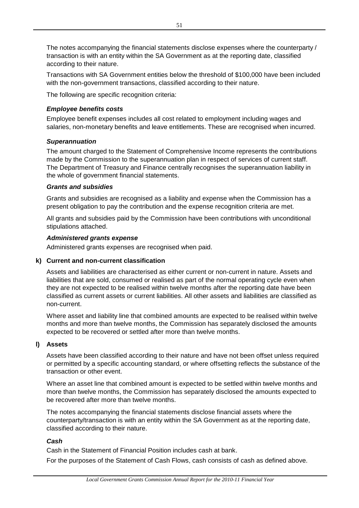The notes accompanying the financial statements disclose expenses where the counterparty / transaction is with an entity within the SA Government as at the reporting date, classified according to their nature.

Transactions with SA Government entities below the threshold of \$100,000 have been included with the non-government transactions, classified according to their nature.

The following are specific recognition criteria:

# *Employee benefits costs*

Employee benefit expenses includes all cost related to employment including wages and salaries, non-monetary benefits and leave entitlements. These are recognised when incurred.

# *Superannuation*

The amount charged to the Statement of Comprehensive Income represents the contributions made by the Commission to the superannuation plan in respect of services of current staff. The Department of Treasury and Finance centrally recognises the superannuation liability in the whole of government financial statements.

# *Grants and subsidies*

Grants and subsidies are recognised as a liability and expense when the Commission has a present obligation to pay the contribution and the expense recognition criteria are met.

All grants and subsidies paid by the Commission have been contributions with unconditional stipulations attached.

# *Administered grants expense*

Administered grants expenses are recognised when paid.

# **k) Current and non-current classification**

Assets and liabilities are characterised as either current or non-current in nature. Assets and liabilities that are sold, consumed or realised as part of the normal operating cycle even when they are not expected to be realised within twelve months after the reporting date have been classified as current assets or current liabilities. All other assets and liabilities are classified as non-current.

Where asset and liability line that combined amounts are expected to be realised within twelve months and more than twelve months, the Commission has separately disclosed the amounts expected to be recovered or settled after more than twelve months.

# **l) Assets**

Assets have been classified according to their nature and have not been offset unless required or permitted by a specific accounting standard, or where offsetting reflects the substance of the transaction or other event.

Where an asset line that combined amount is expected to be settled within twelve months and more than twelve months, the Commission has separately disclosed the amounts expected to be recovered after more than twelve months.

The notes accompanying the financial statements disclose financial assets where the counterparty/transaction is with an entity within the SA Government as at the reporting date, classified according to their nature.

# *Cash*

Cash in the Statement of Financial Position includes cash at bank.

For the purposes of the Statement of Cash Flows, cash consists of cash as defined above.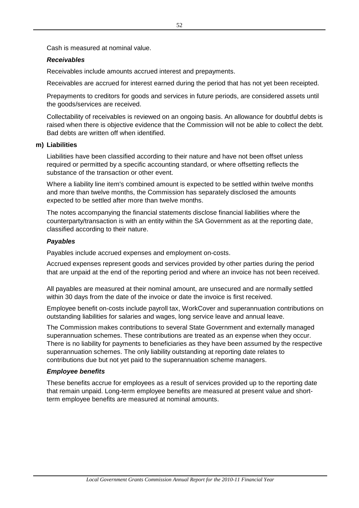Cash is measured at nominal value.

# *Receivables*

Receivables include amounts accrued interest and prepayments.

Receivables are accrued for interest earned during the period that has not yet been receipted.

Prepayments to creditors for goods and services in future periods, are considered assets until the goods/services are received.

Collectability of receivables is reviewed on an ongoing basis. An allowance for doubtful debts is raised when there is objective evidence that the Commission will not be able to collect the debt. Bad debts are written off when identified.

# **m) Liabilities**

Liabilities have been classified according to their nature and have not been offset unless required or permitted by a specific accounting standard, or where offsetting reflects the substance of the transaction or other event.

Where a liability line item's combined amount is expected to be settled within twelve months and more than twelve months, the Commission has separately disclosed the amounts expected to be settled after more than twelve months.

The notes accompanying the financial statements disclose financial liabilities where the counterparty/transaction is with an entity within the SA Government as at the reporting date, classified according to their nature.

# *Payables*

Payables include accrued expenses and employment on-costs.

Accrued expenses represent goods and services provided by other parties during the period that are unpaid at the end of the reporting period and where an invoice has not been received.

All payables are measured at their nominal amount, are unsecured and are normally settled within 30 days from the date of the invoice or date the invoice is first received.

Employee benefit on-costs include payroll tax, WorkCover and superannuation contributions on outstanding liabilities for salaries and wages, long service leave and annual leave.

The Commission makes contributions to several State Government and externally managed superannuation schemes. These contributions are treated as an expense when they occur. There is no liability for payments to beneficiaries as they have been assumed by the respective superannuation schemes. The only liability outstanding at reporting date relates to contributions due but not yet paid to the superannuation scheme managers.

# *Employee benefits*

These benefits accrue for employees as a result of services provided up to the reporting date that remain unpaid. Long-term employee benefits are measured at present value and shortterm employee benefits are measured at nominal amounts.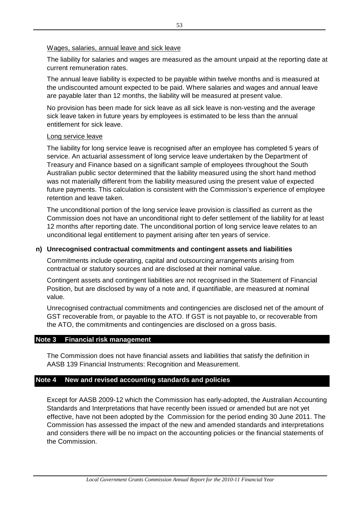# Wages, salaries, annual leave and sick leave

The liability for salaries and wages are measured as the amount unpaid at the reporting date at current remuneration rates.

The annual leave liability is expected to be payable within twelve months and is measured at the undiscounted amount expected to be paid. Where salaries and wages and annual leave are payable later than 12 months, the liability will be measured at present value.

No provision has been made for sick leave as all sick leave is non-vesting and the average sick leave taken in future years by employees is estimated to be less than the annual entitlement for sick leave.

# Long service leave

The liability for long service leave is recognised after an employee has completed 5 years of service. An actuarial assessment of long service leave undertaken by the Department of Treasury and Finance based on a significant sample of employees throughout the South Australian public sector determined that the liability measured using the short hand method was not materially different from the liability measured using the present value of expected future payments. This calculation is consistent with the Commission's experience of employee retention and leave taken.

The unconditional portion of the long service leave provision is classified as current as the Commission does not have an unconditional right to defer settlement of the liability for at least 12 months after reporting date. The unconditional portion of long service leave relates to an unconditional legal entitlement to payment arising after ten years of service.

# **n) Unrecognised contractual commitments and contingent assets and liabilities**

Commitments include operating, capital and outsourcing arrangements arising from contractual or statutory sources and are disclosed at their nominal value.

Contingent assets and contingent liabilities are not recognised in the Statement of Financial Position, but are disclosed by way of a note and, if quantifiable, are measured at nominal value.

Unrecognised contractual commitments and contingencies are disclosed net of the amount of GST recoverable from, or payable to the ATO. If GST is not payable to, or recoverable from the ATO, the commitments and contingencies are disclosed on a gross basis.

# **Note 3 Financial risk management**

The Commission does not have financial assets and liabilities that satisfy the definition in AASB 139 Financial Instruments: Recognition and Measurement.

# **Note 4 New and revised accounting standards and policies**

Except for AASB 2009-12 which the Commission has early-adopted, the Australian Accounting Standards and Interpretations that have recently been issued or amended but are not yet effective, have not been adopted by the Commission for the period ending 30 June 2011. The Commission has assessed the impact of the new and amended standards and interpretations and considers there will be no impact on the accounting policies or the financial statements of the Commission.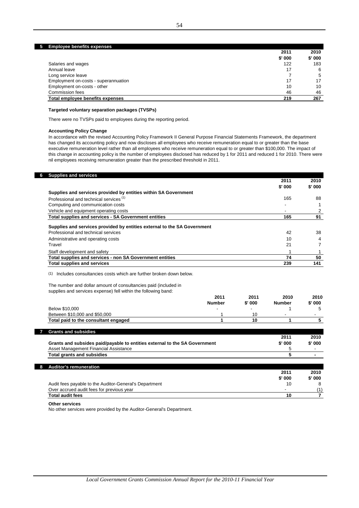### **5 Employee benefits expenses**

|                                      | 2011   | 2010   |
|--------------------------------------|--------|--------|
|                                      | \$'000 | \$'000 |
| Salaries and wages                   | 122    | 183    |
| Annual leave                         | 17     | -6     |
| Long service leave                   |        | 5      |
| Employment on-costs - superannuation | 17     | 17     |
| Employment on-costs - other          | 10     | 10     |
| Commission fees                      | 46     | 46     |
| Total employee benefits expenses     | 219    | 267    |

### **Targeted voluntary separation packages (TVSPs)**

There were no TVSPs paid to employees during the reporting period.

### **Accounting Policy Change**

In accordance with the revised Accounting Policy Framework II General Purpose Financial Statements Framework, the department has changed its accounting policy and now discloses all employees who receive remuneration equal to or greater than the base executive remuneration level rather than all employees who receive remuneration equal to or greater than \$100,000. The impact of this change in accounting policy is the number of employees disclosed has reduced by 1 for 2011 and reduced 1 for 2010. There were nil employees receiving remuneration greater than the prescribed threshold in 2011.

|                                                                                                     |               |         | 2011          | 2010           |
|-----------------------------------------------------------------------------------------------------|---------------|---------|---------------|----------------|
|                                                                                                     |               |         | $$'$ 000      | \$' 000        |
| Supplies and services provided by entities within SA Government                                     |               |         |               |                |
| Professional and technical services <sup>(1)</sup>                                                  |               |         | 165           | 88             |
| Computing and communication costs                                                                   |               |         |               | $\mathbf{1}$   |
| Vehicle and equipment operating costs                                                               |               |         |               | 2              |
| Total supplies and services - SA Government entities                                                |               |         | 165           | 91             |
| Supplies and services provided by entities external to the SA Government                            |               |         |               |                |
| Professional and technical services                                                                 |               |         | 42            | 38             |
| Administrative and operating costs                                                                  |               |         | 10            | 4              |
| Travel                                                                                              |               |         | 21            | $\overline{7}$ |
| Staff development and safety                                                                        |               |         | 1             | 1              |
| Total supplies and services - non SA Government entities                                            |               |         | 74            | 50             |
| <b>Total supplies and services</b>                                                                  |               |         | 239           | 141            |
| The number and dollar amount of consultancies paid (included in                                     |               |         |               |                |
| supplies and services expense) fell within the following band:                                      |               |         |               |                |
|                                                                                                     | 2011          | 2011    | 2010          | 2010           |
|                                                                                                     | <b>Number</b> | \$' 000 | <b>Number</b> | \$' 000        |
| Below \$10,000                                                                                      |               |         | 1             | 5              |
| Between \$10,000 and \$50,000                                                                       | 1             | 10      |               | $\blacksquare$ |
| Total paid to the consultant engaged                                                                | 1             | 10      | 1             | 5              |
| <b>Grants and subsidies</b>                                                                         |               |         |               |                |
|                                                                                                     |               |         | 2011          | 2010           |
| Grants and subsides paid/payable to entities external to the SA Government                          |               |         | $$'$ 000      | \$' 000        |
| Asset Management Financial Assistance                                                               |               |         | 5             |                |
| <b>Total grants and subsidies</b>                                                                   |               |         | 5             | $\blacksquare$ |
|                                                                                                     |               |         |               |                |
| <b>Auditor's remuneration</b>                                                                       |               |         |               |                |
|                                                                                                     |               |         | 2011          | 2010           |
|                                                                                                     |               |         | $$'$ 000      | \$' 000        |
| Audit fees payable to the Auditor-General's Department<br>Over accrued audit fees for previous year |               |         | 10            | 8<br>(1)       |

### **Other services**

No other services were provided by the Auditor-General's Department.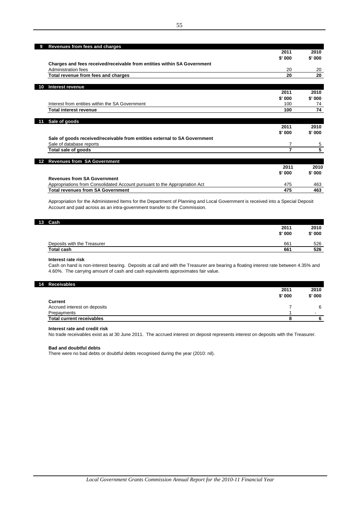|    | Revenues from fees and charges                                             |        |          |
|----|----------------------------------------------------------------------------|--------|----------|
|    |                                                                            | 2011   | 2010     |
|    |                                                                            | \$'000 | $$'$ 000 |
|    | Charges and fees received/receivable from entities within SA Government    |        |          |
|    | Administration fees                                                        | 20     | 20       |
|    | Total revenue from fees and charges                                        | 20     | 20       |
| 10 | Interest revenue                                                           |        |          |
|    |                                                                            | 2011   | 2010     |
|    |                                                                            | \$'000 | $$'$ 000 |
|    | Interest from entities within the SA Government                            | 100    | 74       |
|    |                                                                            |        |          |
|    | Total interest revenue                                                     | 100    | 74       |
|    |                                                                            |        |          |
| 11 | Sale of goods                                                              |        |          |
|    |                                                                            | 2011   | 2010     |
|    |                                                                            | \$'000 | $$'$ 000 |
|    | Sale of goods received/receivable from entities external to SA Government  |        |          |
|    | Sale of database reports                                                   | 7      | 5        |
|    | Total sale of goods                                                        | 7      | 5        |
| 12 | <b>Revenues from SA Government</b>                                         |        |          |
|    |                                                                            | 2011   | 2010     |
|    |                                                                            | \$'000 | \$'000   |
|    | <b>Revenues from SA Government</b>                                         |        |          |
|    | Appropriations from Consolidated Account pursuant to the Appropriation Act | 475    | 463      |
|    | <b>Total revenues from SA Government</b>                                   | 475    | 463      |

Appropriation for the Administered Items for the Department of Planning and Local Government is received into a Special Deposit Account and paid across as an intra-government transfer to the Commission.

| 13 Cash                     |        |        |
|-----------------------------|--------|--------|
|                             | 2011   | 2010   |
|                             | \$'000 | \$'000 |
| Deposits with the Treasurer | 661    | 526    |
| <b>Total cash</b>           | 661    | 526    |

### **Interest rate risk**

Cash on hand is non-interest bearing. Deposits at call and with the Treasurer are bearing a floating interest rate between 4.35% and 4.60%. The carrying amount of cash and cash equivalents approximates fair value.

### **14 Receivables**

|                                  | 2011     | 2010                     |
|----------------------------------|----------|--------------------------|
| Current                          | $$'$ 000 | $$'$ 000                 |
| Accrued interest on deposits     |          | 6                        |
| Prepayments                      |          | $\overline{\phantom{a}}$ |
| <b>Total current receivables</b> |          |                          |

### **Interest rate and credit risk**

No trade receivables exist as at 30 June 2011. The accrued interest on deposit represents interest on deposits with the Treasurer.

### **Bad and doubtful debts**

There were no bad debts or doubtful debts recognised during the year (2010: nil).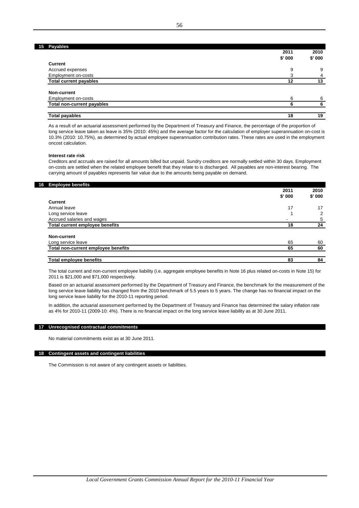| 15 Payables                       |        |        |
|-----------------------------------|--------|--------|
|                                   | 2011   | 2010   |
|                                   | \$'000 | \$'000 |
| Current                           |        |        |
| Accrued expenses                  | 9      | 9      |
| Employment on-costs               |        | 4      |
| <b>Total current payables</b>     | 12     | 13     |
| Non-current                       |        |        |
| Employment on-costs               | 6      | 6      |
| <b>Total non-current payables</b> | 6      | 6      |
| <b>Total payables</b>             | 18     | 19     |

As a result of an actuarial assessment performed by the Department of Treasury and Finance, the percentage of the proportion of long service leave taken as leave is 35% (2010: 45%) and the average factor for the calculation of employer superannuation on-cost is 10.3% (2010: 10.75%), as determined by actual employee superannuation contribution rates. These rates are used in the employment oncost calculation.

### **Interest rate risk**

Creditors and accruals are raised for all amounts billed but unpaid. Sundry creditors are normally settled within 30 days. Employment on-costs are settled when the related employee benefit that they relate to is discharged. All payables are non-interest bearing. The carrying amount of payables represents fair value due to the amounts being payable on demand.

### **16 Employee benefits**

|                                     | 2011                     | 2010   |
|-------------------------------------|--------------------------|--------|
|                                     | $$'$ 000                 | \$'000 |
| Current                             |                          |        |
| Annual leave                        | 17                       | 17     |
| Long service leave                  |                          | ົ      |
| Accrued salaries and wages          | $\overline{\phantom{a}}$ | 5      |
| Total current employee benefits     | 18                       | 24     |
|                                     |                          |        |
| Non-current                         |                          |        |
| Long service leave                  | 65                       | 60     |
| Total non-current employee benefits | 65                       | 60     |
|                                     | 83                       | 84     |
| <b>Total employee benefits</b>      |                          |        |

The total current and non-current employee liability (i.e. aggregate employee benefits in Note 16 plus related on-costs in Note 15) for 2011 is \$21,000 and \$71,000 respectively.

Based on an actuarial assessment performed by the Department of Treasury and Finance, the benchmark for the measurement of the long service leave liability has changed from the 2010 benchmark of 5.5 years to 5 years. The change has no financial impact on the long service leave liability for the 2010-11 reporting period.

In addition, the actuarial assessment performed by the Department of Treasury and Finance has determined the salary inflation rate as 4% for 2010-11 (2009-10: 4%). There is no financial impact on the long service leave liability as at 30 June 2011.

### **17 Unrecognised contractual commitments**

No material commitments exist as at 30 June 2011.

### **18 Contingent assets and contingent liabilities**

The Commission is not aware of any contingent assets or liabilities.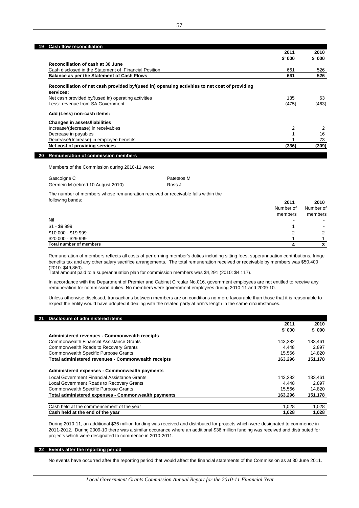### **19 Cash flow reconciliation**

|                                                                                                             | 2011     | 2010   |
|-------------------------------------------------------------------------------------------------------------|----------|--------|
|                                                                                                             | $$'$ 000 | \$'000 |
| Reconciliation of cash at 30 June                                                                           |          |        |
| Cash disclosed in the Statement of Financial Position                                                       | 661      | 526    |
| <b>Balance as per the Statement of Cash Flows</b>                                                           | 661      | 526    |
| Reconciliation of net cash provided by/(used in) operating activities to net cost of providing<br>services: |          |        |
| Net cash provided by/(used in) operating activities                                                         | 135      | 63     |
| Less: revenue from SA Government                                                                            | (475)    | (463)  |
| Add (Less) non-cash items:                                                                                  |          |        |
| <b>Changes in assets/liabilities</b>                                                                        |          |        |
| Increase/(decrease) in receivables                                                                          | 2        |        |
| Decrease in payables                                                                                        |          | 16     |
| Decrease/(Increase) in employee benefits                                                                    |          | 73     |
| Net cost of providing services                                                                              | (336)    | (309)  |
|                                                                                                             |          |        |

**20 Remuneration of commission members**

Members of the Commission during 2010-11 were:

| Gascoigne C                        | Patetsos M |
|------------------------------------|------------|
| Germein M (retired 10 August 2010) | Ross J     |

The number of members whose remuneration received or receivable falls within the following bands:

|                         | Number of<br>members | Number of<br>members |
|-------------------------|----------------------|----------------------|
| Nil                     |                      |                      |
| $$1 - $9999$            |                      |                      |
| \$10 000 - \$19 999     |                      | 2                    |
| \$20 000 - \$29 999     |                      |                      |
| Total number of members |                      |                      |

**2011 2010**

Remuneration of members reflects all costs of performing member's duties including sitting fees, superannuation contributions, fringe benefits tax and any other salary sacrifice arrangements. The total remuneration received or receivable by members was \$50,400 (2010: \$49,860).

Total amount paid to a superannuation plan for commission members was \$4,291 (2010: \$4,117).

In accordance with the Department of Premier and Cabinet Circular No.016, government employees are not entitled to receive any remuneration for commission duties. No members were government employees during 2010-11 and 2009-10.

Unless otherwise disclosed, transactions between members are on conditions no more favourable than those that it is reasonable to expect the entity would have adopted if dealing with the related party at arm's length in the same circumstances.

| Disclosure of administered items<br>21              |          |         |
|-----------------------------------------------------|----------|---------|
|                                                     | 2011     | 2010    |
|                                                     | $$'$ 000 | \$'000  |
| Administered revenues - Commonwealth receipts       |          |         |
| Commonwealth Financial Assistance Grants            | 143.282  | 133,461 |
| Commonwealth Roads to Recovery Grants               | 4.448    | 2,897   |
| <b>Commonwealth Specific Purpose Grants</b>         | 15.566   | 14,820  |
| Total administered revenues - Commonwealth receipts | 163.296  | 151,178 |
|                                                     |          |         |
| Administered expenses - Commonwealth payments       |          |         |
| Local Government Financial Assistance Grants        | 143.282  | 133,461 |
| Local Government Roads to Recovery Grants           | 4.448    | 2.897   |
| <b>Commonwealth Specific Purpose Grants</b>         | 15,566   | 14,820  |
| Total administered expenses - Commonwealth payments | 163.296  | 151,178 |
|                                                     |          |         |
| Cash held at the commencement of the year           | 1.028    | 1,028   |
| Cash held at the end of the year                    | 1,028    | 1,028   |

During 2010-11, an additional \$36 million funding was received and distributed for projects which were designated to commence in 2011-2012. During 2009-10 there was a similar occurance where an additional \$36 million funding was received and distributed for projects which were designated to commence in 2010-2011.

### **22 Events after the reporting period**

No events have occurred after the reporting period that would affect the financial statements of the Commission as at 30 June 2011.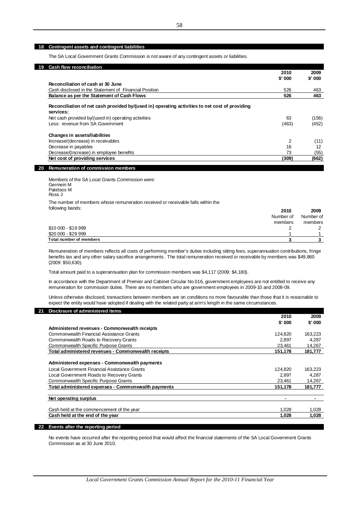### **18 Contingent assets and contingent liabilities**

The SA Local Government Grants Commission is not aware of any contingent assets or liabilities.

| 19 | <b>Cash flow reconciliation</b>                                                                             |        |        |
|----|-------------------------------------------------------------------------------------------------------------|--------|--------|
|    |                                                                                                             | 2010   | 2009   |
|    |                                                                                                             | \$'000 | \$'000 |
|    | Reconciliation of cash at 30 June                                                                           |        |        |
|    | Cash disclosed in the Statement of Financial Position                                                       | 526    | 463    |
|    | Balance as per the Statement of Cash Flows                                                                  | 526    | 463    |
|    | Reconciliation of net cash provided by/(used in) operating activities to net cost of providing<br>services: |        |        |
|    | Net cash provided by/(used in) operating activities                                                         | 63     | (156)  |
|    | Less: revenue from SA Government                                                                            | (463)  | (452)  |
|    | <b>Changes in assets/liabilities</b>                                                                        |        |        |
|    | Increase/(decrease) in receivables                                                                          | 2      | (11)   |
|    | Decrease in payables                                                                                        | 16     | 12     |
|    | Decrease/(Increase) in employee benefits                                                                    | 73     | (55)   |
|    | Net cost of providing services                                                                              | (309)  | (662)  |
| 20 | <b>Remuneration of commission members</b>                                                                   |        |        |

Members of the SA Local Grants Commission were: Germein M The number of members whose remuneration received or receivable falls within the following bands: Patetsos M Ross J

| TUIJUWIHY DAHUS.               | 2010      | 2009      |
|--------------------------------|-----------|-----------|
|                                | Number of | Number of |
|                                | members   | members   |
| \$10 000 - \$19 999            |           |           |
| \$20 000 - \$29 999            |           |           |
| <b>Total number of members</b> |           |           |

Remuneration of members reflects all costs of performing member's duties including sitting fees, superannuation contributions, fringe benefits tax and any other salary sacrifice arrangements. The total remuneration received or receivable by members was \$49,860 (2009: \$50,630).

Total amount paid to a superannuation plan for commission members was \$4,117 (2009: \$4,180).

In accordance with the Department of Premier and Cabinet Circular No.016, government employees are not entitled to receive any remuneration for commission duties. There are no members who are government employees in 2009-10 and 2008-09.

Unless otherwise disclosed, transactions between members are on conditions no more favourable than those that it is reasonable to expect the entity would have adopted if dealing with the related party at arm's length in the same circumstances.

| Disclosure of administered items<br>21              | 2010    | 2009    |
|-----------------------------------------------------|---------|---------|
|                                                     | \$'000  | \$'000  |
| Administered revenues - Commonwealth receipts       |         |         |
| Commonwealth Financial Assistance Grants            | 124.820 | 163,223 |
| Commonwealth Roads to Recovery Grants               | 2.897   | 4,287   |
| Commonwealth Specific Purpose Grants                | 23.461  | 14,267  |
| Total administered revenues - Commonwealth receipts | 151,178 | 181,777 |
| Administered expenses - Commonwealth payments       |         |         |
| Local Government Financial Assistance Grants        | 124.820 | 163.223 |
| Local Government Roads to Recovery Grants           | 2,897   | 4,287   |
| Commonwealth Specific Purpose Grants                | 23.461  | 14,267  |
| Total administered expenses - Commonwealth payments | 151,178 | 181,777 |
| Net operating surplus                               |         |         |
| Cash held at the commencement of the year           | 1.028   | 1,028   |
| Cash held at the end of the year                    | 1.028   | 1,028   |

### **22 Events after the reporting period**

No events have occurred after the reporting period that would affect the financial statements of the SA Local Government Grants Commission as at 30 June 2010.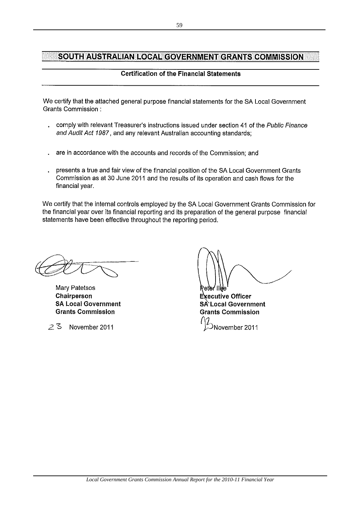# SOUTH AUSTRALIAN LOCAL GOVERNMENT GRANTS COMMISSION

# **Certification of the Financial Statements**

We certify that the attached general purpose financial statements for the SA Local Government Grants Commission:

- comply with relevant Treasurer's instructions issued under section 41 of the Public Finance and Audit Act 1987, and any relevant Australian accounting standards;
- are in accordance with the accounts and records of the Commission; and
- presents a true and fair view of the financial position of the SA Local Government Grants Commission as at 30 June 2011 and the results of its operation and cash flows for the financial year.

We certify that the internal controls employed by the SA Local Government Grants Commission for the financial year over its financial reporting and its preparation of the general purpose financial statements have been effective throughout the reporting period.

Mary Patetsos Chairperson **SA Local Government Grants Commission** 

っる November 2011

**Executive Officer** SA Local Government **Grants Commission** November 2011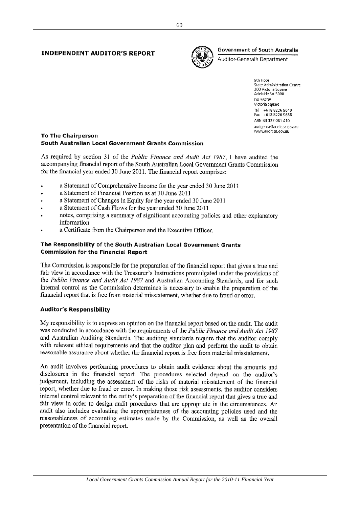## **INDEPENDENT AUDITOR'S REPORT**



# **Government of South Australia**

Auditor-General's Department

9th Floor State Administration Centre 200 Victoria Square<br>Adelaide SA 5000 DX 56208 Victoria Square Tel +618 8226 9640 Fax +618 8226 9688 ABN 53 327 061 410 audgensa@audit.sa.gov.au www.audit.sa.gov.au

## **To The Chairperson** South Australian Local Government Grants Commission

As required by section 31 of the Public Finance and Audit Act 1987, I have audited the accompanying financial report of the South Australian Local Government Grants Commission for the financial year ended 30 June 2011. The financial report comprises:

- a Statement of Comprehensive Income for the year ended 30 June 2011
- a Statement of Financial Position as at 30 June 2011
- a Statement of Changes in Equity for the year ended 30 June 2011
- a Statement of Cash Flows for the year ended 30 June 2011
- notes, comprising a summary of significant accounting policies and other explanatory information
- a Certificate from the Chairperson and the Executive Officer.

## The Responsibility of the South Australian Local Government Grants **Commission for the Financial Report**

The Commission is responsible for the preparation of the financial report that gives a true and fair view in accordance with the Treasurer's Instructions promulgated under the provisions of the Public Finance and Audit Act 1987 and Australian Accounting Standards, and for such internal control as the Commission determines is necessary to enable the preparation of the financial report that is free from material misstatement, whether due to fraud or error.

# **Auditor's Responsibility**

My responsibility is to express an opinion on the financial report based on the audit. The audit was conducted in accordance with the requirements of the *Public Finance and Audit Act 1987* and Australian Auditing Standards. The auditing standards require that the auditor comply with relevant ethical requirements and that the auditor plan and perform the audit to obtain reasonable assurance about whether the financial report is free from material misstatement.

An audit involves performing procedures to obtain audit evidence about the amounts and disclosures in the financial report. The procedures selected depend on the auditor's judgement, including the assessment of the risks of material misstatement of the financial report, whether due to fraud or error. In making those risk assessments, the auditor considers internal control relevant to the entity's preparation of the financial report that gives a true and fair view in order to design audit procedures that are appropriate in the circumstances. An audit also includes evaluating the appropriateness of the accounting policies used and the reasonableness of accounting estimates made by the Commission, as well as the overall presentation of the financial report.